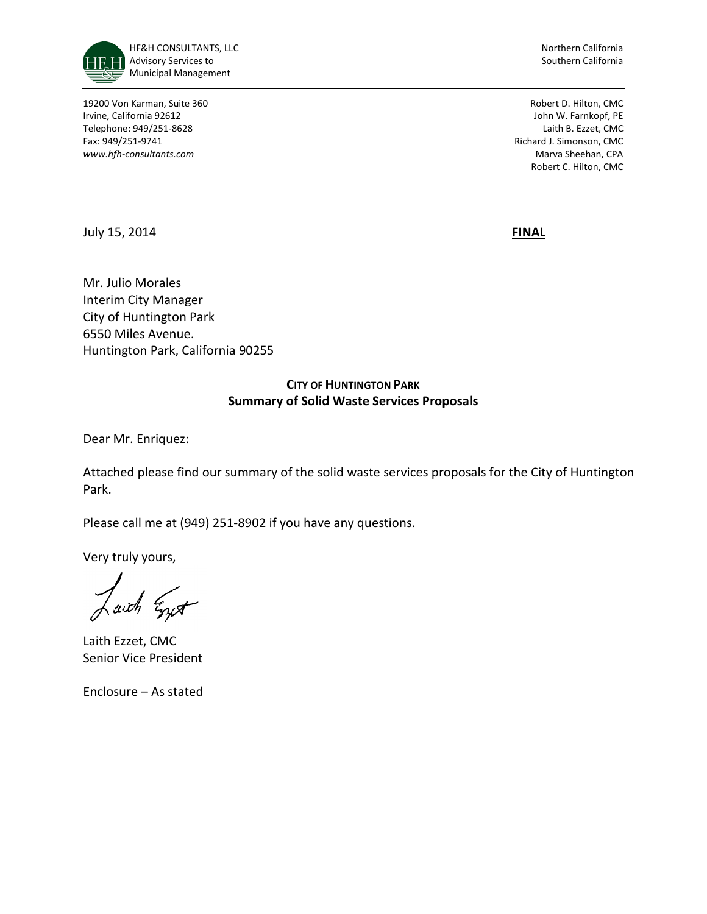

19200 Von Karman, Suite 360 Robert D. Hilton, CMC Irvine, California 92612 John W. Farnkopf, PE Telephone: 949/251-8628 Laith B. Ezzet, CMC Fax: 949/251-9741 **Richard J. Simonson, CMC Richard J. Simonson, CMC** *www.hfh-consultants.com* Marva Sheehan, CPA

Robert C. Hilton, CMC

July 15, 2014 **FINAL**

Mr. Julio Morales Interim City Manager City of Huntington Park 6550 Miles Avenue. Huntington Park, California 90255

# **CITY OF HUNTINGTON PARK Summary of Solid Waste Services Proposals**

Dear Mr. Enriquez:

Attached please find our summary of the solid waste services proposals for the City of Huntington Park.

Please call me at (949) 251-8902 if you have any questions.

Very truly yours,

aich Egypt

Laith Ezzet, CMC Senior Vice President

Enclosure – As stated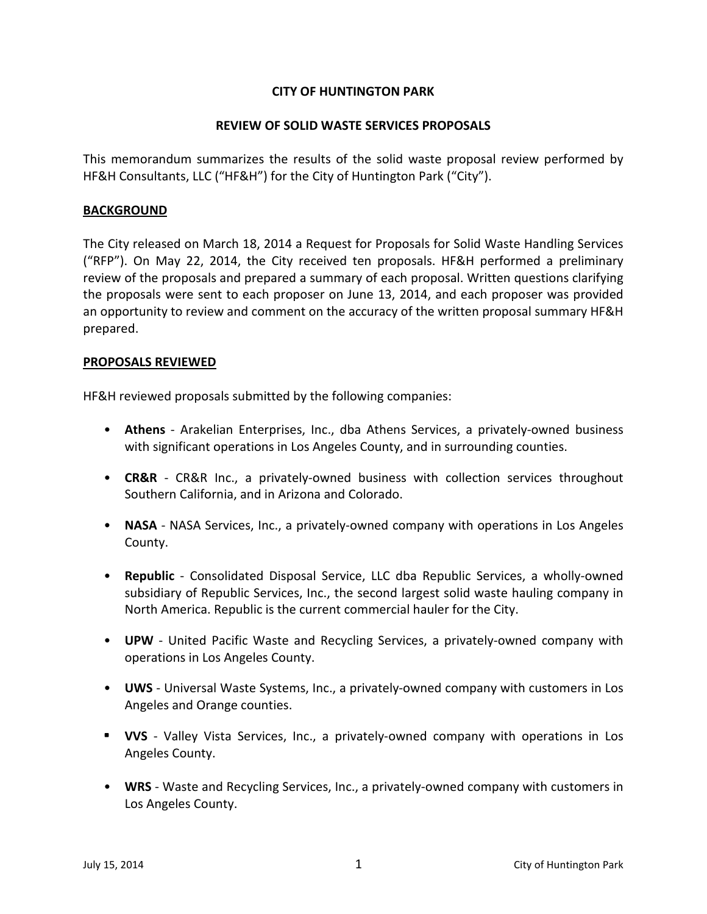# **CITY OF HUNTINGTON PARK**

### **REVIEW OF SOLID WASTE SERVICES PROPOSALS**

This memorandum summarizes the results of the solid waste proposal review performed by HF&H Consultants, LLC ("HF&H") for the City of Huntington Park ("City").

### **BACKGROUND**

The City released on March 18, 2014 a Request for Proposals for Solid Waste Handling Services ("RFP"). On May 22, 2014, the City received ten proposals. HF&H performed a preliminary review of the proposals and prepared a summary of each proposal. Written questions clarifying the proposals were sent to each proposer on June 13, 2014, and each proposer was provided an opportunity to review and comment on the accuracy of the written proposal summary HF&H prepared.

### **PROPOSALS REVIEWED**

HF&H reviewed proposals submitted by the following companies:

- **Athens** Arakelian Enterprises, Inc., dba Athens Services, a privately-owned business with significant operations in Los Angeles County, and in surrounding counties.
- **CR&R** CR&R Inc., a privately-owned business with collection services throughout Southern California, and in Arizona and Colorado.
- **NASA**  NASA Services, Inc., a privately-owned company with operations in Los Angeles County.
- **Republic** Consolidated Disposal Service, LLC dba Republic Services, a wholly-owned subsidiary of Republic Services, Inc., the second largest solid waste hauling company in North America. Republic is the current commercial hauler for the City.
- **UPW** United Pacific Waste and Recycling Services, a privately-owned company with operations in Los Angeles County.
- **UWS** Universal Waste Systems, Inc., a privately-owned company with customers in Los Angeles and Orange counties.
- **VVS** Valley Vista Services, Inc., a privately-owned company with operations in Los Angeles County.
- **WRS** Waste and Recycling Services, Inc., a privately-owned company with customers in Los Angeles County.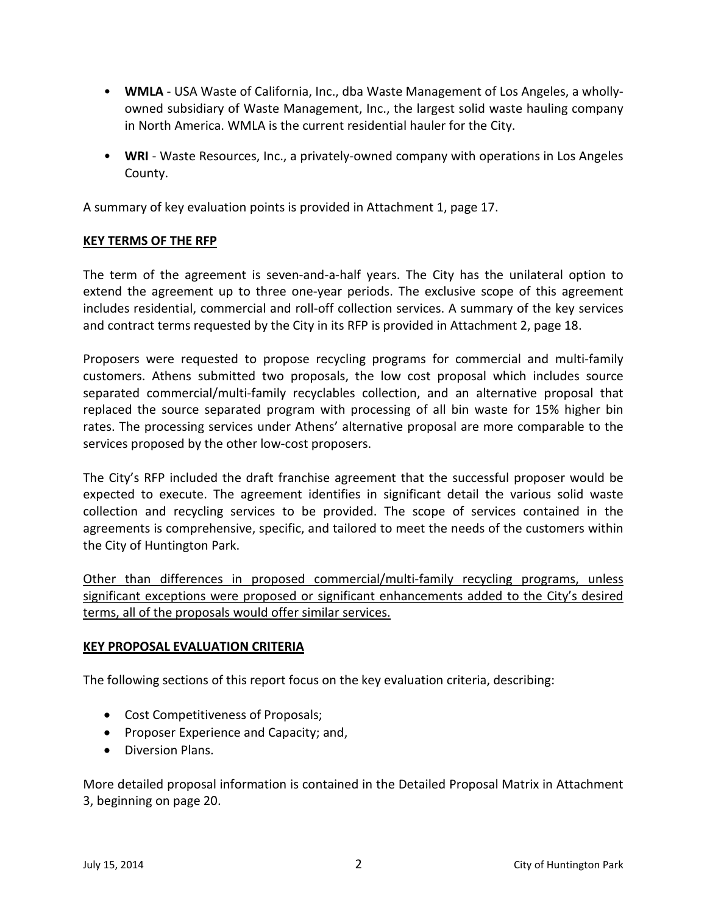- **WMLA** USA Waste of California, Inc., dba Waste Management of Los Angeles, a whollyowned subsidiary of Waste Management, Inc., the largest solid waste hauling company in North America. WMLA is the current residential hauler for the City.
- **WRI**  Waste Resources, Inc., a privately-owned company with operations in Los Angeles County.

A summary of key evaluation points is provided in Attachment 1, page 17.

## **KEY TERMS OF THE RFP**

The term of the agreement is seven-and-a-half years. The City has the unilateral option to extend the agreement up to three one-year periods. The exclusive scope of this agreement includes residential, commercial and roll-off collection services. A summary of the key services and contract terms requested by the City in its RFP is provided in Attachment 2, page 18.

Proposers were requested to propose recycling programs for commercial and multi-family customers. Athens submitted two proposals, the low cost proposal which includes source separated commercial/multi-family recyclables collection, and an alternative proposal that replaced the source separated program with processing of all bin waste for 15% higher bin rates. The processing services under Athens' alternative proposal are more comparable to the services proposed by the other low-cost proposers.

The City's RFP included the draft franchise agreement that the successful proposer would be expected to execute. The agreement identifies in significant detail the various solid waste collection and recycling services to be provided. The scope of services contained in the agreements is comprehensive, specific, and tailored to meet the needs of the customers within the City of Huntington Park.

Other than differences in proposed commercial/multi-family recycling programs, unless significant exceptions were proposed or significant enhancements added to the City's desired terms, all of the proposals would offer similar services.

## **KEY PROPOSAL EVALUATION CRITERIA**

The following sections of this report focus on the key evaluation criteria, describing:

- Cost Competitiveness of Proposals;
- Proposer Experience and Capacity; and,
- Diversion Plans.

More detailed proposal information is contained in the Detailed Proposal Matrix in Attachment 3, beginning on page 20.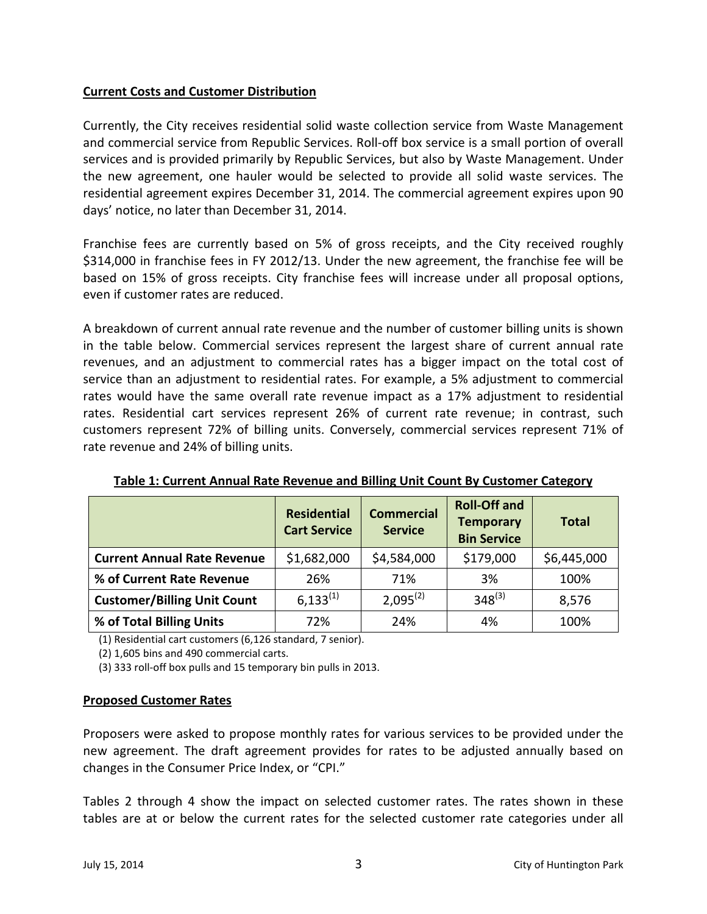# **Current Costs and Customer Distribution**

Currently, the City receives residential solid waste collection service from Waste Management and commercial service from Republic Services. Roll-off box service is a small portion of overall services and is provided primarily by Republic Services, but also by Waste Management. Under the new agreement, one hauler would be selected to provide all solid waste services. The residential agreement expires December 31, 2014. The commercial agreement expires upon 90 days' notice, no later than December 31, 2014.

Franchise fees are currently based on 5% of gross receipts, and the City received roughly \$314,000 in franchise fees in FY 2012/13. Under the new agreement, the franchise fee will be based on 15% of gross receipts. City franchise fees will increase under all proposal options, even if customer rates are reduced.

A breakdown of current annual rate revenue and the number of customer billing units is shown in the table below. Commercial services represent the largest share of current annual rate revenues, and an adjustment to commercial rates has a bigger impact on the total cost of service than an adjustment to residential rates. For example, a 5% adjustment to commercial rates would have the same overall rate revenue impact as a 17% adjustment to residential rates. Residential cart services represent 26% of current rate revenue; in contrast, such customers represent 72% of billing units. Conversely, commercial services represent 71% of rate revenue and 24% of billing units.

|                                    | <b>Residential</b><br><b>Cart Service</b> | <b>Commercial</b><br><b>Service</b> | <b>Roll-Off and</b><br><b>Temporary</b><br><b>Bin Service</b> | <b>Total</b> |
|------------------------------------|-------------------------------------------|-------------------------------------|---------------------------------------------------------------|--------------|
| <b>Current Annual Rate Revenue</b> | \$1,682,000                               | \$4,584,000                         | \$179,000                                                     | \$6,445,000  |
| % of Current Rate Revenue          | 26%                                       | 71%                                 | 3%                                                            | 100%         |
| <b>Customer/Billing Unit Count</b> | $6,133^{(1)}$                             | $2,095^{(2)}$                       | $348^{(3)}$                                                   | 8,576        |
| % of Total Billing Units           | 72%                                       | 24%                                 | 4%                                                            | 100%         |

**Table 1: Current Annual Rate Revenue and Billing Unit Count By Customer Category**

(1) Residential cart customers (6,126 standard, 7 senior).

(2) 1,605 bins and 490 commercial carts.

(3) 333 roll-off box pulls and 15 temporary bin pulls in 2013.

## **Proposed Customer Rates**

Proposers were asked to propose monthly rates for various services to be provided under the new agreement. The draft agreement provides for rates to be adjusted annually based on changes in the Consumer Price Index, or "CPI."

Tables 2 through 4 show the impact on selected customer rates. The rates shown in these tables are at or below the current rates for the selected customer rate categories under all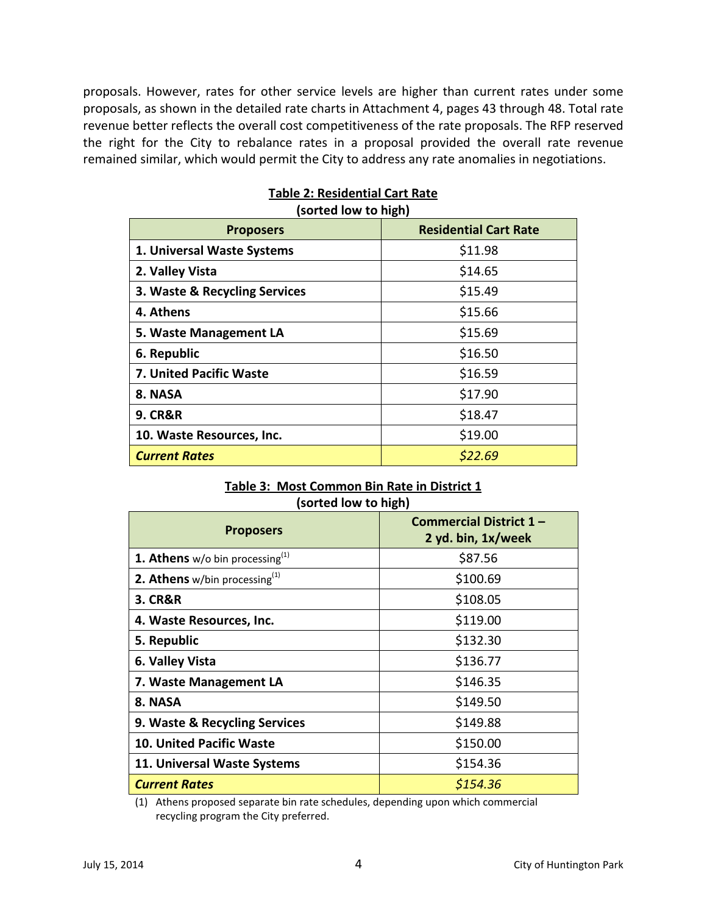proposals. However, rates for other service levels are higher than current rates under some proposals, as shown in the detailed rate charts in Attachment 4, pages 43 through 48. Total rate revenue better reflects the overall cost competitiveness of the rate proposals. The RFP reserved the right for the City to rebalance rates in a proposal provided the overall rate revenue remained similar, which would permit the City to address any rate anomalies in negotiations.

| <b>Proposers</b>              | <b>Residential Cart Rate</b> |
|-------------------------------|------------------------------|
| 1. Universal Waste Systems    | \$11.98                      |
| 2. Valley Vista               | \$14.65                      |
| 3. Waste & Recycling Services | \$15.49                      |
| 4. Athens                     | \$15.66                      |
| 5. Waste Management LA        | \$15.69                      |
| 6. Republic                   | \$16.50                      |
| 7. United Pacific Waste       | \$16.59                      |
| 8. NASA                       | \$17.90                      |
| <b>9. CR&amp;R</b>            | \$18.47                      |
| 10. Waste Resources, Inc.     | \$19.00                      |
| <b>Current Rates</b>          | \$22.69                      |

# **Table 2: Residential Cart Rate (sorted low to high)**

## **Table 3: Most Common Bin Rate in District 1 (sorted low to high)**

| <b>Proposers</b>                             | Commercial District 1- |  |  |
|----------------------------------------------|------------------------|--|--|
|                                              | 2 yd. bin, 1x/week     |  |  |
| <b>1. Athens</b> w/o bin processing $^{(1)}$ | \$87.56                |  |  |
| <b>2. Athens</b> w/bin processing $^{(1)}$   | \$100.69               |  |  |
| <b>3. CR&amp;R</b>                           | \$108.05               |  |  |
| 4. Waste Resources, Inc.                     | \$119.00               |  |  |
| 5. Republic                                  | \$132.30               |  |  |
| 6. Valley Vista                              | \$136.77               |  |  |
| 7. Waste Management LA                       | \$146.35               |  |  |
| 8. NASA                                      | \$149.50               |  |  |
| 9. Waste & Recycling Services                | \$149.88               |  |  |
| <b>10. United Pacific Waste</b>              | \$150.00               |  |  |
| 11. Universal Waste Systems                  | \$154.36               |  |  |
| <b>Current Rates</b>                         | \$154.36               |  |  |

(1) Athens proposed separate bin rate schedules, depending upon which commercial recycling program the City preferred.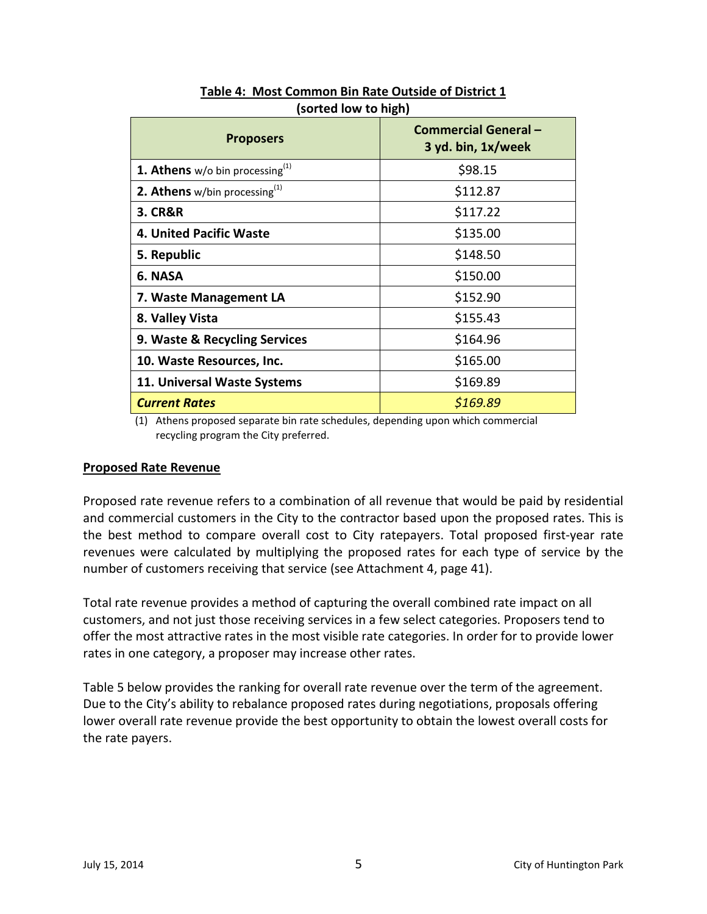| ויימיי יש יישי וטיין                         |                                                   |  |  |  |
|----------------------------------------------|---------------------------------------------------|--|--|--|
| <b>Proposers</b>                             | <b>Commercial General -</b><br>3 yd. bin, 1x/week |  |  |  |
| <b>1. Athens</b> w/o bin processing $^{(1)}$ | \$98.15                                           |  |  |  |
| 2. Athens w/bin processing <sup>(1)</sup>    | \$112.87                                          |  |  |  |
| <b>3. CR&amp;R</b>                           | \$117.22                                          |  |  |  |
| 4. United Pacific Waste                      | \$135.00                                          |  |  |  |
| 5. Republic                                  | \$148.50                                          |  |  |  |
| 6. NASA                                      | \$150.00                                          |  |  |  |
| 7. Waste Management LA                       | \$152.90                                          |  |  |  |
| 8. Valley Vista                              | \$155.43                                          |  |  |  |
| 9. Waste & Recycling Services                | \$164.96                                          |  |  |  |
| 10. Waste Resources, Inc.                    | \$165.00                                          |  |  |  |
| 11. Universal Waste Systems                  | \$169.89                                          |  |  |  |
| <b>Current Rates</b>                         | \$169.89                                          |  |  |  |

**Table 4: Most Common Bin Rate Outside of District 1 (sorted low to high)**

(1) Athens proposed separate bin rate schedules, depending upon which commercial recycling program the City preferred.

## **Proposed Rate Revenue**

Proposed rate revenue refers to a combination of all revenue that would be paid by residential and commercial customers in the City to the contractor based upon the proposed rates. This is the best method to compare overall cost to City ratepayers. Total proposed first-year rate revenues were calculated by multiplying the proposed rates for each type of service by the number of customers receiving that service (see Attachment 4, page 41).

Total rate revenue provides a method of capturing the overall combined rate impact on all customers, and not just those receiving services in a few select categories. Proposers tend to offer the most attractive rates in the most visible rate categories. In order for to provide lower rates in one category, a proposer may increase other rates.

Table 5 below provides the ranking for overall rate revenue over the term of the agreement. Due to the City's ability to rebalance proposed rates during negotiations, proposals offering lower overall rate revenue provide the best opportunity to obtain the lowest overall costs for the rate payers.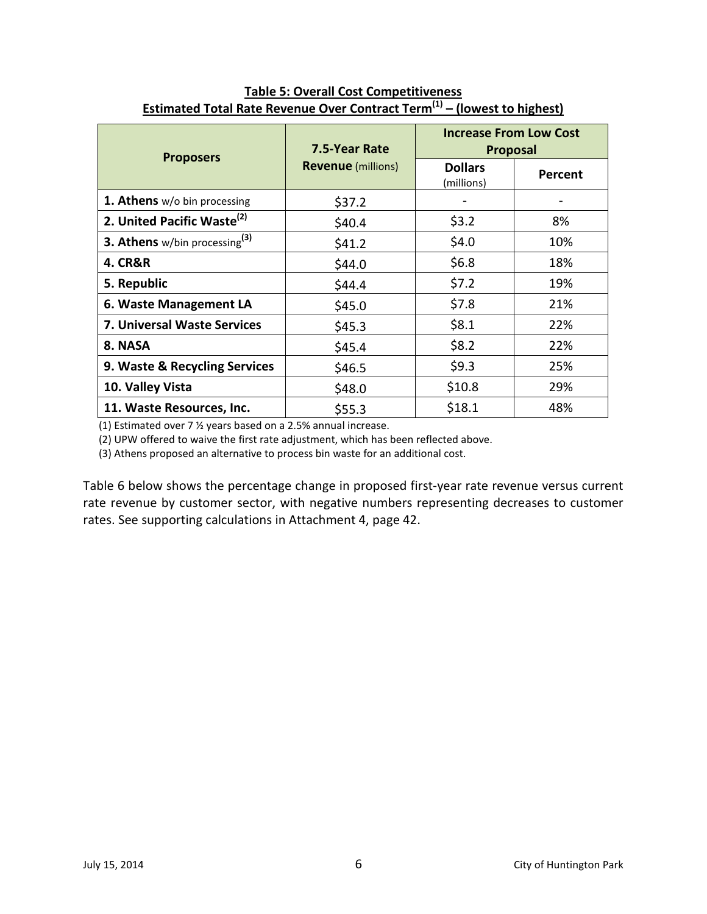|                                           | 7.5-Year Rate             | <b>Increase From Low Cost</b><br><b>Proposal</b> |         |
|-------------------------------------------|---------------------------|--------------------------------------------------|---------|
| <b>Proposers</b>                          | <b>Revenue</b> (millions) | <b>Dollars</b><br>(millions)                     | Percent |
| 1. Athens w/o bin processing              | \$37.2                    |                                                  |         |
| 2. United Pacific Waste <sup>(2)</sup>    | \$40.4                    | \$3.2                                            | 8%      |
| 3. Athens w/bin processing <sup>(3)</sup> | \$41.2                    | \$4.0                                            | 10%     |
| <b>4. CR&amp;R</b>                        | \$44.0                    | \$6.8\$                                          | 18%     |
| 5. Republic                               | \$44.4                    | \$7.2                                            | 19%     |
| 6. Waste Management LA                    | \$45.0                    | \$7.8                                            | 21%     |
| 7. Universal Waste Services               | \$45.3                    | \$8.1                                            | 22%     |
| 8. NASA                                   | \$45.4                    | \$8.2                                            | 22%     |
| 9. Waste & Recycling Services             | \$46.5                    | \$9.3                                            | 25%     |
| 10. Valley Vista                          | \$48.0                    | \$10.8                                           | 29%     |
| 11. Waste Resources, Inc.                 | \$55.3                    | \$18.1                                           | 48%     |

# **Table 5: Overall Cost Competitiveness Estimated Total Rate Revenue Over Contract Term(1) – (lowest to highest)**

(1) Estimated over 7 ½ years based on a 2.5% annual increase.

(2) UPW offered to waive the first rate adjustment, which has been reflected above.

(3) Athens proposed an alternative to process bin waste for an additional cost.

Table 6 below shows the percentage change in proposed first-year rate revenue versus current rate revenue by customer sector, with negative numbers representing decreases to customer rates. See supporting calculations in Attachment 4, page 42.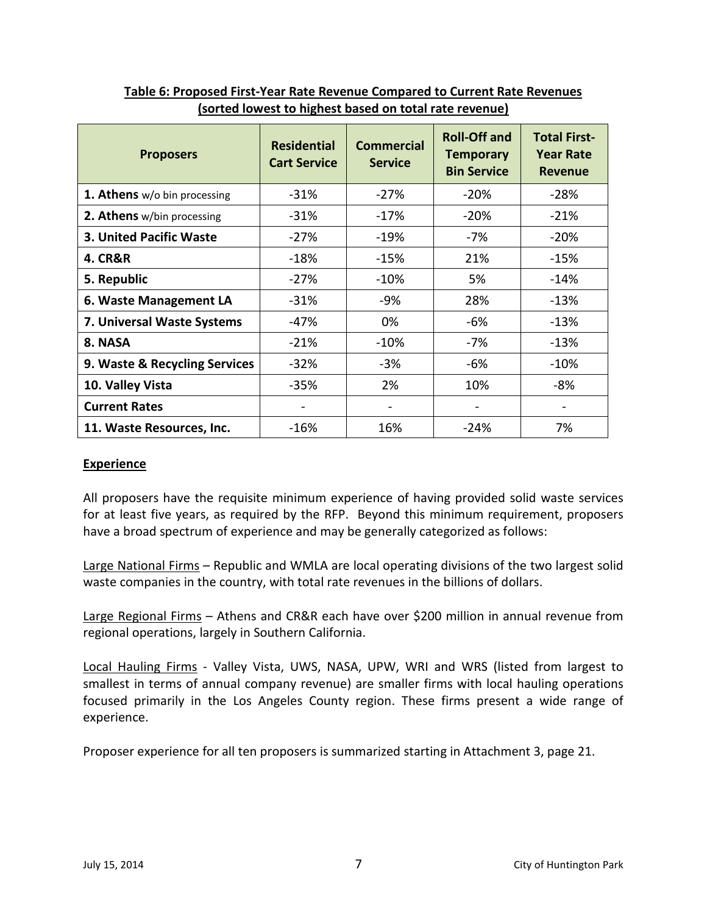| <b>Proposers</b>               | <b>Residential</b><br><b>Cart Service</b> | <b>Commercial</b><br><b>Service</b> | <b>Roll-Off and</b><br><b>Temporary</b><br><b>Bin Service</b> | <b>Total First-</b><br><b>Year Rate</b><br><b>Revenue</b> |
|--------------------------------|-------------------------------------------|-------------------------------------|---------------------------------------------------------------|-----------------------------------------------------------|
| 1. Athens w/o bin processing   | $-31%$                                    | $-27%$                              | $-20%$                                                        | -28%                                                      |
| 2. Athens w/bin processing     | $-31%$                                    | $-17%$                              | $-20%$                                                        | $-21%$                                                    |
| <b>3. United Pacific Waste</b> | $-27%$                                    | $-19%$                              | -7%                                                           | $-20%$                                                    |
| <b>4. CR&amp;R</b>             | $-18%$                                    | $-15%$                              | 21%                                                           | $-15%$                                                    |
| 5. Republic                    | $-27%$                                    | $-10%$                              | 5%                                                            | $-14%$                                                    |
| 6. Waste Management LA         | $-31%$                                    | -9%                                 | 28%                                                           | $-13%$                                                    |
| 7. Universal Waste Systems     | -47%                                      | 0%                                  | -6%                                                           | $-13%$                                                    |
| 8. NASA                        | $-21%$                                    | $-10%$                              | -7%                                                           | $-13%$                                                    |
| 9. Waste & Recycling Services  | -32%                                      | $-3%$                               | -6%                                                           | $-10%$                                                    |
| 10. Valley Vista               | $-35%$                                    | 2%                                  | 10%                                                           | $-8%$                                                     |
| <b>Current Rates</b>           |                                           |                                     |                                                               |                                                           |
| 11. Waste Resources, Inc.      | $-16%$                                    | 16%                                 | $-24%$                                                        | 7%                                                        |

# **Table 6: Proposed First-Year Rate Revenue Compared to Current Rate Revenues (sorted lowest to highest based on total rate revenue)**

# **Experience**

All proposers have the requisite minimum experience of having provided solid waste services for at least five years, as required by the RFP. Beyond this minimum requirement, proposers have a broad spectrum of experience and may be generally categorized as follows:

Large National Firms – Republic and WMLA are local operating divisions of the two largest solid waste companies in the country, with total rate revenues in the billions of dollars.

Large Regional Firms – Athens and CR&R each have over \$200 million in annual revenue from regional operations, largely in Southern California.

Local Hauling Firms - Valley Vista, UWS, NASA, UPW, WRI and WRS (listed from largest to smallest in terms of annual company revenue) are smaller firms with local hauling operations focused primarily in the Los Angeles County region. These firms present a wide range of experience.

Proposer experience for all ten proposers is summarized starting in Attachment 3, page 21.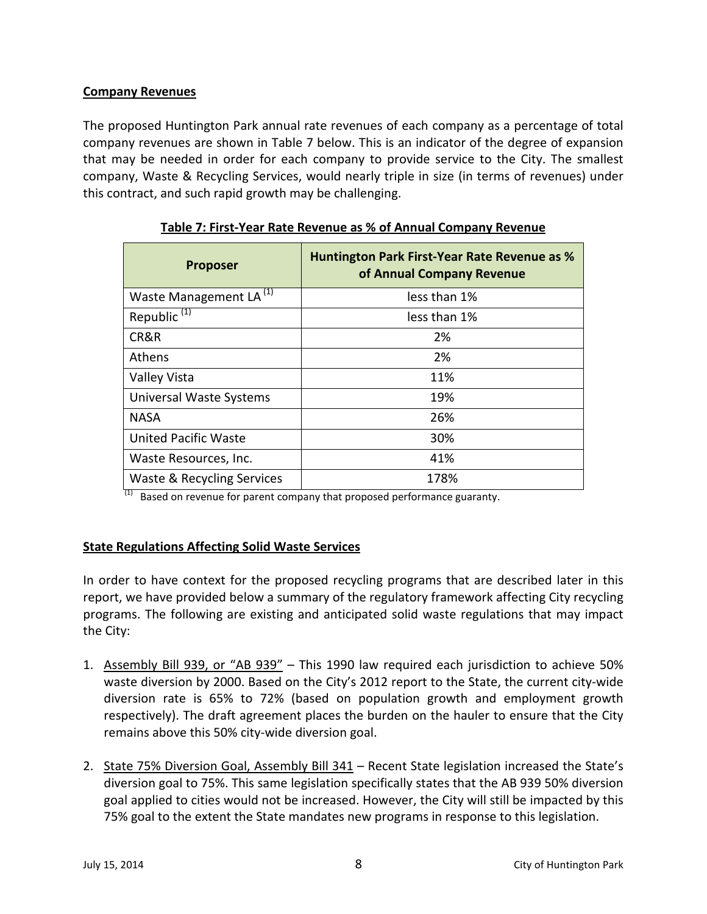# **Company Revenues**

The proposed Huntington Park annual rate revenues of each company as a percentage of total company revenues are shown in Table 7 below. This is an indicator of the degree of expansion that may be needed in order for each company to provide service to the City. The smallest company, Waste & Recycling Services, would nearly triple in size (in terms of revenues) under this contract, and such rapid growth may be challenging.

| <b>Proposer</b>                    | <b>Huntington Park First-Year Rate Revenue as %</b><br>of Annual Company Revenue |
|------------------------------------|----------------------------------------------------------------------------------|
| Waste Management LA <sup>(1)</sup> | less than 1%                                                                     |
| Republic <sup>(1)</sup>            | less than 1%                                                                     |
| CR&R                               | 2%                                                                               |
| <b>Athens</b>                      | 2%                                                                               |
| Valley Vista                       | 11%                                                                              |
| Universal Waste Systems            | 19%                                                                              |
| <b>NASA</b>                        | 26%                                                                              |
| <b>United Pacific Waste</b>        | 30%                                                                              |
| Waste Resources, Inc.              | 41%                                                                              |
| Waste & Recycling Services         | 178%                                                                             |

**Table 7: First-Year Rate Revenue as % of Annual Company Revenue**

 $(1)$  Based on revenue for parent company that proposed performance guaranty.

# **State Regulations Affecting Solid Waste Services**

In order to have context for the proposed recycling programs that are described later in this report, we have provided below a summary of the regulatory framework affecting City recycling programs. The following are existing and anticipated solid waste regulations that may impact the City:

- 1. Assembly Bill 939, or "AB 939" This 1990 law required each jurisdiction to achieve 50% waste diversion by 2000. Based on the City's 2012 report to the State, the current city-wide diversion rate is 65% to 72% (based on population growth and employment growth respectively). The draft agreement places the burden on the hauler to ensure that the City remains above this 50% city-wide diversion goal.
- 2. State 75% Diversion Goal, Assembly Bill 341 Recent State legislation increased the State's diversion goal to 75%. This same legislation specifically states that the AB 939 50% diversion goal applied to cities would not be increased. However, the City will still be impacted by this 75% goal to the extent the State mandates new programs in response to this legislation.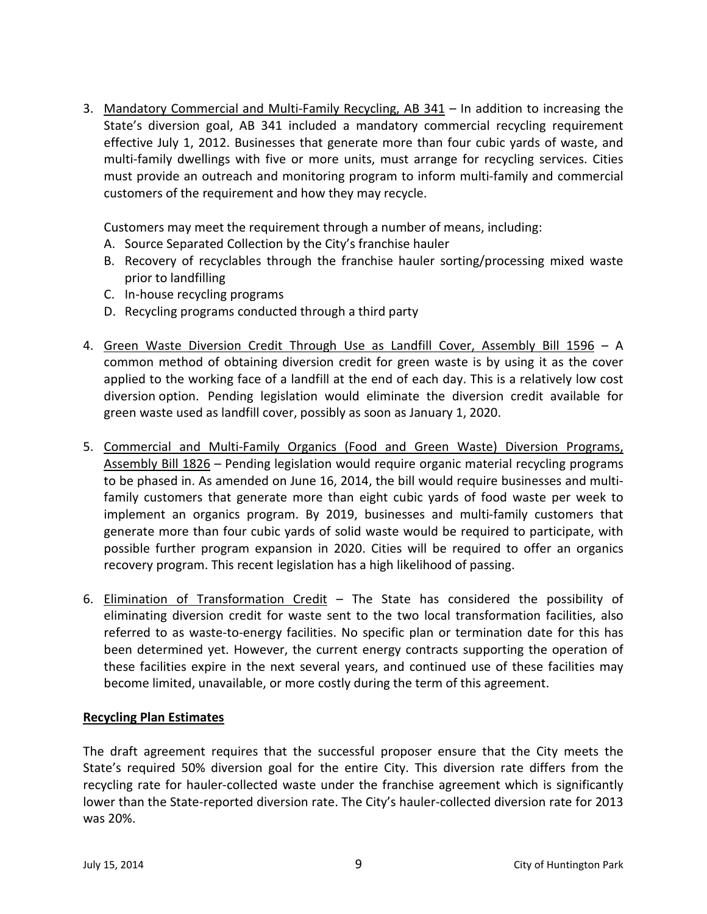3. Mandatory Commercial and Multi-Family Recycling, AB 341 – In addition to increasing the State's diversion goal, AB 341 included a mandatory commercial recycling requirement effective July 1, 2012. Businesses that generate more than four cubic yards of waste, and multi-family dwellings with five or more units, must arrange for recycling services. Cities must provide an outreach and monitoring program to inform multi-family and commercial customers of the requirement and how they may recycle.

Customers may meet the requirement through a number of means, including:

- A. Source Separated Collection by the City's franchise hauler
- B. Recovery of recyclables through the franchise hauler sorting/processing mixed waste prior to landfilling
- C. In-house recycling programs
- D. Recycling programs conducted through a third party
- 4. Green Waste Diversion Credit Through Use as Landfill Cover, Assembly Bill 1596 A common method of obtaining diversion credit for green waste is by using it as the cover applied to the working face of a landfill at the end of each day. This is a relatively low cost diversion option. Pending legislation would eliminate the diversion credit available for green waste used as landfill cover, possibly as soon as January 1, 2020.
- 5. Commercial and Multi-Family Organics (Food and Green Waste) Diversion Programs, Assembly Bill 1826 – Pending legislation would require organic material recycling programs to be phased in. As amended on June 16, 2014, the bill would require businesses and multifamily customers that generate more than eight cubic yards of food waste per week to implement an organics program. By 2019, businesses and multi-family customers that generate more than four cubic yards of solid waste would be required to participate, with possible further program expansion in 2020. Cities will be required to offer an organics recovery program. This recent legislation has a high likelihood of passing.
- 6. Elimination of Transformation Credit The State has considered the possibility of eliminating diversion credit for waste sent to the two local transformation facilities, also referred to as waste-to-energy facilities. No specific plan or termination date for this has been determined yet. However, the current energy contracts supporting the operation of these facilities expire in the next several years, and continued use of these facilities may become limited, unavailable, or more costly during the term of this agreement.

# **Recycling Plan Estimates**

The draft agreement requires that the successful proposer ensure that the City meets the State's required 50% diversion goal for the entire City. This diversion rate differs from the recycling rate for hauler-collected waste under the franchise agreement which is significantly lower than the State-reported diversion rate. The City's hauler-collected diversion rate for 2013 was 20%.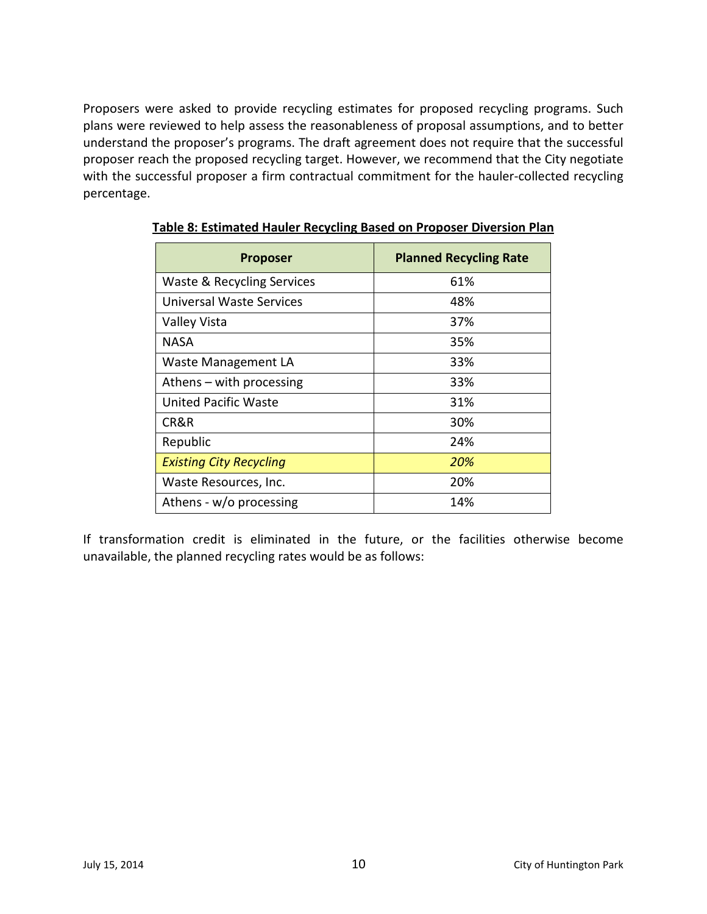Proposers were asked to provide recycling estimates for proposed recycling programs. Such plans were reviewed to help assess the reasonableness of proposal assumptions, and to better understand the proposer's programs. The draft agreement does not require that the successful proposer reach the proposed recycling target. However, we recommend that the City negotiate with the successful proposer a firm contractual commitment for the hauler-collected recycling percentage.

| <b>Proposer</b>                | <b>Planned Recycling Rate</b> |
|--------------------------------|-------------------------------|
| Waste & Recycling Services     | 61%                           |
| Universal Waste Services       | 48%                           |
| Valley Vista                   | 37%                           |
| NASA                           | 35%                           |
| Waste Management LA            | 33%                           |
| Athens – with processing       | 33%                           |
| United Pacific Waste           | 31%                           |
| CR&R                           | 30%                           |
| Republic                       | 24%                           |
| <b>Existing City Recycling</b> | 20%                           |
| Waste Resources, Inc.          | 20%                           |
| Athens - w/o processing        | 14%                           |

**Table 8: Estimated Hauler Recycling Based on Proposer Diversion Plan**

If transformation credit is eliminated in the future, or the facilities otherwise become unavailable, the planned recycling rates would be as follows: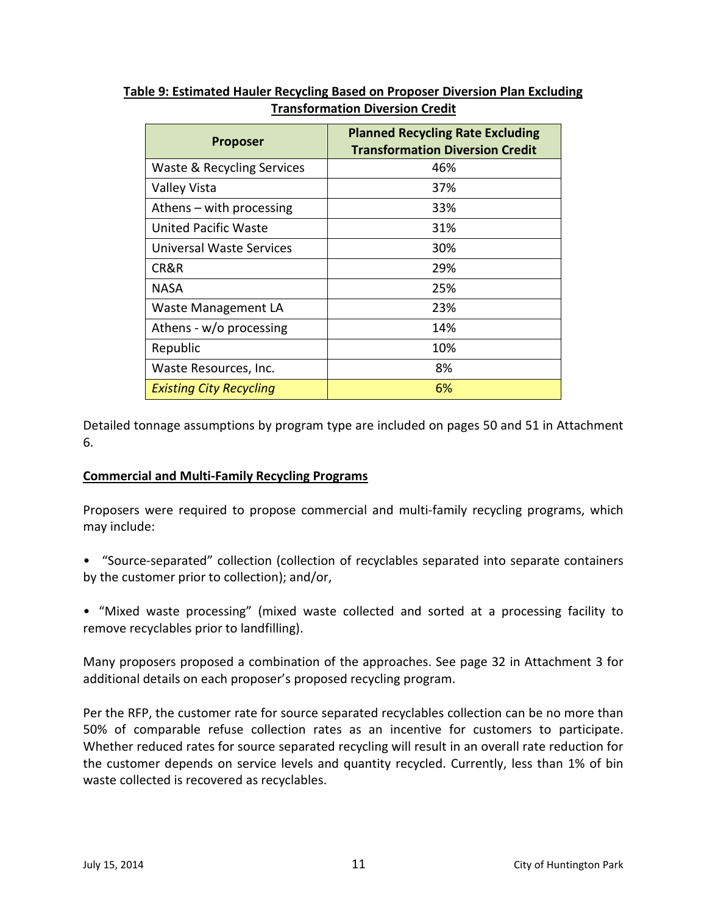| <b>Proposer</b>                | <b>Planned Recycling Rate Excluding</b><br><b>Transformation Diversion Credit</b> |
|--------------------------------|-----------------------------------------------------------------------------------|
| Waste & Recycling Services     | 46%                                                                               |
| Valley Vista                   | 37%                                                                               |
| Athens – with processing       | 33%                                                                               |
| <b>United Pacific Waste</b>    | 31%                                                                               |
| Universal Waste Services       | 30%                                                                               |
| CR&R                           | 29%                                                                               |
| NASA                           | 25%                                                                               |
| <b>Waste Management LA</b>     | 23%                                                                               |
| Athens - w/o processing        | 14%                                                                               |
| Republic                       | 10%                                                                               |
| Waste Resources, Inc.          | 8%                                                                                |
| <b>Existing City Recycling</b> | 6%                                                                                |

# **Table 9: Estimated Hauler Recycling Based on Proposer Diversion Plan Excluding Transformation Diversion Credit**

Detailed tonnage assumptions by program type are included on pages 50 and 51 in Attachment 6.

# **Commercial and Multi-Family Recycling Programs**

Proposers were required to propose commercial and multi-family recycling programs, which may include:

- "Source-separated" collection (collection of recyclables separated into separate containers by the customer prior to collection); and/or,
- "Mixed waste processing" (mixed waste collected and sorted at a processing facility to remove recyclables prior to landfilling).

Many proposers proposed a combination of the approaches. See page 32 in Attachment 3 for additional details on each proposer's proposed recycling program.

Per the RFP, the customer rate for source separated recyclables collection can be no more than 50% of comparable refuse collection rates as an incentive for customers to participate. Whether reduced rates for source separated recycling will result in an overall rate reduction for the customer depends on service levels and quantity recycled. Currently, less than 1% of bin waste collected is recovered as recyclables.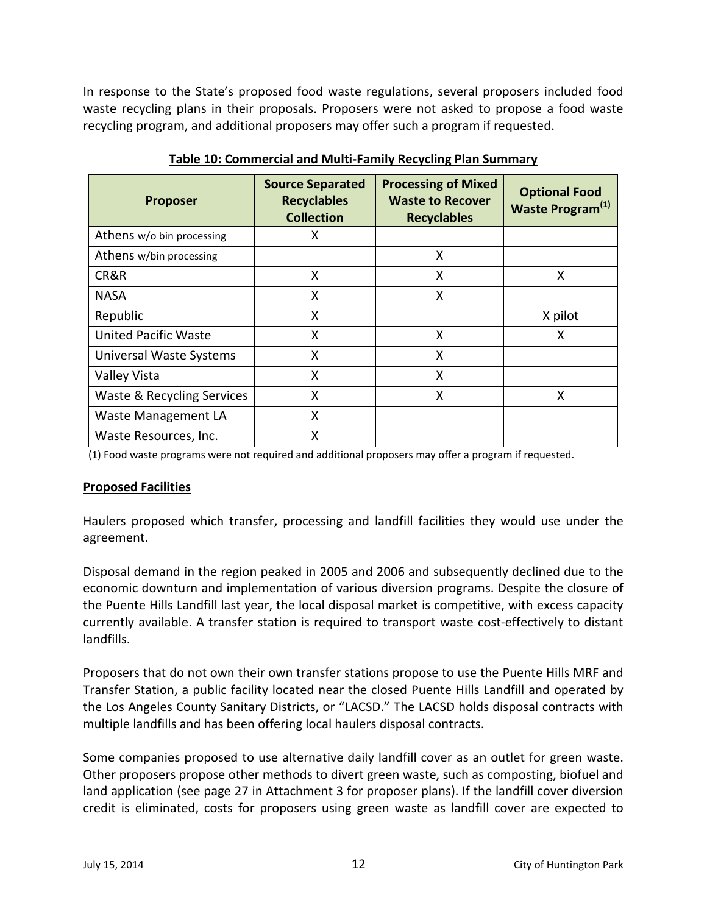In response to the State's proposed food waste regulations, several proposers included food waste recycling plans in their proposals. Proposers were not asked to propose a food waste recycling program, and additional proposers may offer such a program if requested.

| <b>Proposer</b>             | <b>Source Separated</b><br><b>Recyclables</b><br><b>Collection</b> | <b>Processing of Mixed</b><br><b>Waste to Recover</b><br><b>Recyclables</b> | <b>Optional Food</b><br>Waste Program <sup>(1)</sup> |
|-----------------------------|--------------------------------------------------------------------|-----------------------------------------------------------------------------|------------------------------------------------------|
| Athens w/o bin processing   | x                                                                  |                                                                             |                                                      |
| Athens w/bin processing     |                                                                    | X                                                                           |                                                      |
| CR&R                        | X                                                                  | X                                                                           | X                                                    |
| <b>NASA</b>                 | X                                                                  | X                                                                           |                                                      |
| Republic                    | x                                                                  |                                                                             | X pilot                                              |
| <b>United Pacific Waste</b> | X                                                                  | X                                                                           | X                                                    |
| Universal Waste Systems     | X                                                                  | X                                                                           |                                                      |
| Valley Vista                | X                                                                  | X                                                                           |                                                      |
| Waste & Recycling Services  | Χ                                                                  | X                                                                           | x                                                    |
| Waste Management LA         | X                                                                  |                                                                             |                                                      |
| Waste Resources, Inc.       | Χ                                                                  |                                                                             |                                                      |

**Table 10: Commercial and Multi-Family Recycling Plan Summary**

(1) Food waste programs were not required and additional proposers may offer a program if requested.

# **Proposed Facilities**

Haulers proposed which transfer, processing and landfill facilities they would use under the agreement.

Disposal demand in the region peaked in 2005 and 2006 and subsequently declined due to the economic downturn and implementation of various diversion programs. Despite the closure of the Puente Hills Landfill last year, the local disposal market is competitive, with excess capacity currently available. A transfer station is required to transport waste cost-effectively to distant landfills.

Proposers that do not own their own transfer stations propose to use the Puente Hills MRF and Transfer Station, a public facility located near the closed Puente Hills Landfill and operated by the Los Angeles County Sanitary Districts, or "LACSD." The LACSD holds disposal contracts with multiple landfills and has been offering local haulers disposal contracts.

Some companies proposed to use alternative daily landfill cover as an outlet for green waste. Other proposers propose other methods to divert green waste, such as composting, biofuel and land application (see page 27 in Attachment 3 for proposer plans). If the landfill cover diversion credit is eliminated, costs for proposers using green waste as landfill cover are expected to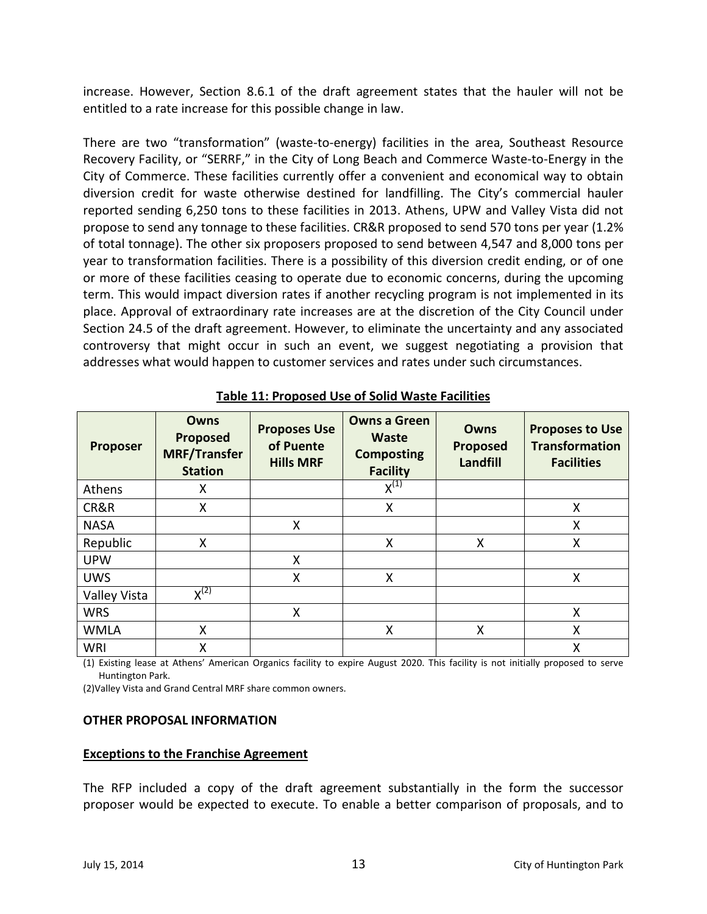increase. However, Section 8.6.1 of the draft agreement states that the hauler will not be entitled to a rate increase for this possible change in law.

There are two "transformation" (waste-to-energy) facilities in the area, Southeast Resource Recovery Facility, or "SERRF," in the City of Long Beach and Commerce Waste-to-Energy in the City of Commerce. These facilities currently offer a convenient and economical way to obtain diversion credit for waste otherwise destined for landfilling. The City's commercial hauler reported sending 6,250 tons to these facilities in 2013. Athens, UPW and Valley Vista did not propose to send any tonnage to these facilities. CR&R proposed to send 570 tons per year (1.2% of total tonnage). The other six proposers proposed to send between 4,547 and 8,000 tons per year to transformation facilities. There is a possibility of this diversion credit ending, or of one or more of these facilities ceasing to operate due to economic concerns, during the upcoming term. This would impact diversion rates if another recycling program is not implemented in its place. Approval of extraordinary rate increases are at the discretion of the City Council under Section 24.5 of the draft agreement. However, to eliminate the uncertainty and any associated controversy that might occur in such an event, we suggest negotiating a provision that addresses what would happen to customer services and rates under such circumstances.

| <b>Proposer</b> | Owns<br>Proposed<br><b>MRF/Transfer</b><br><b>Station</b> | <b>Proposes Use</b><br>of Puente<br><b>Hills MRF</b> | <b>Owns a Green</b><br><b>Waste</b><br><b>Composting</b><br><b>Facility</b> | Owns<br>Proposed<br>Landfill | <b>Proposes to Use</b><br><b>Transformation</b><br><b>Facilities</b> |
|-----------------|-----------------------------------------------------------|------------------------------------------------------|-----------------------------------------------------------------------------|------------------------------|----------------------------------------------------------------------|
| Athens          | X                                                         |                                                      | $X^{(1)}$                                                                   |                              |                                                                      |
| CR&R            | X                                                         |                                                      | Χ                                                                           |                              | Χ                                                                    |
| <b>NASA</b>     |                                                           | X                                                    |                                                                             |                              | Χ                                                                    |
| Republic        | X                                                         |                                                      | X                                                                           | Χ                            | X                                                                    |
| <b>UPW</b>      |                                                           | X                                                    |                                                                             |                              |                                                                      |
| <b>UWS</b>      |                                                           | X                                                    | X                                                                           |                              | X                                                                    |
| Valley Vista    | $X^{(2)}$                                                 |                                                      |                                                                             |                              |                                                                      |
| <b>WRS</b>      |                                                           | X                                                    |                                                                             |                              | X                                                                    |
| <b>WMLA</b>     | X                                                         |                                                      | Χ                                                                           | Χ                            | Χ                                                                    |
| <b>WRI</b>      | X                                                         |                                                      |                                                                             |                              | X                                                                    |

**Table 11: Proposed Use of Solid Waste Facilities**

(1) Existing lease at Athens' American Organics facility to expire August 2020. This facility is not initially proposed to serve Huntington Park.

(2)Valley Vista and Grand Central MRF share common owners.

#### **OTHER PROPOSAL INFORMATION**

#### **Exceptions to the Franchise Agreement**

The RFP included a copy of the draft agreement substantially in the form the successor proposer would be expected to execute. To enable a better comparison of proposals, and to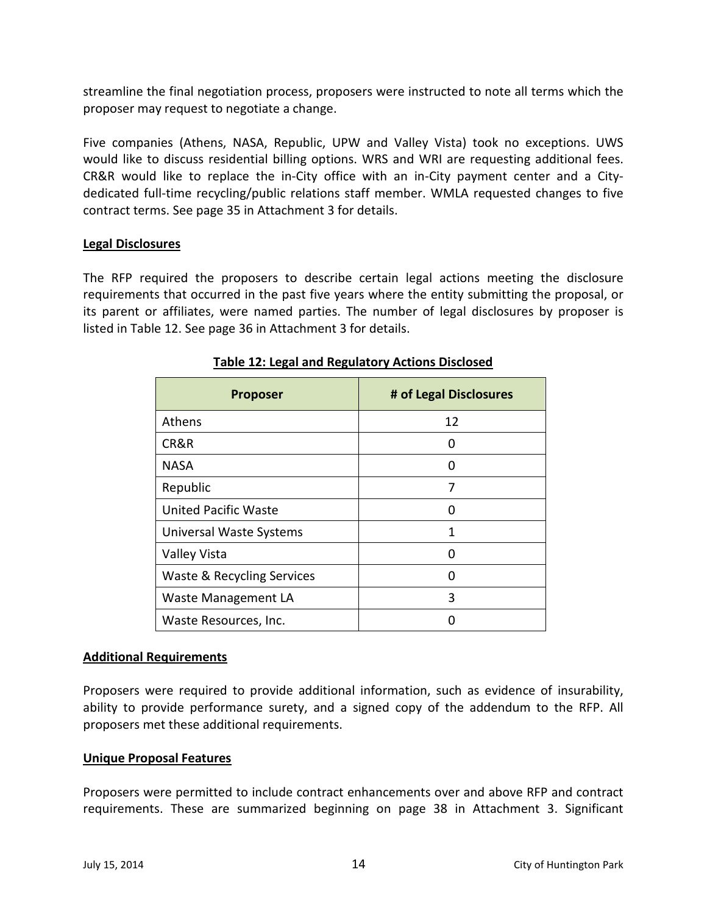streamline the final negotiation process, proposers were instructed to note all terms which the proposer may request to negotiate a change.

Five companies (Athens, NASA, Republic, UPW and Valley Vista) took no exceptions. UWS would like to discuss residential billing options. WRS and WRI are requesting additional fees. CR&R would like to replace the in-City office with an in-City payment center and a Citydedicated full-time recycling/public relations staff member. WMLA requested changes to five contract terms. See page 35 in Attachment 3 for details.

## **Legal Disclosures**

The RFP required the proposers to describe certain legal actions meeting the disclosure requirements that occurred in the past five years where the entity submitting the proposal, or its parent or affiliates, were named parties. The number of legal disclosures by proposer is listed in Table 12. See page 36 in Attachment 3 for details.

| <b>Proposer</b>             | # of Legal Disclosures |
|-----------------------------|------------------------|
| Athens                      | 12                     |
| CR&R                        | 0                      |
| <b>NASA</b>                 | 0                      |
| Republic                    | 7                      |
| <b>United Pacific Waste</b> | O                      |
| Universal Waste Systems     | 1                      |
| Valley Vista                | Ω                      |
| Waste & Recycling Services  | 0                      |
| Waste Management LA         | 3                      |
| Waste Resources, Inc.       |                        |

# **Table 12: Legal and Regulatory Actions Disclosed**

## **Additional Requirements**

Proposers were required to provide additional information, such as evidence of insurability, ability to provide performance surety, and a signed copy of the addendum to the RFP. All proposers met these additional requirements.

## **Unique Proposal Features**

Proposers were permitted to include contract enhancements over and above RFP and contract requirements. These are summarized beginning on page 38 in Attachment 3. Significant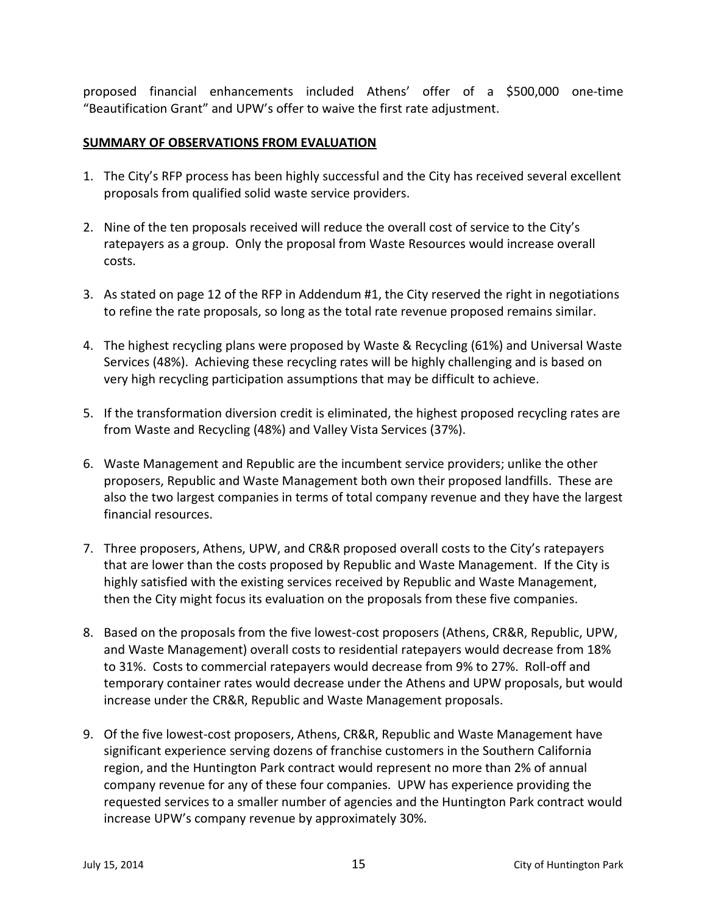proposed financial enhancements included Athens' offer of a \$500,000 one-time "Beautification Grant" and UPW's offer to waive the first rate adjustment.

# **SUMMARY OF OBSERVATIONS FROM EVALUATION**

- 1. The City's RFP process has been highly successful and the City has received several excellent proposals from qualified solid waste service providers.
- 2. Nine of the ten proposals received will reduce the overall cost of service to the City's ratepayers as a group. Only the proposal from Waste Resources would increase overall costs.
- 3. As stated on page 12 of the RFP in Addendum #1, the City reserved the right in negotiations to refine the rate proposals, so long as the total rate revenue proposed remains similar.
- 4. The highest recycling plans were proposed by Waste & Recycling (61%) and Universal Waste Services (48%). Achieving these recycling rates will be highly challenging and is based on very high recycling participation assumptions that may be difficult to achieve.
- 5. If the transformation diversion credit is eliminated, the highest proposed recycling rates are from Waste and Recycling (48%) and Valley Vista Services (37%).
- 6. Waste Management and Republic are the incumbent service providers; unlike the other proposers, Republic and Waste Management both own their proposed landfills. These are also the two largest companies in terms of total company revenue and they have the largest financial resources.
- 7. Three proposers, Athens, UPW, and CR&R proposed overall costs to the City's ratepayers that are lower than the costs proposed by Republic and Waste Management. If the City is highly satisfied with the existing services received by Republic and Waste Management, then the City might focus its evaluation on the proposals from these five companies.
- 8. Based on the proposals from the five lowest-cost proposers (Athens, CR&R, Republic, UPW, and Waste Management) overall costs to residential ratepayers would decrease from 18% to 31%. Costs to commercial ratepayers would decrease from 9% to 27%. Roll-off and temporary container rates would decrease under the Athens and UPW proposals, but would increase under the CR&R, Republic and Waste Management proposals.
- 9. Of the five lowest-cost proposers, Athens, CR&R, Republic and Waste Management have significant experience serving dozens of franchise customers in the Southern California region, and the Huntington Park contract would represent no more than 2% of annual company revenue for any of these four companies. UPW has experience providing the requested services to a smaller number of agencies and the Huntington Park contract would increase UPW's company revenue by approximately 30%.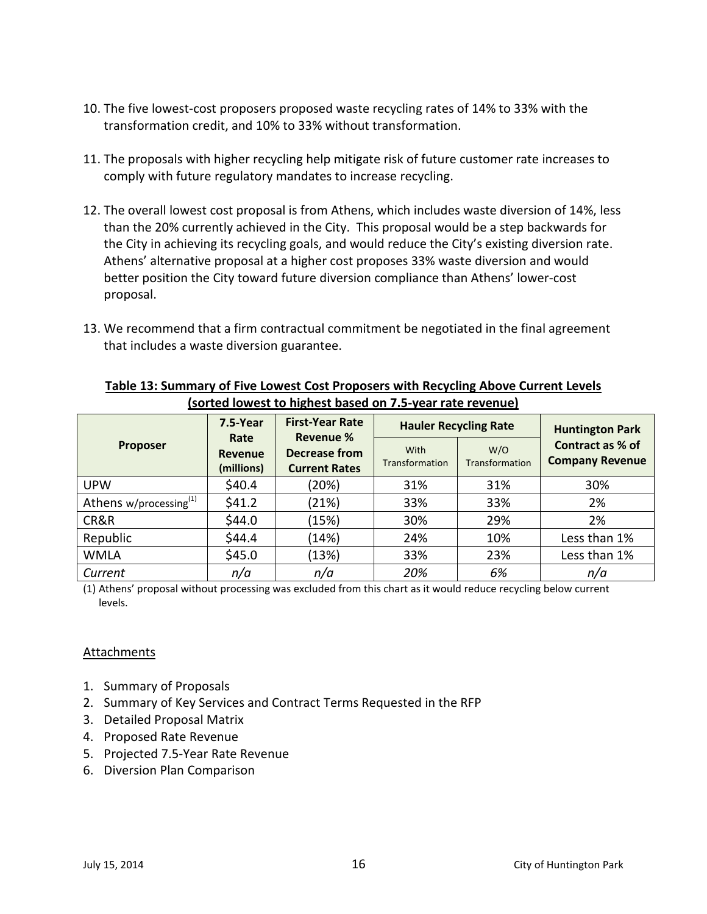- 10. The five lowest-cost proposers proposed waste recycling rates of 14% to 33% with the transformation credit, and 10% to 33% without transformation.
- 11. The proposals with higher recycling help mitigate risk of future customer rate increases to comply with future regulatory mandates to increase recycling.
- 12. The overall lowest cost proposal is from Athens, which includes waste diversion of 14%, less than the 20% currently achieved in the City. This proposal would be a step backwards for the City in achieving its recycling goals, and would reduce the City's existing diversion rate. Athens' alternative proposal at a higher cost proposes 33% waste diversion and would better position the City toward future diversion compliance than Athens' lower-cost proposal.
- 13. We recommend that a firm contractual commitment be negotiated in the final agreement that includes a waste diversion guarantee.

|                                    |          | , SUI LEU TUNICSE LU TIINTICSE MUSCU UIT 713 ȚEUI TULE TENETIUE /                                                               |     |                              |                                            |  |
|------------------------------------|----------|---------------------------------------------------------------------------------------------------------------------------------|-----|------------------------------|--------------------------------------------|--|
|                                    | 7.5-Year | <b>First-Year Rate</b><br>Revenue %<br>Rate<br>Decrease from<br>Revenue<br>Transformation<br>(millions)<br><b>Current Rates</b> |     | <b>Hauler Recycling Rate</b> | <b>Huntington Park</b>                     |  |
| <b>Proposer</b>                    |          |                                                                                                                                 |     | W/O<br>Transformation        | Contract as % of<br><b>Company Revenue</b> |  |
| <b>UPW</b>                         | \$40.4   | (20%)                                                                                                                           | 31% | 31%                          | 30%                                        |  |
| Athens w/processing <sup>(1)</sup> | \$41.2   | (21%)                                                                                                                           | 33% | 33%                          | 2%                                         |  |
| CR&R                               | \$44.0   | (15%)                                                                                                                           | 30% | 29%                          | 2%                                         |  |
| Republic                           | \$44.4   | (14%)                                                                                                                           | 24% | 10%                          | Less than 1%                               |  |
| <b>WMLA</b>                        | \$45.0   | (13%)                                                                                                                           | 33% | 23%                          | Less than 1%                               |  |
| Current                            | n/a      | n/a                                                                                                                             | 20% | 6%                           | n/a                                        |  |

# **Table 13: Summary of Five Lowest Cost Proposers with Recycling Above Current Levels (sorted lowest to highest based on 7.5-year rate revenue)**

(1) Athens' proposal without processing was excluded from this chart as it would reduce recycling below current levels.

# **Attachments**

- 1. Summary of Proposals
- 2. Summary of Key Services and Contract Terms Requested in the RFP
- 3. Detailed Proposal Matrix
- 4. Proposed Rate Revenue
- 5. Projected 7.5-Year Rate Revenue
- 6. Diversion Plan Comparison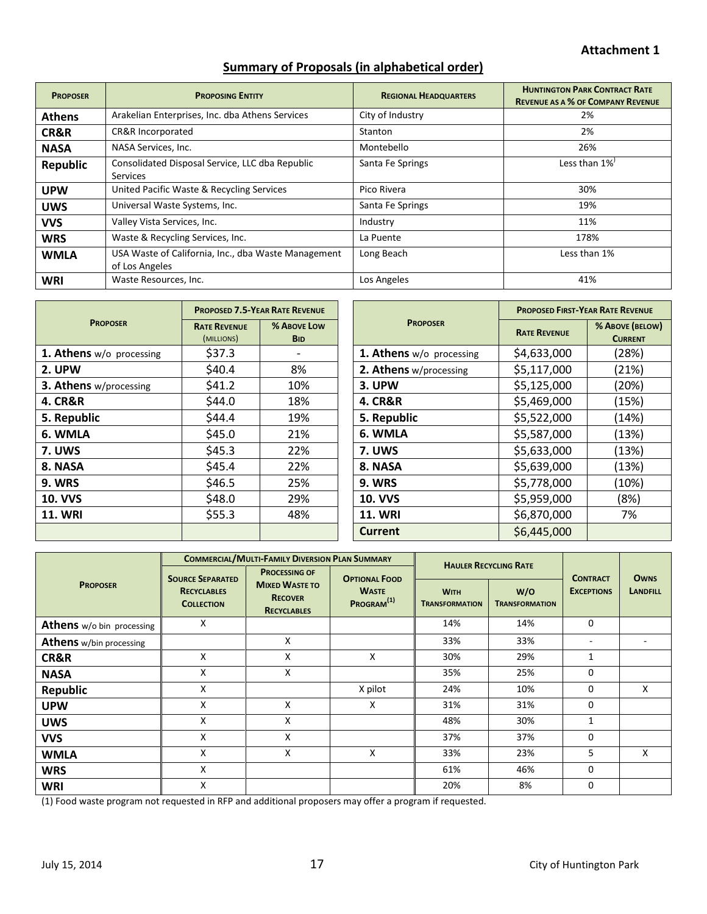# **Summary of Proposals (in alphabetical order)**

| <b>PROPOSER</b> | <b>PROPOSING ENTITY</b>                                               | <b>REGIONAL HEADQUARTERS</b> | <b>HUNTINGTON PARK CONTRACT RATE</b><br><b>REVENUE AS A % OF COMPANY REVENUE</b> |
|-----------------|-----------------------------------------------------------------------|------------------------------|----------------------------------------------------------------------------------|
| <b>Athens</b>   | Arakelian Enterprises, Inc. dba Athens Services                       | City of Industry             | 2%                                                                               |
| CR&R            | CR&R Incorporated                                                     | Stanton                      | 2%                                                                               |
| <b>NASA</b>     | NASA Services, Inc.                                                   | Montebello                   | 26%                                                                              |
| <b>Republic</b> | Consolidated Disposal Service, LLC dba Republic<br><b>Services</b>    | Santa Fe Springs             | Less than $1\%'$                                                                 |
| <b>UPW</b>      | United Pacific Waste & Recycling Services                             | Pico Rivera                  | 30%                                                                              |
| <b>UWS</b>      | Universal Waste Systems, Inc.                                         | Santa Fe Springs             | 19%                                                                              |
| <b>VVS</b>      | Valley Vista Services, Inc.                                           | Industry                     | 11%                                                                              |
| <b>WRS</b>      | Waste & Recycling Services, Inc.                                      | La Puente                    | 178%                                                                             |
| <b>WMLA</b>     | USA Waste of California, Inc., dba Waste Management<br>of Los Angeles | Long Beach                   | Less than 1%                                                                     |
| <b>WRI</b>      | Waste Resources, Inc.                                                 | Los Angeles                  | 41%                                                                              |

|                          | <b>PROPOSED 7.5-YEAR RATE REVENUE</b> |                           |                          | <b>PROPOSED FIRST-YEAR RATE REVENUE</b> |                                   |  |
|--------------------------|---------------------------------------|---------------------------|--------------------------|-----------------------------------------|-----------------------------------|--|
| <b>PROPOSER</b>          | <b>RATE REVENUE</b><br>(MILLIONS)     | % ABOVE LOW<br><b>BID</b> | <b>PROPOSER</b>          | <b>RATE REVENUE</b>                     | % ABOVE (BELOW)<br><b>CURRENT</b> |  |
| 1. Athens w/o processing | \$37.3                                | $\overline{\phantom{a}}$  | 1. Athens w/o processing | \$4,633,000                             | (28%)                             |  |
| 2. UPW                   | \$40.4                                | 8%                        | 2. Athens w/processing   | \$5,117,000                             | (21%)                             |  |
| 3. Athens w/processing   | \$41.2\$                              | 10%                       | 3. UPW                   | \$5,125,000                             | (20%)                             |  |
| <b>4. CR&amp;R</b>       | \$44.0                                | 18%                       | <b>4. CR&amp;R</b>       | \$5,469,000                             | (15%)                             |  |
| 5. Republic              | \$44.4                                | 19%                       | 5. Republic              | \$5,522,000                             | (14%)                             |  |
| 6. WMLA                  | \$45.0                                | 21%                       | 6. WMLA                  | \$5,587,000                             | (13%)                             |  |
| <b>7. UWS</b>            | \$45.3                                | 22%                       | <b>7. UWS</b>            | \$5,633,000                             | (13%)                             |  |
| 8. NASA                  | \$45.4                                | 22%                       | 8. NASA                  | \$5,639,000                             | (13%)                             |  |
| <b>9. WRS</b>            | \$46.5                                | 25%                       | <b>9. WRS</b>            | \$5,778,000                             | (10%)                             |  |
| <b>10. VVS</b>           | \$48.0                                | 29%                       | <b>10. VVS</b>           | \$5,959,000                             | (8%)                              |  |
| <b>11. WRI</b>           | \$55.3                                | 48%                       | <b>11. WRI</b>           | \$6,870,000                             | 7%                                |  |
|                          |                                       |                           | <b>Current</b>           | \$6,445,000                             |                                   |  |

|                                | <b>COMMERCIAL/MULTI-FAMILY DIVERSION PLAN SUMMARY</b> |                                                                                       |                                                                | <b>HAULER RECYCLING RATE</b> |                       |                                      |                                |
|--------------------------------|-------------------------------------------------------|---------------------------------------------------------------------------------------|----------------------------------------------------------------|------------------------------|-----------------------|--------------------------------------|--------------------------------|
| <b>PROPOSER</b>                | <b>SOURCE SEPARATED</b><br><b>RECYCLABLES</b>         | <b>PROCESSING OF</b><br><b>MIXED WASTE TO</b><br><b>RECOVER</b><br><b>RECYCLABLES</b> | <b>OPTIONAL FOOD</b><br><b>WASTE</b><br>PROGRAM <sup>(1)</sup> | W/O<br><b>WITH</b>           |                       | <b>CONTRACT</b><br><b>EXCEPTIONS</b> | <b>OWNS</b><br><b>LANDFILL</b> |
|                                | <b>COLLECTION</b>                                     |                                                                                       |                                                                | <b>TRANSFORMATION</b>        | <b>TRANSFORMATION</b> |                                      |                                |
| Athens w/o bin processing      | X                                                     |                                                                                       |                                                                | 14%                          | 14%                   | 0                                    |                                |
| <b>Athens</b> w/bin processing |                                                       | X                                                                                     |                                                                | 33%                          | 33%                   | ٠.                                   |                                |
| CR&R                           | X                                                     | X                                                                                     | X                                                              | 30%                          | 29%                   | 1                                    |                                |
| <b>NASA</b>                    | X                                                     | X                                                                                     |                                                                | 35%                          | 25%                   | $\Omega$                             |                                |
| Republic                       | X                                                     |                                                                                       | X pilot                                                        | 24%                          | 10%                   | $\Omega$                             | X                              |
| <b>UPW</b>                     | X                                                     | X                                                                                     | X                                                              | 31%                          | 31%                   | 0                                    |                                |
| <b>UWS</b>                     | X                                                     | X                                                                                     |                                                                | 48%                          | 30%                   | 1                                    |                                |
| <b>VVS</b>                     | X                                                     | X                                                                                     |                                                                | 37%                          | 37%                   | $\Omega$                             |                                |
| <b>WMLA</b>                    | X                                                     | X                                                                                     | X                                                              | 33%                          | 23%                   | 5                                    | X                              |
| <b>WRS</b>                     | X                                                     |                                                                                       |                                                                | 61%                          | 46%                   | $\mathbf 0$                          |                                |
| <b>WRI</b>                     | X                                                     |                                                                                       |                                                                | 20%                          | 8%                    | 0                                    |                                |

(1) Food waste program not requested in RFP and additional proposers may offer a program if requested.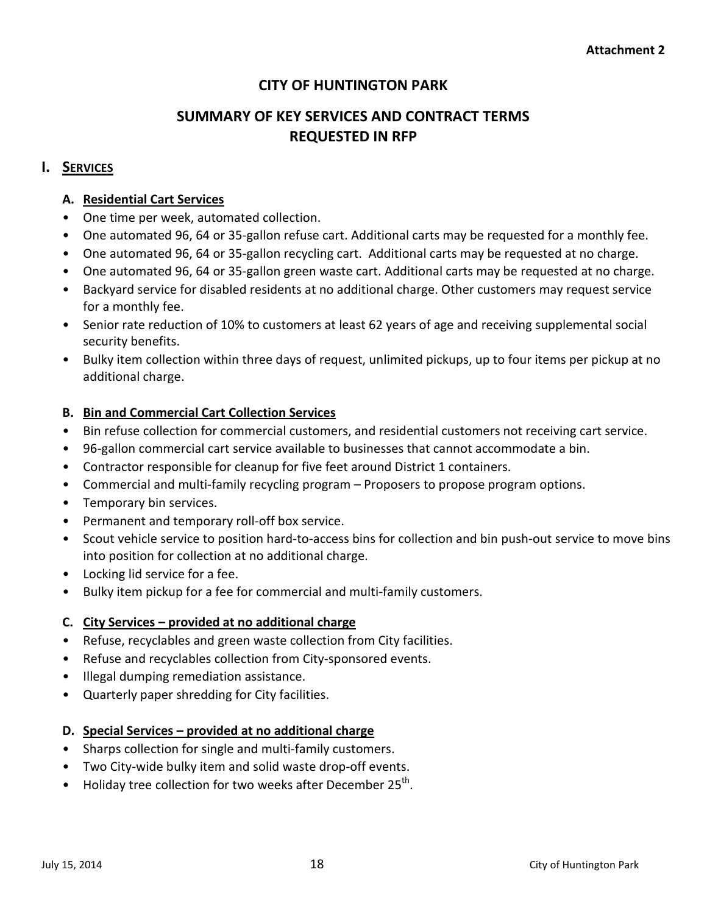# **CITY OF HUNTINGTON PARK**

# **SUMMARY OF KEY SERVICES AND CONTRACT TERMS REQUESTED IN RFP**

# **I. SERVICES**

# **A. Residential Cart Services**

- One time per week, automated collection.
- One automated 96, 64 or 35-gallon refuse cart. Additional carts may be requested for a monthly fee.
- One automated 96, 64 or 35-gallon recycling cart. Additional carts may be requested at no charge.
- One automated 96, 64 or 35-gallon green waste cart. Additional carts may be requested at no charge.
- Backyard service for disabled residents at no additional charge. Other customers may request service for a monthly fee.
- Senior rate reduction of 10% to customers at least 62 years of age and receiving supplemental social security benefits.
- Bulky item collection within three days of request, unlimited pickups, up to four items per pickup at no additional charge.

# **B. Bin and Commercial Cart Collection Services**

- Bin refuse collection for commercial customers, and residential customers not receiving cart service.
- 96-gallon commercial cart service available to businesses that cannot accommodate a bin.
- Contractor responsible for cleanup for five feet around District 1 containers.
- Commercial and multi-family recycling program Proposers to propose program options.
- Temporary bin services.
- Permanent and temporary roll-off box service.
- Scout vehicle service to position hard-to-access bins for collection and bin push-out service to move bins into position for collection at no additional charge.
- Locking lid service for a fee.
- Bulky item pickup for a fee for commercial and multi-family customers.

# **C. City Services – provided at no additional charge**

- Refuse, recyclables and green waste collection from City facilities.
- Refuse and recyclables collection from City-sponsored events.
- Illegal dumping remediation assistance.
- Quarterly paper shredding for City facilities.

# **D. Special Services – provided at no additional charge**

- Sharps collection for single and multi-family customers.
- Two City-wide bulky item and solid waste drop-off events.
- Holiday tree collection for two weeks after December  $25<sup>th</sup>$ .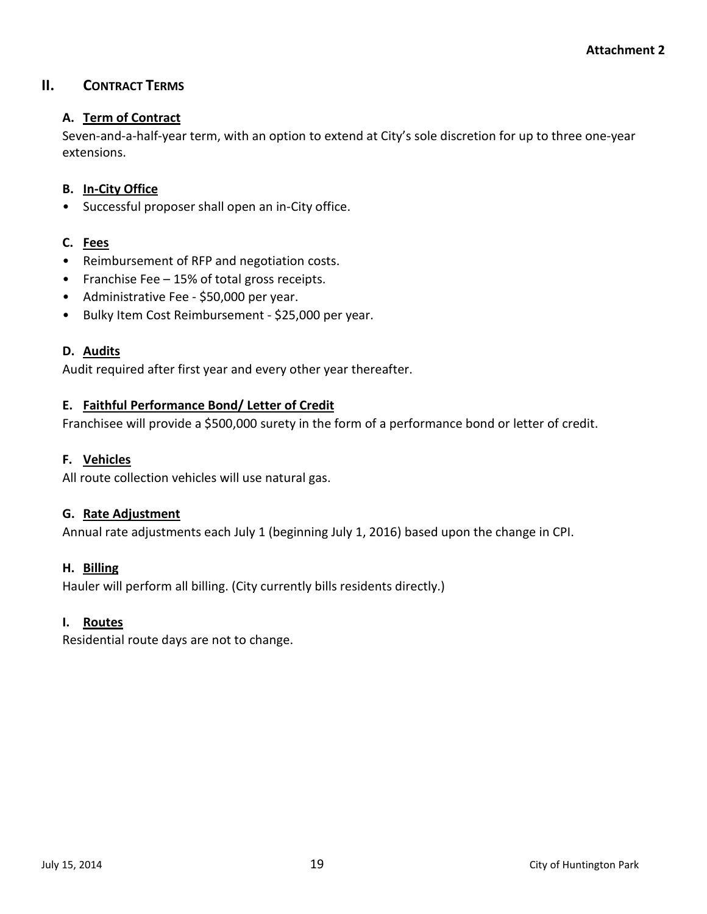# **II. CONTRACT TERMS**

# **A. Term of Contract**

Seven-and-a-half-year term, with an option to extend at City's sole discretion for up to three one-year extensions.

# **B. In-City Office**

• Successful proposer shall open an in-City office.

# **C. Fees**

- Reimbursement of RFP and negotiation costs.
- Franchise Fee 15% of total gross receipts.
- Administrative Fee \$50,000 per year.
- Bulky Item Cost Reimbursement \$25,000 per year.

## **D. Audits**

Audit required after first year and every other year thereafter.

# **E. Faithful Performance Bond/ Letter of Credit**

Franchisee will provide a \$500,000 surety in the form of a performance bond or letter of credit.

# **F. Vehicles**

All route collection vehicles will use natural gas.

## **G. Rate Adjustment**

Annual rate adjustments each July 1 (beginning July 1, 2016) based upon the change in CPI.

## **H. Billing**

Hauler will perform all billing. (City currently bills residents directly.)

## **I. Routes**

Residential route days are not to change.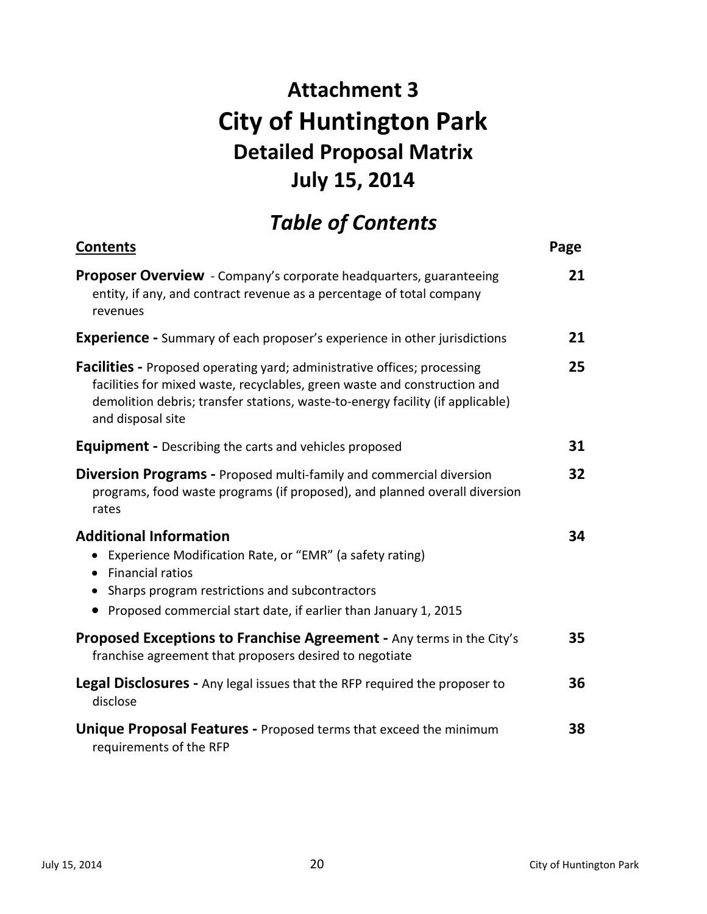# **Attachment 3 City of Huntington Park Detailed Proposal Matrix July 15, 2014**

# *Table of Contents*

| <b>Contents</b>                                                                                                                                                                                                                                              | Page |
|--------------------------------------------------------------------------------------------------------------------------------------------------------------------------------------------------------------------------------------------------------------|------|
| <b>Proposer Overview</b> - Company's corporate headquarters, guaranteeing<br>entity, if any, and contract revenue as a percentage of total company<br>revenues                                                                                               | 21   |
| <b>Experience</b> - Summary of each proposer's experience in other jurisdictions                                                                                                                                                                             | 21   |
| Facilities - Proposed operating yard; administrative offices; processing<br>facilities for mixed waste, recyclables, green waste and construction and<br>demolition debris; transfer stations, waste-to-energy facility (if applicable)<br>and disposal site | 25   |
| <b>Equipment</b> - Describing the carts and vehicles proposed                                                                                                                                                                                                | 31   |
| <b>Diversion Programs - Proposed multi-family and commercial diversion</b><br>programs, food waste programs (if proposed), and planned overall diversion<br>rates                                                                                            | 32   |
| <b>Additional Information</b><br>• Experience Modification Rate, or "EMR" (a safety rating)<br>• Financial ratios<br>• Sharps program restrictions and subcontractors<br>• Proposed commercial start date, if earlier than January 1, 2015                   | 34   |
| Proposed Exceptions to Franchise Agreement - Any terms in the City's<br>franchise agreement that proposers desired to negotiate                                                                                                                              | 35   |
| Legal Disclosures - Any legal issues that the RFP required the proposer to<br>disclose                                                                                                                                                                       | 36   |
| <b>Unique Proposal Features - Proposed terms that exceed the minimum</b><br>requirements of the RFP                                                                                                                                                          | 38   |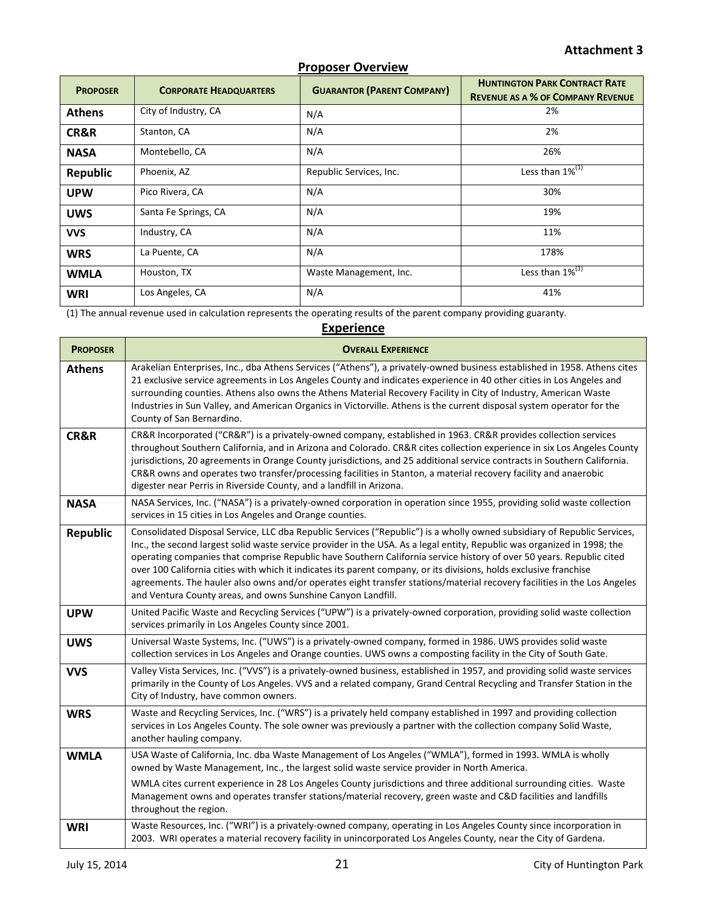| <b>PROPOSER</b> | <b>CORPORATE HEADQUARTERS</b> | <b>GUARANTOR (PARENT COMPANY)</b> | <b>HUNTINGTON PARK CONTRACT RATE</b><br><b>REVENUE AS A % OF COMPANY REVENUE</b> |
|-----------------|-------------------------------|-----------------------------------|----------------------------------------------------------------------------------|
| <b>Athens</b>   | City of Industry, CA          | N/A                               | 2%                                                                               |
| CR&R            | Stanton, CA                   | N/A                               | 2%                                                                               |
| <b>NASA</b>     | Montebello, CA                | N/A                               | 26%                                                                              |
| <b>Republic</b> | Phoenix, AZ                   | Republic Services, Inc.           | Less than $1\%^{(1)}$                                                            |
| <b>UPW</b>      | Pico Rivera, CA               | N/A                               | 30%                                                                              |
| <b>UWS</b>      | Santa Fe Springs, CA          | N/A                               | 19%                                                                              |
| <b>VVS</b>      | Industry, CA                  | N/A                               | 11%                                                                              |
| <b>WRS</b>      | La Puente, CA                 | N/A                               | 178%                                                                             |
| <b>WMLA</b>     | Houston, TX                   | Waste Management, Inc.            | Less than $1\%^{(1)}$                                                            |
| <b>WRI</b>      | Los Angeles, CA               | N/A                               | 41%                                                                              |

(1) The annual revenue used in calculation represents the operating results of the parent company providing guaranty.

# **Experience**

| <b>PROPOSER</b> | <b>OVERALL EXPERIENCE</b>                                                                                                                                                                                                                                                                                                                                                                                                                                                                                                                                                                                                                                                                      |
|-----------------|------------------------------------------------------------------------------------------------------------------------------------------------------------------------------------------------------------------------------------------------------------------------------------------------------------------------------------------------------------------------------------------------------------------------------------------------------------------------------------------------------------------------------------------------------------------------------------------------------------------------------------------------------------------------------------------------|
| <b>Athens</b>   | Arakelian Enterprises, Inc., dba Athens Services ("Athens"), a privately-owned business established in 1958. Athens cites<br>21 exclusive service agreements in Los Angeles County and indicates experience in 40 other cities in Los Angeles and<br>surrounding counties. Athens also owns the Athens Material Recovery Facility in City of Industry, American Waste<br>Industries in Sun Valley, and American Organics in Victorville. Athens is the current disposal system operator for the<br>County of San Bernardino.                                                                                                                                                                   |
| CR&R            | CR&R Incorporated ("CR&R") is a privately-owned company, established in 1963. CR&R provides collection services<br>throughout Southern California, and in Arizona and Colorado. CR&R cites collection experience in six Los Angeles County<br>jurisdictions, 20 agreements in Orange County jurisdictions, and 25 additional service contracts in Southern California.<br>CR&R owns and operates two transfer/processing facilities in Stanton, a material recovery facility and anaerobic<br>digester near Perris in Riverside County, and a landfill in Arizona.                                                                                                                             |
| <b>NASA</b>     | NASA Services, Inc. ("NASA") is a privately-owned corporation in operation since 1955, providing solid waste collection<br>services in 15 cities in Los Angeles and Orange counties.                                                                                                                                                                                                                                                                                                                                                                                                                                                                                                           |
| <b>Republic</b> | Consolidated Disposal Service, LLC dba Republic Services ("Republic") is a wholly owned subsidiary of Republic Services,<br>Inc., the second largest solid waste service provider in the USA. As a legal entity, Republic was organized in 1998; the<br>operating companies that comprise Republic have Southern California service history of over 50 years. Republic cited<br>over 100 California cities with which it indicates its parent company, or its divisions, holds exclusive franchise<br>agreements. The hauler also owns and/or operates eight transfer stations/material recovery facilities in the Los Angeles<br>and Ventura County areas, and owns Sunshine Canyon Landfill. |
| <b>UPW</b>      | United Pacific Waste and Recycling Services ("UPW") is a privately-owned corporation, providing solid waste collection<br>services primarily in Los Angeles County since 2001.                                                                                                                                                                                                                                                                                                                                                                                                                                                                                                                 |
| <b>UWS</b>      | Universal Waste Systems, Inc. ("UWS") is a privately-owned company, formed in 1986. UWS provides solid waste<br>collection services in Los Angeles and Orange counties. UWS owns a composting facility in the City of South Gate.                                                                                                                                                                                                                                                                                                                                                                                                                                                              |
| <b>VVS</b>      | Valley Vista Services, Inc. ("VVS") is a privately-owned business, established in 1957, and providing solid waste services<br>primarily in the County of Los Angeles. VVS and a related company, Grand Central Recycling and Transfer Station in the<br>City of Industry, have common owners.                                                                                                                                                                                                                                                                                                                                                                                                  |
| <b>WRS</b>      | Waste and Recycling Services, Inc. ("WRS") is a privately held company established in 1997 and providing collection<br>services in Los Angeles County. The sole owner was previously a partner with the collection company Solid Waste,<br>another hauling company.                                                                                                                                                                                                                                                                                                                                                                                                                            |
| <b>WMLA</b>     | USA Waste of California, Inc. dba Waste Management of Los Angeles ("WMLA"), formed in 1993. WMLA is wholly<br>owned by Waste Management, Inc., the largest solid waste service provider in North America.                                                                                                                                                                                                                                                                                                                                                                                                                                                                                      |
|                 | WMLA cites current experience in 28 Los Angeles County jurisdictions and three additional surrounding cities. Waste<br>Management owns and operates transfer stations/material recovery, green waste and C&D facilities and landfills<br>throughout the region.                                                                                                                                                                                                                                                                                                                                                                                                                                |
| <b>WRI</b>      | Waste Resources, Inc. ("WRI") is a privately-owned company, operating in Los Angeles County since incorporation in<br>2003. WRI operates a material recovery facility in unincorporated Los Angeles County, near the City of Gardena.                                                                                                                                                                                                                                                                                                                                                                                                                                                          |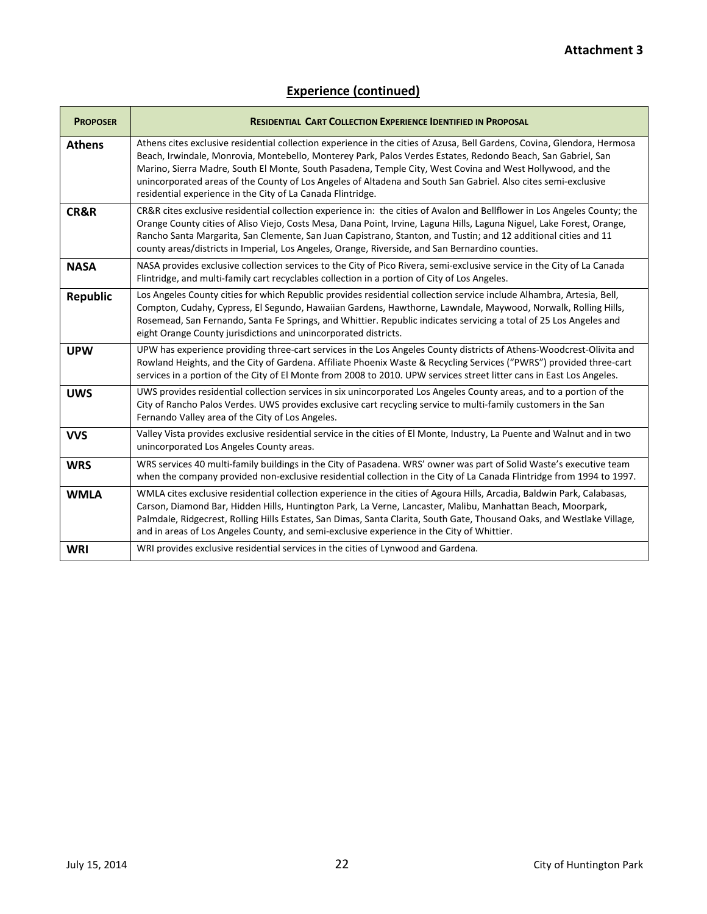| <b>PROPOSER</b> | <b>RESIDENTIAL CART COLLECTION EXPERIENCE IDENTIFIED IN PROPOSAL</b>                                                                                                                                                                                                                                                                                                                                                                                                                                                                    |
|-----------------|-----------------------------------------------------------------------------------------------------------------------------------------------------------------------------------------------------------------------------------------------------------------------------------------------------------------------------------------------------------------------------------------------------------------------------------------------------------------------------------------------------------------------------------------|
| <b>Athens</b>   | Athens cites exclusive residential collection experience in the cities of Azusa, Bell Gardens, Covina, Glendora, Hermosa<br>Beach, Irwindale, Monrovia, Montebello, Monterey Park, Palos Verdes Estates, Redondo Beach, San Gabriel, San<br>Marino, Sierra Madre, South El Monte, South Pasadena, Temple City, West Covina and West Hollywood, and the<br>unincorporated areas of the County of Los Angeles of Altadena and South San Gabriel. Also cites semi-exclusive<br>residential experience in the City of La Canada Flintridge. |
| CR&R            | CR&R cites exclusive residential collection experience in: the cities of Avalon and Bellflower in Los Angeles County; the<br>Orange County cities of Aliso Viejo, Costs Mesa, Dana Point, Irvine, Laguna Hills, Laguna Niguel, Lake Forest, Orange,<br>Rancho Santa Margarita, San Clemente, San Juan Capistrano, Stanton, and Tustin; and 12 additional cities and 11<br>county areas/districts in Imperial, Los Angeles, Orange, Riverside, and San Bernardino counties.                                                              |
| <b>NASA</b>     | NASA provides exclusive collection services to the City of Pico Rivera, semi-exclusive service in the City of La Canada<br>Flintridge, and multi-family cart recyclables collection in a portion of City of Los Angeles.                                                                                                                                                                                                                                                                                                                |
| <b>Republic</b> | Los Angeles County cities for which Republic provides residential collection service include Alhambra, Artesia, Bell,<br>Compton, Cudahy, Cypress, El Segundo, Hawaiian Gardens, Hawthorne, Lawndale, Maywood, Norwalk, Rolling Hills,<br>Rosemead, San Fernando, Santa Fe Springs, and Whittier. Republic indicates servicing a total of 25 Los Angeles and<br>eight Orange County jurisdictions and unincorporated districts.                                                                                                         |
| <b>UPW</b>      | UPW has experience providing three-cart services in the Los Angeles County districts of Athens-Woodcrest-Olivita and<br>Rowland Heights, and the City of Gardena. Affiliate Phoenix Waste & Recycling Services ("PWRS") provided three-cart<br>services in a portion of the City of El Monte from 2008 to 2010. UPW services street litter cans in East Los Angeles.                                                                                                                                                                    |
| <b>UWS</b>      | UWS provides residential collection services in six unincorporated Los Angeles County areas, and to a portion of the<br>City of Rancho Palos Verdes. UWS provides exclusive cart recycling service to multi-family customers in the San<br>Fernando Valley area of the City of Los Angeles.                                                                                                                                                                                                                                             |
| <b>VVS</b>      | Valley Vista provides exclusive residential service in the cities of El Monte, Industry, La Puente and Walnut and in two<br>unincorporated Los Angeles County areas.                                                                                                                                                                                                                                                                                                                                                                    |
| <b>WRS</b>      | WRS services 40 multi-family buildings in the City of Pasadena. WRS' owner was part of Solid Waste's executive team<br>when the company provided non-exclusive residential collection in the City of La Canada Flintridge from 1994 to 1997.                                                                                                                                                                                                                                                                                            |
| <b>WMLA</b>     | WMLA cites exclusive residential collection experience in the cities of Agoura Hills, Arcadia, Baldwin Park, Calabasas,<br>Carson, Diamond Bar, Hidden Hills, Huntington Park, La Verne, Lancaster, Malibu, Manhattan Beach, Moorpark,<br>Palmdale, Ridgecrest, Rolling Hills Estates, San Dimas, Santa Clarita, South Gate, Thousand Oaks, and Westlake Village,<br>and in areas of Los Angeles County, and semi-exclusive experience in the City of Whittier.                                                                         |
| <b>WRI</b>      | WRI provides exclusive residential services in the cities of Lynwood and Gardena.                                                                                                                                                                                                                                                                                                                                                                                                                                                       |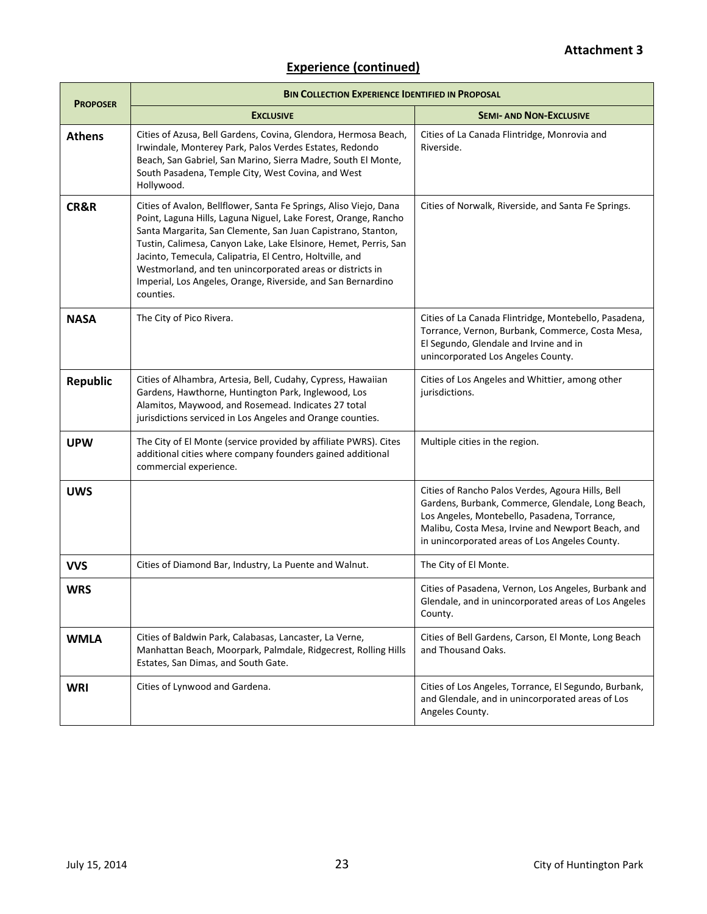# **Experience (continued)**

| <b>PROPOSER</b> | <b>BIN COLLECTION EXPERIENCE IDENTIFIED IN PROPOSAL</b>                                                                                                                                                                                                                                                                                                                                                                                                                        |                                                                                                                                                                                                                                                               |  |  |  |
|-----------------|--------------------------------------------------------------------------------------------------------------------------------------------------------------------------------------------------------------------------------------------------------------------------------------------------------------------------------------------------------------------------------------------------------------------------------------------------------------------------------|---------------------------------------------------------------------------------------------------------------------------------------------------------------------------------------------------------------------------------------------------------------|--|--|--|
|                 | <b>EXCLUSIVE</b>                                                                                                                                                                                                                                                                                                                                                                                                                                                               | <b>SEMI- AND NON-EXCLUSIVE</b>                                                                                                                                                                                                                                |  |  |  |
| <b>Athens</b>   | Cities of Azusa, Bell Gardens, Covina, Glendora, Hermosa Beach,<br>Irwindale, Monterey Park, Palos Verdes Estates, Redondo<br>Beach, San Gabriel, San Marino, Sierra Madre, South El Monte,<br>South Pasadena, Temple City, West Covina, and West<br>Hollywood.                                                                                                                                                                                                                | Cities of La Canada Flintridge, Monrovia and<br>Riverside.                                                                                                                                                                                                    |  |  |  |
| CR&R            | Cities of Avalon, Bellflower, Santa Fe Springs, Aliso Viejo, Dana<br>Point, Laguna Hills, Laguna Niguel, Lake Forest, Orange, Rancho<br>Santa Margarita, San Clemente, San Juan Capistrano, Stanton,<br>Tustin, Calimesa, Canyon Lake, Lake Elsinore, Hemet, Perris, San<br>Jacinto, Temecula, Calipatria, El Centro, Holtville, and<br>Westmorland, and ten unincorporated areas or districts in<br>Imperial, Los Angeles, Orange, Riverside, and San Bernardino<br>counties. | Cities of Norwalk, Riverside, and Santa Fe Springs.                                                                                                                                                                                                           |  |  |  |
| <b>NASA</b>     | The City of Pico Rivera.                                                                                                                                                                                                                                                                                                                                                                                                                                                       | Cities of La Canada Flintridge, Montebello, Pasadena,<br>Torrance, Vernon, Burbank, Commerce, Costa Mesa,<br>El Segundo, Glendale and Irvine and in<br>unincorporated Los Angeles County.                                                                     |  |  |  |
| <b>Republic</b> | Cities of Alhambra, Artesia, Bell, Cudahy, Cypress, Hawaiian<br>Gardens, Hawthorne, Huntington Park, Inglewood, Los<br>Alamitos, Maywood, and Rosemead. Indicates 27 total<br>jurisdictions serviced in Los Angeles and Orange counties.                                                                                                                                                                                                                                       | Cities of Los Angeles and Whittier, among other<br>jurisdictions.                                                                                                                                                                                             |  |  |  |
| <b>UPW</b>      | The City of El Monte (service provided by affiliate PWRS). Cites<br>additional cities where company founders gained additional<br>commercial experience.                                                                                                                                                                                                                                                                                                                       | Multiple cities in the region.                                                                                                                                                                                                                                |  |  |  |
| <b>UWS</b>      |                                                                                                                                                                                                                                                                                                                                                                                                                                                                                | Cities of Rancho Palos Verdes, Agoura Hills, Bell<br>Gardens, Burbank, Commerce, Glendale, Long Beach,<br>Los Angeles, Montebello, Pasadena, Torrance,<br>Malibu, Costa Mesa, Irvine and Newport Beach, and<br>in unincorporated areas of Los Angeles County. |  |  |  |
| <b>VVS</b>      | Cities of Diamond Bar, Industry, La Puente and Walnut.                                                                                                                                                                                                                                                                                                                                                                                                                         | The City of El Monte.                                                                                                                                                                                                                                         |  |  |  |
| <b>WRS</b>      |                                                                                                                                                                                                                                                                                                                                                                                                                                                                                | Cities of Pasadena, Vernon, Los Angeles, Burbank and<br>Glendale, and in unincorporated areas of Los Angeles<br>County.                                                                                                                                       |  |  |  |
| <b>WMLA</b>     | Cities of Baldwin Park, Calabasas, Lancaster, La Verne,<br>Manhattan Beach, Moorpark, Palmdale, Ridgecrest, Rolling Hills<br>Estates, San Dimas, and South Gate.                                                                                                                                                                                                                                                                                                               | Cities of Bell Gardens, Carson, El Monte, Long Beach<br>and Thousand Oaks.                                                                                                                                                                                    |  |  |  |
| <b>WRI</b>      | Cities of Lynwood and Gardena.                                                                                                                                                                                                                                                                                                                                                                                                                                                 | Cities of Los Angeles, Torrance, El Segundo, Burbank,<br>and Glendale, and in unincorporated areas of Los<br>Angeles County.                                                                                                                                  |  |  |  |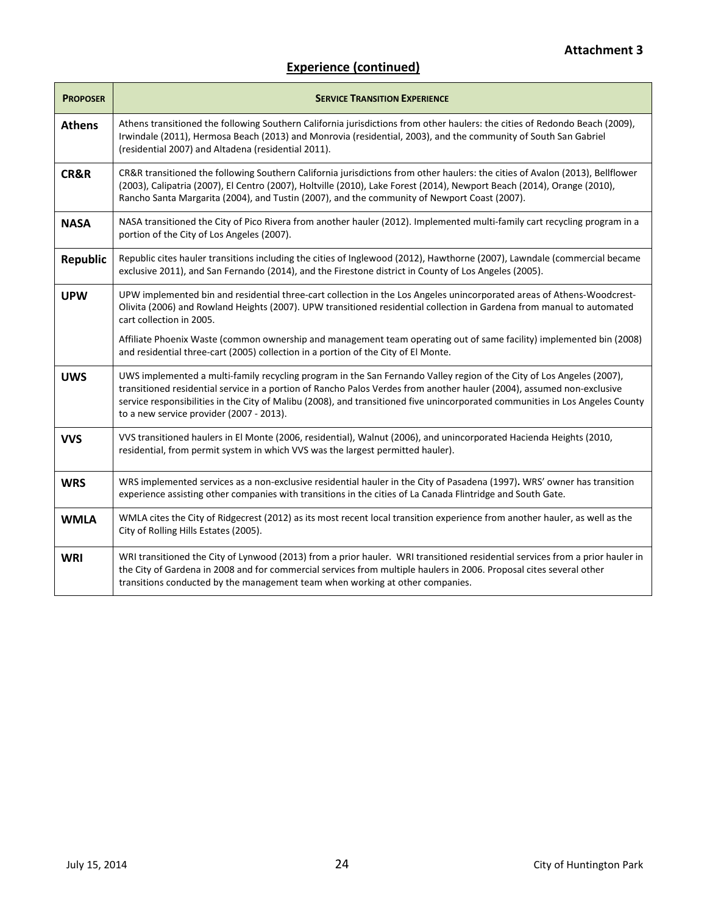# **Experience (continued)**

| <b>PROPOSER</b> | <b>SERVICE TRANSITION EXPERIENCE</b>                                                                                                                                                                                                                                                                                                                                                                                         |
|-----------------|------------------------------------------------------------------------------------------------------------------------------------------------------------------------------------------------------------------------------------------------------------------------------------------------------------------------------------------------------------------------------------------------------------------------------|
| <b>Athens</b>   | Athens transitioned the following Southern California jurisdictions from other haulers: the cities of Redondo Beach (2009),<br>Irwindale (2011), Hermosa Beach (2013) and Monrovia (residential, 2003), and the community of South San Gabriel<br>(residential 2007) and Altadena (residential 2011).                                                                                                                        |
| CR&R            | CR&R transitioned the following Southern California jurisdictions from other haulers: the cities of Avalon (2013), Bellflower<br>(2003), Calipatria (2007), El Centro (2007), Holtville (2010), Lake Forest (2014), Newport Beach (2014), Orange (2010),<br>Rancho Santa Margarita (2004), and Tustin (2007), and the community of Newport Coast (2007).                                                                     |
| <b>NASA</b>     | NASA transitioned the City of Pico Rivera from another hauler (2012). Implemented multi-family cart recycling program in a<br>portion of the City of Los Angeles (2007).                                                                                                                                                                                                                                                     |
| <b>Republic</b> | Republic cites hauler transitions including the cities of Inglewood (2012), Hawthorne (2007), Lawndale (commercial became<br>exclusive 2011), and San Fernando (2014), and the Firestone district in County of Los Angeles (2005).                                                                                                                                                                                           |
| <b>UPW</b>      | UPW implemented bin and residential three-cart collection in the Los Angeles unincorporated areas of Athens-Woodcrest-<br>Olivita (2006) and Rowland Heights (2007). UPW transitioned residential collection in Gardena from manual to automated<br>cart collection in 2005.                                                                                                                                                 |
|                 | Affiliate Phoenix Waste (common ownership and management team operating out of same facility) implemented bin (2008)<br>and residential three-cart (2005) collection in a portion of the City of El Monte.                                                                                                                                                                                                                   |
| <b>UWS</b>      | UWS implemented a multi-family recycling program in the San Fernando Valley region of the City of Los Angeles (2007),<br>transitioned residential service in a portion of Rancho Palos Verdes from another hauler (2004), assumed non-exclusive<br>service responsibilities in the City of Malibu (2008), and transitioned five unincorporated communities in Los Angeles County<br>to a new service provider (2007 - 2013). |
| <b>VVS</b>      | VVS transitioned haulers in El Monte (2006, residential), Walnut (2006), and unincorporated Hacienda Heights (2010,<br>residential, from permit system in which VVS was the largest permitted hauler).                                                                                                                                                                                                                       |
| <b>WRS</b>      | WRS implemented services as a non-exclusive residential hauler in the City of Pasadena (1997). WRS' owner has transition<br>experience assisting other companies with transitions in the cities of La Canada Flintridge and South Gate.                                                                                                                                                                                      |
| <b>WMLA</b>     | WMLA cites the City of Ridgecrest (2012) as its most recent local transition experience from another hauler, as well as the<br>City of Rolling Hills Estates (2005).                                                                                                                                                                                                                                                         |
| <b>WRI</b>      | WRI transitioned the City of Lynwood (2013) from a prior hauler. WRI transitioned residential services from a prior hauler in<br>the City of Gardena in 2008 and for commercial services from multiple haulers in 2006. Proposal cites several other<br>transitions conducted by the management team when working at other companies.                                                                                        |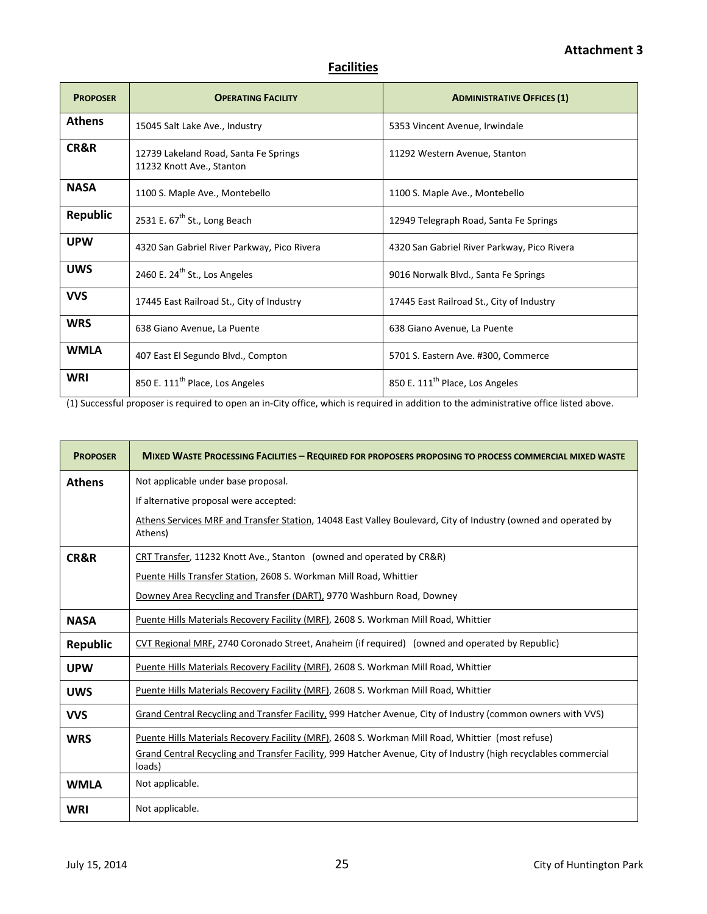# **Facilities**

| <b>PROPOSER</b> | <b>OPERATING FACILITY</b>                                          | <b>ADMINISTRATIVE OFFICES (1)</b>           |
|-----------------|--------------------------------------------------------------------|---------------------------------------------|
| <b>Athens</b>   | 15045 Salt Lake Ave., Industry                                     | 5353 Vincent Avenue, Irwindale              |
| CR&R            | 12739 Lakeland Road, Santa Fe Springs<br>11232 Knott Ave., Stanton | 11292 Western Avenue, Stanton               |
| <b>NASA</b>     | 1100 S. Maple Ave., Montebello                                     | 1100 S. Maple Ave., Montebello              |
| <b>Republic</b> | 2531 E. 67 <sup>th</sup> St., Long Beach                           | 12949 Telegraph Road, Santa Fe Springs      |
| <b>UPW</b>      | 4320 San Gabriel River Parkway, Pico Rivera                        | 4320 San Gabriel River Parkway, Pico Rivera |
| <b>UWS</b>      | 2460 E. 24 <sup>th</sup> St., Los Angeles                          | 9016 Norwalk Blvd., Santa Fe Springs        |
| <b>VVS</b>      | 17445 East Railroad St., City of Industry                          | 17445 East Railroad St., City of Industry   |
| <b>WRS</b>      | 638 Giano Avenue, La Puente                                        | 638 Giano Avenue, La Puente                 |
| <b>WMLA</b>     | 407 East El Segundo Blvd., Compton                                 | 5701 S. Eastern Ave. #300, Commerce         |
| <b>WRI</b>      | 850 E. 111 <sup>th</sup> Place, Los Angeles                        | 850 E. 111 <sup>th</sup> Place, Los Angeles |

(1) Successful proposer is required to open an in-City office, which is required in addition to the administrative office listed above.

| <b>PROPOSER</b> | <b>MIXED WASTE PROCESSING FACILITIES - REQUIRED FOR PROPOSERS PROPOSING TO PROCESS COMMERCIAL MIXED WASTE</b>              |  |
|-----------------|----------------------------------------------------------------------------------------------------------------------------|--|
| <b>Athens</b>   | Not applicable under base proposal.                                                                                        |  |
|                 | If alternative proposal were accepted:                                                                                     |  |
|                 | Athens Services MRF and Transfer Station, 14048 East Valley Boulevard, City of Industry (owned and operated by<br>Athens)  |  |
| CR&R            | CRT Transfer, 11232 Knott Ave., Stanton (owned and operated by CR&R)                                                       |  |
|                 | Puente Hills Transfer Station, 2608 S. Workman Mill Road, Whittier                                                         |  |
|                 | Downey Area Recycling and Transfer (DART), 9770 Washburn Road, Downey                                                      |  |
| <b>NASA</b>     | Puente Hills Materials Recovery Facility (MRF), 2608 S. Workman Mill Road, Whittier                                        |  |
| <b>Republic</b> | CVT Regional MRF, 2740 Coronado Street, Anaheim (if required) (owned and operated by Republic)                             |  |
| <b>UPW</b>      | Puente Hills Materials Recovery Facility (MRF), 2608 S. Workman Mill Road, Whittier                                        |  |
| <b>UWS</b>      | Puente Hills Materials Recovery Facility (MRF), 2608 S. Workman Mill Road, Whittier                                        |  |
| <b>VVS</b>      | Grand Central Recycling and Transfer Facility, 999 Hatcher Avenue, City of Industry (common owners with VVS)               |  |
| <b>WRS</b>      | Puente Hills Materials Recovery Facility (MRF), 2608 S. Workman Mill Road, Whittier (most refuse)                          |  |
|                 | Grand Central Recycling and Transfer Facility, 999 Hatcher Avenue, City of Industry (high recyclables commercial<br>loads) |  |
| <b>WMLA</b>     | Not applicable.                                                                                                            |  |
| <b>WRI</b>      | Not applicable.                                                                                                            |  |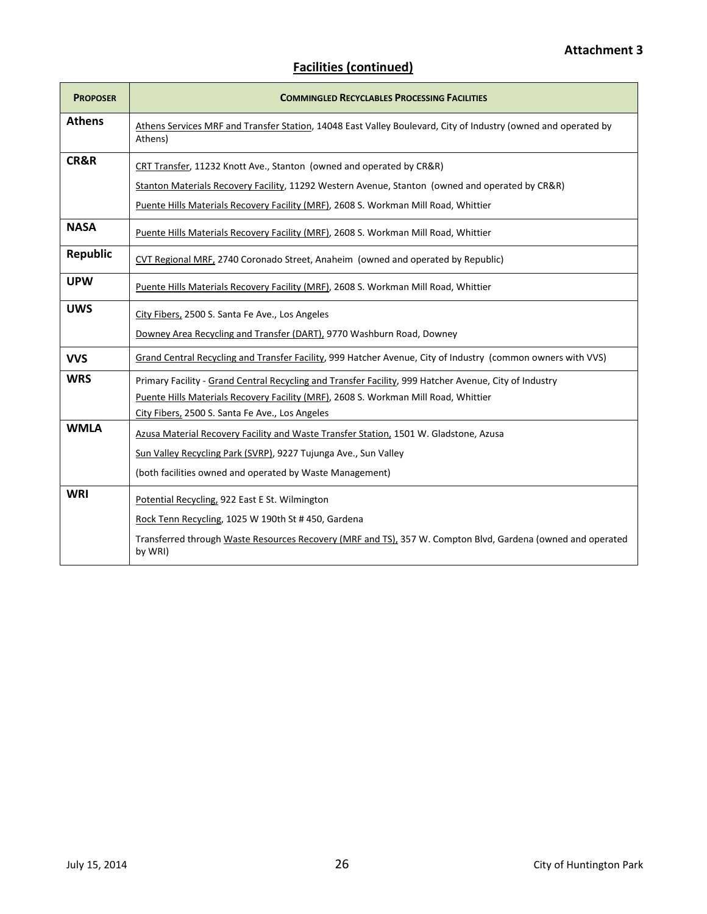| <b>PROPOSER</b> | <b>COMMINGLED RECYCLABLES PROCESSING FACILITIES</b>                                                                                                                                                                                                            |
|-----------------|----------------------------------------------------------------------------------------------------------------------------------------------------------------------------------------------------------------------------------------------------------------|
| <b>Athens</b>   | Athens Services MRF and Transfer Station, 14048 East Valley Boulevard, City of Industry (owned and operated by<br>Athens)                                                                                                                                      |
| CR&R            | CRT Transfer, 11232 Knott Ave., Stanton (owned and operated by CR&R)<br>Stanton Materials Recovery Facility, 11292 Western Avenue, Stanton (owned and operated by CR&R)<br>Puente Hills Materials Recovery Facility (MRF), 2608 S. Workman Mill Road, Whittier |
| <b>NASA</b>     | Puente Hills Materials Recovery Facility (MRF), 2608 S. Workman Mill Road, Whittier                                                                                                                                                                            |
| <b>Republic</b> | CVT Regional MRF, 2740 Coronado Street, Anaheim (owned and operated by Republic)                                                                                                                                                                               |
| <b>UPW</b>      | Puente Hills Materials Recovery Facility (MRF), 2608 S. Workman Mill Road, Whittier                                                                                                                                                                            |
| <b>UWS</b>      | City Fibers, 2500 S. Santa Fe Ave., Los Angeles<br>Downey Area Recycling and Transfer (DART), 9770 Washburn Road, Downey                                                                                                                                       |
| <b>VVS</b>      | Grand Central Recycling and Transfer Facility, 999 Hatcher Avenue, City of Industry (common owners with VVS)                                                                                                                                                   |
| <b>WRS</b>      | Primary Facility - Grand Central Recycling and Transfer Facility, 999 Hatcher Avenue, City of Industry<br>Puente Hills Materials Recovery Facility (MRF), 2608 S. Workman Mill Road, Whittier<br>City Fibers, 2500 S. Santa Fe Ave., Los Angeles               |
| <b>WMLA</b>     | Azusa Material Recovery Facility and Waste Transfer Station, 1501 W. Gladstone, Azusa<br>Sun Valley Recycling Park (SVRP), 9227 Tujunga Ave., Sun Valley<br>(both facilities owned and operated by Waste Management)                                           |
| <b>WRI</b>      | Potential Recycling, 922 East E St. Wilmington<br>Rock Tenn Recycling, 1025 W 190th St #450, Gardena<br>Transferred through Waste Resources Recovery (MRF and TS), 357 W. Compton Blvd, Gardena (owned and operated<br>by WRI)                                 |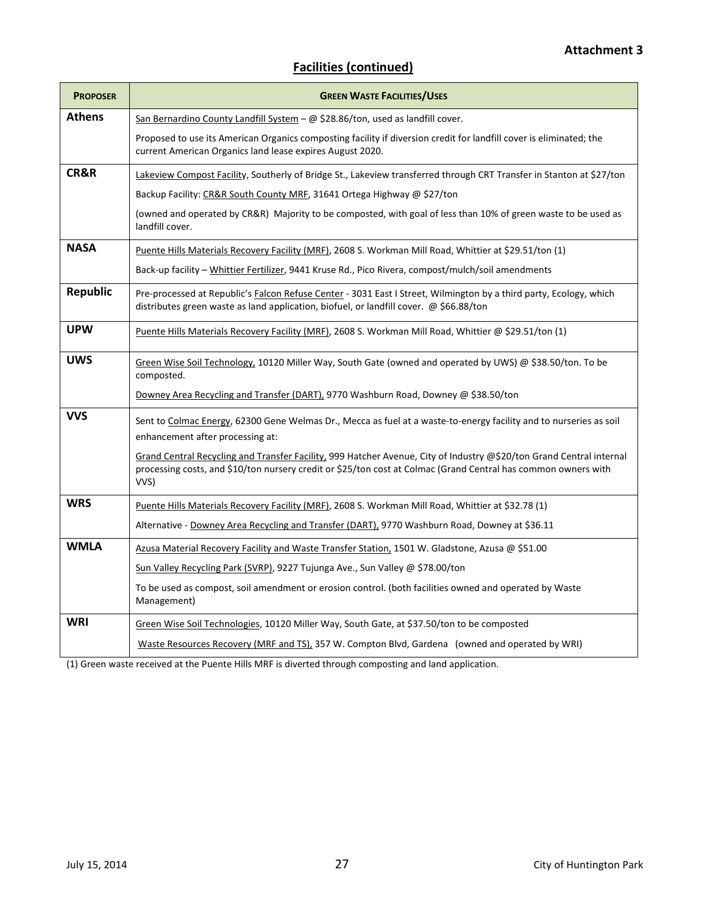| <b>PROPOSER</b> | <b>GREEN WASTE FACILITIES/USES</b>                                                                                                                                                                                                             |  |
|-----------------|------------------------------------------------------------------------------------------------------------------------------------------------------------------------------------------------------------------------------------------------|--|
| <b>Athens</b>   | San Bernardino County Landfill System - @ \$28.86/ton, used as landfill cover.                                                                                                                                                                 |  |
|                 | Proposed to use its American Organics composting facility if diversion credit for landfill cover is eliminated; the<br>current American Organics land lease expires August 2020.                                                               |  |
| CR&R            | Lakeview Compost Facility, Southerly of Bridge St., Lakeview transferred through CRT Transfer in Stanton at \$27/ton                                                                                                                           |  |
|                 | Backup Facility: CR&R South County MRF, 31641 Ortega Highway @ \$27/ton                                                                                                                                                                        |  |
|                 | (owned and operated by CR&R) Majority to be composted, with goal of less than 10% of green waste to be used as<br>landfill cover.                                                                                                              |  |
| <b>NASA</b>     | Puente Hills Materials Recovery Facility (MRF), 2608 S. Workman Mill Road, Whittier at \$29.51/ton (1)                                                                                                                                         |  |
|                 | Back-up facility - Whittier Fertilizer, 9441 Kruse Rd., Pico Rivera, compost/mulch/soil amendments                                                                                                                                             |  |
| <b>Republic</b> | Pre-processed at Republic's Falcon Refuse Center - 3031 East I Street, Wilmington by a third party, Ecology, which<br>distributes green waste as land application, biofuel, or landfill cover. @ \$66.88/ton                                   |  |
| <b>UPW</b>      | Puente Hills Materials Recovery Facility (MRF), 2608 S. Workman Mill Road, Whittier @ \$29.51/ton (1)                                                                                                                                          |  |
| <b>UWS</b>      | Green Wise Soil Technology, 10120 Miller Way, South Gate (owned and operated by UWS) @ \$38.50/ton. To be<br>composted.                                                                                                                        |  |
|                 | Downey Area Recycling and Transfer (DART), 9770 Washburn Road, Downey @ \$38.50/ton                                                                                                                                                            |  |
| <b>VVS</b>      | Sent to Colmac Energy, 62300 Gene Welmas Dr., Mecca as fuel at a waste-to-energy facility and to nurseries as soil<br>enhancement after processing at:                                                                                         |  |
|                 | Grand Central Recycling and Transfer Facility, 999 Hatcher Avenue, City of Industry @\$20/ton Grand Central internal<br>processing costs, and \$10/ton nursery credit or \$25/ton cost at Colmac (Grand Central has common owners with<br>VVS) |  |
| <b>WRS</b>      | Puente Hills Materials Recovery Facility (MRF), 2608 S. Workman Mill Road, Whittier at \$32.78 (1)                                                                                                                                             |  |
|                 | Alternative - Downey Area Recycling and Transfer (DART), 9770 Washburn Road, Downey at \$36.11                                                                                                                                                 |  |
| <b>WMLA</b>     | Azusa Material Recovery Facility and Waste Transfer Station, 1501 W. Gladstone, Azusa @ \$51.00                                                                                                                                                |  |
|                 | Sun Valley Recycling Park (SVRP), 9227 Tujunga Ave., Sun Valley @ \$78.00/ton                                                                                                                                                                  |  |
|                 | To be used as compost, soil amendment or erosion control. (both facilities owned and operated by Waste<br>Management)                                                                                                                          |  |
| <b>WRI</b>      | Green Wise Soil Technologies, 10120 Miller Way, South Gate, at \$37.50/ton to be composted                                                                                                                                                     |  |
|                 | Waste Resources Recovery (MRF and TS), 357 W. Compton Blvd, Gardena (owned and operated by WRI)                                                                                                                                                |  |

(1) Green waste received at the Puente Hills MRF is diverted through composting and land application.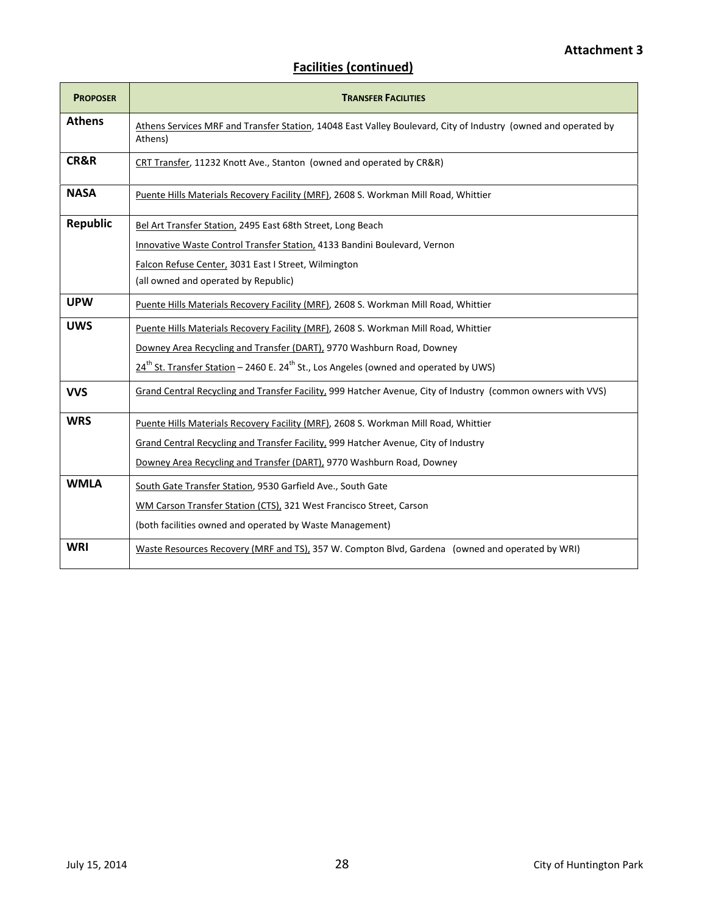| <b>PROPOSER</b> | <b>TRANSFER FACILITIES</b>                                                                                                |
|-----------------|---------------------------------------------------------------------------------------------------------------------------|
| <b>Athens</b>   | Athens Services MRF and Transfer Station, 14048 East Valley Boulevard, City of Industry (owned and operated by<br>Athens) |
| CR&R            | CRT Transfer, 11232 Knott Ave., Stanton (owned and operated by CR&R)                                                      |
| <b>NASA</b>     | Puente Hills Materials Recovery Facility (MRF), 2608 S. Workman Mill Road, Whittier                                       |
| <b>Republic</b> | Bel Art Transfer Station, 2495 East 68th Street, Long Beach                                                               |
|                 | Innovative Waste Control Transfer Station, 4133 Bandini Boulevard, Vernon                                                 |
|                 | Falcon Refuse Center, 3031 East I Street, Wilmington<br>(all owned and operated by Republic)                              |
|                 |                                                                                                                           |
| <b>UPW</b>      | Puente Hills Materials Recovery Facility (MRF), 2608 S. Workman Mill Road, Whittier                                       |
| <b>UWS</b>      | Puente Hills Materials Recovery Facility (MRF), 2608 S. Workman Mill Road, Whittier                                       |
|                 | Downey Area Recycling and Transfer (DART), 9770 Washburn Road, Downey                                                     |
|                 | 24 <sup>th</sup> St. Transfer Station - 2460 E. 24 <sup>th</sup> St., Los Angeles (owned and operated by UWS)             |
| <b>VVS</b>      | Grand Central Recycling and Transfer Facility, 999 Hatcher Avenue, City of Industry (common owners with VVS)              |
| <b>WRS</b>      | Puente Hills Materials Recovery Facility (MRF), 2608 S. Workman Mill Road, Whittier                                       |
|                 | Grand Central Recycling and Transfer Facility, 999 Hatcher Avenue, City of Industry                                       |
|                 | Downey Area Recycling and Transfer (DART), 9770 Washburn Road, Downey                                                     |
| <b>WMLA</b>     | South Gate Transfer Station, 9530 Garfield Ave., South Gate                                                               |
|                 | WM Carson Transfer Station (CTS), 321 West Francisco Street, Carson                                                       |
|                 | (both facilities owned and operated by Waste Management)                                                                  |
| <b>WRI</b>      | Waste Resources Recovery (MRF and TS), 357 W. Compton Blvd, Gardena (owned and operated by WRI)                           |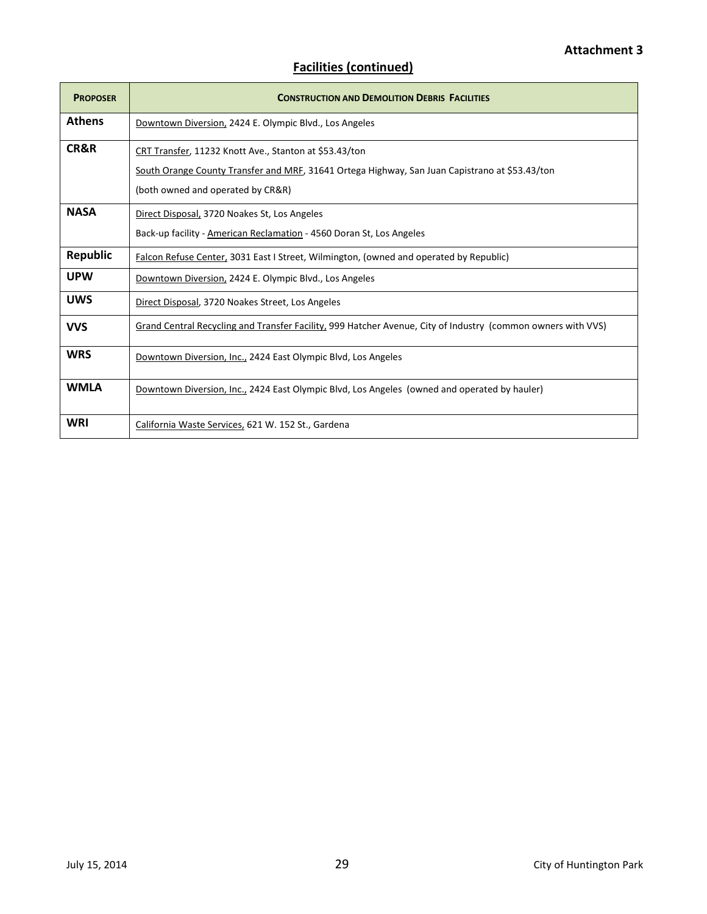| <b>PROPOSER</b> | <b>CONSTRUCTION AND DEMOLITION DEBRIS FACILITIES</b>                                                         |
|-----------------|--------------------------------------------------------------------------------------------------------------|
| <b>Athens</b>   | Downtown Diversion, 2424 E. Olympic Blvd., Los Angeles                                                       |
| CR&R            | CRT Transfer, 11232 Knott Ave., Stanton at \$53.43/ton                                                       |
|                 | South Orange County Transfer and MRF, 31641 Ortega Highway, San Juan Capistrano at \$53.43/ton               |
|                 | (both owned and operated by CR&R)                                                                            |
| <b>NASA</b>     | Direct Disposal, 3720 Noakes St, Los Angeles                                                                 |
|                 | Back-up facility - American Reclamation - 4560 Doran St, Los Angeles                                         |
| <b>Republic</b> | Falcon Refuse Center, 3031 East I Street, Wilmington, (owned and operated by Republic)                       |
| <b>UPW</b>      | Downtown Diversion, 2424 E. Olympic Blvd., Los Angeles                                                       |
| <b>UWS</b>      | Direct Disposal, 3720 Noakes Street, Los Angeles                                                             |
| <b>VVS</b>      | Grand Central Recycling and Transfer Facility, 999 Hatcher Avenue, City of Industry (common owners with VVS) |
| <b>WRS</b>      | Downtown Diversion, Inc., 2424 East Olympic Blvd, Los Angeles                                                |
| <b>WMLA</b>     | Downtown Diversion, Inc., 2424 East Olympic Blvd, Los Angeles (owned and operated by hauler)                 |
| WRI             | California Waste Services, 621 W. 152 St., Gardena                                                           |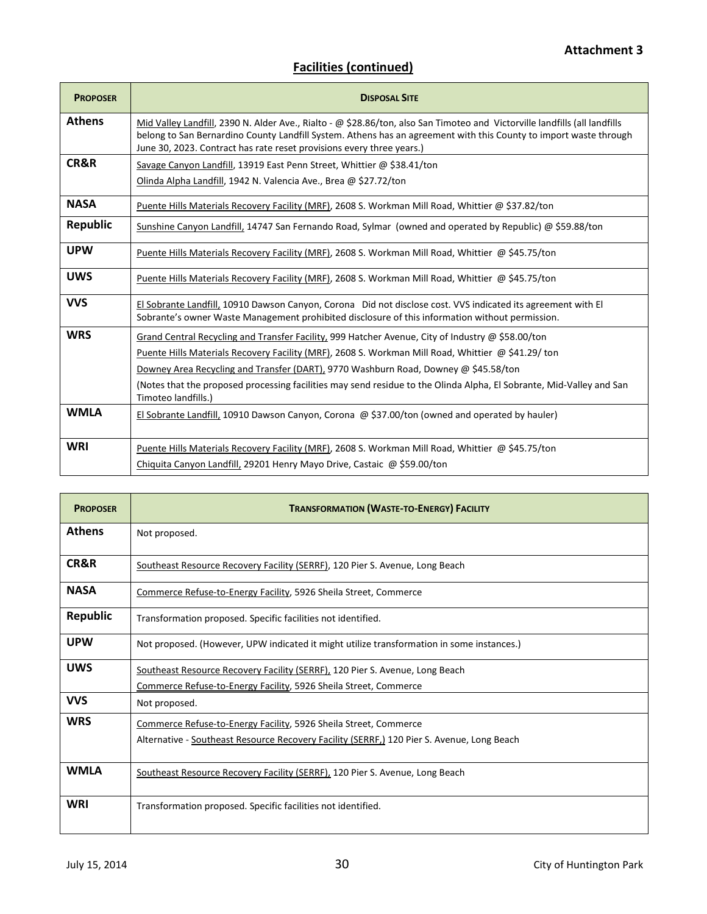| <b>PROPOSER</b> | <b>DISPOSAL SITE</b>                                                                                                                                                                                                                                                                                                     |
|-----------------|--------------------------------------------------------------------------------------------------------------------------------------------------------------------------------------------------------------------------------------------------------------------------------------------------------------------------|
| <b>Athens</b>   | Mid Valley Landfill, 2390 N. Alder Ave., Rialto - @ \$28.86/ton, also San Timoteo and Victorville landfills (all landfills<br>belong to San Bernardino County Landfill System. Athens has an agreement with this County to import waste through<br>June 30, 2023. Contract has rate reset provisions every three years.) |
| CR&R            | Savage Canyon Landfill, 13919 East Penn Street, Whittier @ \$38.41/ton<br>Olinda Alpha Landfill, 1942 N. Valencia Ave., Brea @ \$27.72/ton                                                                                                                                                                               |
| <b>NASA</b>     | Puente Hills Materials Recovery Facility (MRF), 2608 S. Workman Mill Road, Whittier @ \$37.82/ton                                                                                                                                                                                                                        |
| <b>Republic</b> | Sunshine Canyon Landfill, 14747 San Fernando Road, Sylmar (owned and operated by Republic) @ \$59.88/ton                                                                                                                                                                                                                 |
| <b>UPW</b>      | Puente Hills Materials Recovery Facility (MRF), 2608 S. Workman Mill Road, Whittier @ \$45.75/ton                                                                                                                                                                                                                        |
| <b>UWS</b>      | Puente Hills Materials Recovery Facility (MRF), 2608 S. Workman Mill Road, Whittier @ \$45.75/ton                                                                                                                                                                                                                        |
| <b>VVS</b>      | El Sobrante Landfill, 10910 Dawson Canyon, Corona Did not disclose cost. VVS indicated its agreement with El<br>Sobrante's owner Waste Management prohibited disclosure of this information without permission.                                                                                                          |
| <b>WRS</b>      | Grand Central Recycling and Transfer Facility, 999 Hatcher Avenue, City of Industry @ \$58.00/ton<br>Puente Hills Materials Recovery Facility (MRF), 2608 S. Workman Mill Road, Whittier @ \$41.29/ ton                                                                                                                  |
|                 | Downey Area Recycling and Transfer (DART), 9770 Washburn Road, Downey @ \$45.58/ton<br>(Notes that the proposed processing facilities may send residue to the Olinda Alpha, El Sobrante, Mid-Valley and San<br>Timoteo landfills.)                                                                                       |
| <b>WMLA</b>     | El Sobrante Landfill, 10910 Dawson Canyon, Corona @ \$37.00/ton (owned and operated by hauler)                                                                                                                                                                                                                           |
| <b>WRI</b>      | Puente Hills Materials Recovery Facility (MRF), 2608 S. Workman Mill Road, Whittier @ \$45.75/ton<br>Chiquita Canyon Landfill, 29201 Henry Mayo Drive, Castaic @ \$59.00/ton                                                                                                                                             |

| <b>PROPOSER</b> | <b>TRANSFORMATION (WASTE-TO-ENERGY) FACILITY</b>                                           |  |
|-----------------|--------------------------------------------------------------------------------------------|--|
| <b>Athens</b>   | Not proposed.                                                                              |  |
| CR&R            | Southeast Resource Recovery Facility (SERRF), 120 Pier S. Avenue, Long Beach               |  |
| <b>NASA</b>     | Commerce Refuse-to-Energy Facility, 5926 Sheila Street, Commerce                           |  |
| <b>Republic</b> | Transformation proposed. Specific facilities not identified.                               |  |
| <b>UPW</b>      | Not proposed. (However, UPW indicated it might utilize transformation in some instances.)  |  |
| <b>UWS</b>      | Southeast Resource Recovery Facility (SERRF), 120 Pier S. Avenue, Long Beach               |  |
|                 | Commerce Refuse-to-Energy Facility, 5926 Sheila Street, Commerce                           |  |
| <b>VVS</b>      | Not proposed.                                                                              |  |
| <b>WRS</b>      | Commerce Refuse-to-Energy Facility, 5926 Sheila Street, Commerce                           |  |
|                 | Alternative - Southeast Resource Recovery Facility (SERRF,) 120 Pier S. Avenue, Long Beach |  |
| <b>WMLA</b>     | Southeast Resource Recovery Facility (SERRF), 120 Pier S. Avenue, Long Beach               |  |
| <b>WRI</b>      | Transformation proposed. Specific facilities not identified.                               |  |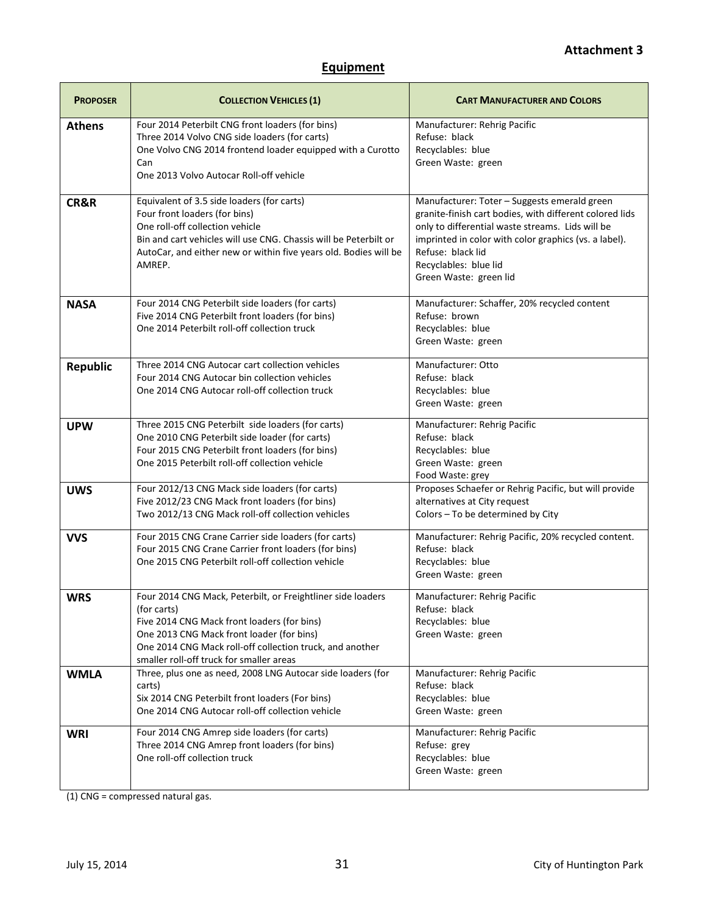# **Equipment**

| <b>PROPOSER</b> | <b>COLLECTION VEHICLES (1)</b>                                                                                                                                                                                                                                                 | <b>CART MANUFACTURER AND COLORS</b>                                                                                                                                                                                                                                                          |
|-----------------|--------------------------------------------------------------------------------------------------------------------------------------------------------------------------------------------------------------------------------------------------------------------------------|----------------------------------------------------------------------------------------------------------------------------------------------------------------------------------------------------------------------------------------------------------------------------------------------|
| <b>Athens</b>   | Four 2014 Peterbilt CNG front loaders (for bins)<br>Three 2014 Volvo CNG side loaders (for carts)<br>One Volvo CNG 2014 frontend loader equipped with a Curotto<br>Can<br>One 2013 Volvo Autocar Roll-off vehicle                                                              | Manufacturer: Rehrig Pacific<br>Refuse: black<br>Recyclables: blue<br>Green Waste: green                                                                                                                                                                                                     |
| CR&R            | Equivalent of 3.5 side loaders (for carts)<br>Four front loaders (for bins)<br>One roll-off collection vehicle<br>Bin and cart vehicles will use CNG. Chassis will be Peterbilt or<br>AutoCar, and either new or within five years old. Bodies will be<br>AMREP.               | Manufacturer: Toter - Suggests emerald green<br>granite-finish cart bodies, with different colored lids<br>only to differential waste streams. Lids will be<br>imprinted in color with color graphics (vs. a label).<br>Refuse: black lid<br>Recyclables: blue lid<br>Green Waste: green lid |
| <b>NASA</b>     | Four 2014 CNG Peterbilt side loaders (for carts)<br>Five 2014 CNG Peterbilt front loaders (for bins)<br>One 2014 Peterbilt roll-off collection truck                                                                                                                           | Manufacturer: Schaffer, 20% recycled content<br>Refuse: brown<br>Recyclables: blue<br>Green Waste: green                                                                                                                                                                                     |
| <b>Republic</b> | Three 2014 CNG Autocar cart collection vehicles<br>Four 2014 CNG Autocar bin collection vehicles<br>One 2014 CNG Autocar roll-off collection truck                                                                                                                             | Manufacturer: Otto<br>Refuse: black<br>Recyclables: blue<br>Green Waste: green                                                                                                                                                                                                               |
| <b>UPW</b>      | Three 2015 CNG Peterbilt side loaders (for carts)<br>One 2010 CNG Peterbilt side loader (for carts)<br>Four 2015 CNG Peterbilt front loaders (for bins)<br>One 2015 Peterbilt roll-off collection vehicle                                                                      | Manufacturer: Rehrig Pacific<br>Refuse: black<br>Recyclables: blue<br>Green Waste: green<br>Food Waste: grey                                                                                                                                                                                 |
| <b>UWS</b>      | Four 2012/13 CNG Mack side loaders (for carts)<br>Five 2012/23 CNG Mack front loaders (for bins)<br>Two 2012/13 CNG Mack roll-off collection vehicles                                                                                                                          | Proposes Schaefer or Rehrig Pacific, but will provide<br>alternatives at City request<br>Colors - To be determined by City                                                                                                                                                                   |
| <b>VVS</b>      | Four 2015 CNG Crane Carrier side loaders (for carts)<br>Four 2015 CNG Crane Carrier front loaders (for bins)<br>One 2015 CNG Peterbilt roll-off collection vehicle                                                                                                             | Manufacturer: Rehrig Pacific, 20% recycled content.<br>Refuse: black<br>Recyclables: blue<br>Green Waste: green                                                                                                                                                                              |
| <b>WRS</b>      | Four 2014 CNG Mack, Peterbilt, or Freightliner side loaders<br>(for carts)<br>Five 2014 CNG Mack front loaders (for bins)<br>One 2013 CNG Mack front loader (for bins)<br>One 2014 CNG Mack roll-off collection truck, and another<br>smaller roll-off truck for smaller areas | Manufacturer: Rehrig Pacific<br>Refuse: black<br>Recyclables: blue<br>Green Waste: green                                                                                                                                                                                                     |
| <b>WMLA</b>     | Three, plus one as need, 2008 LNG Autocar side loaders (for<br>carts)<br>Six 2014 CNG Peterbilt front loaders (For bins)<br>One 2014 CNG Autocar roll-off collection vehicle                                                                                                   | Manufacturer: Rehrig Pacific<br>Refuse: black<br>Recyclables: blue<br>Green Waste: green                                                                                                                                                                                                     |
| <b>WRI</b>      | Four 2014 CNG Amrep side loaders (for carts)<br>Three 2014 CNG Amrep front loaders (for bins)<br>One roll-off collection truck                                                                                                                                                 | Manufacturer: Rehrig Pacific<br>Refuse: grey<br>Recyclables: blue<br>Green Waste: green                                                                                                                                                                                                      |

(1) CNG = compressed natural gas.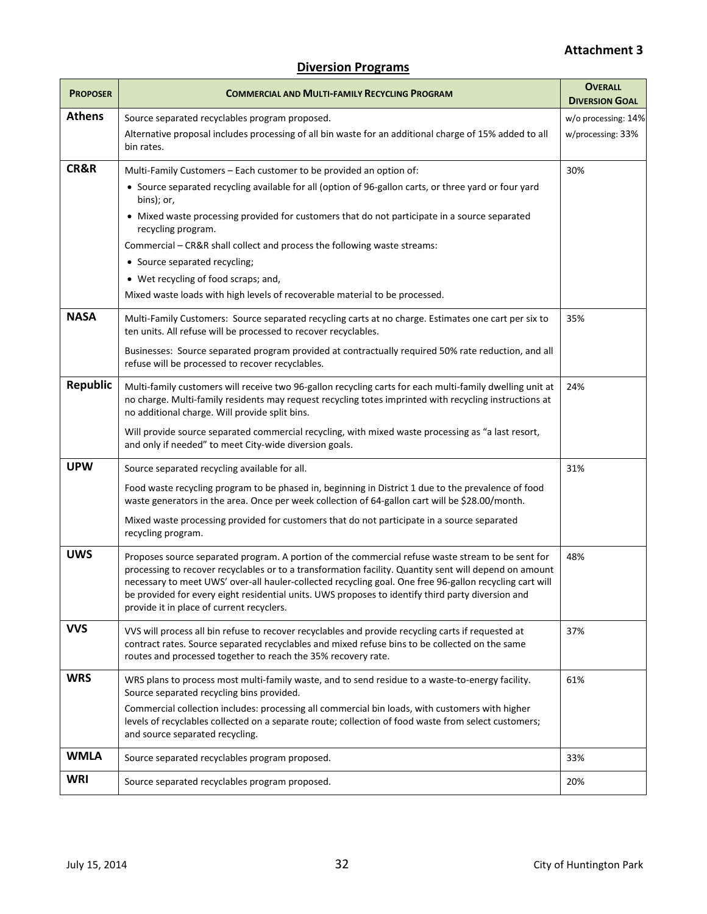# **Attachment 3**

| <b>PROPOSER</b> | <b>COMMERCIAL AND MULTI-FAMILY RECYCLING PROGRAM</b>                                                                                                                                                                                                                                                                                                                                                                                                                                                                                                  | <b>OVERALL</b><br><b>DIVERSION GOAL</b>  |
|-----------------|-------------------------------------------------------------------------------------------------------------------------------------------------------------------------------------------------------------------------------------------------------------------------------------------------------------------------------------------------------------------------------------------------------------------------------------------------------------------------------------------------------------------------------------------------------|------------------------------------------|
| <b>Athens</b>   | Source separated recyclables program proposed.<br>Alternative proposal includes processing of all bin waste for an additional charge of 15% added to all<br>bin rates.                                                                                                                                                                                                                                                                                                                                                                                | w/o processing: 14%<br>w/processing: 33% |
| CR&R            | Multi-Family Customers - Each customer to be provided an option of:<br>• Source separated recycling available for all (option of 96-gallon carts, or three yard or four yard<br>bins); or,<br>• Mixed waste processing provided for customers that do not participate in a source separated<br>recycling program.<br>Commercial - CR&R shall collect and process the following waste streams:<br>• Source separated recycling;<br>• Wet recycling of food scraps; and,<br>Mixed waste loads with high levels of recoverable material to be processed. | 30%                                      |
| <b>NASA</b>     | Multi-Family Customers: Source separated recycling carts at no charge. Estimates one cart per six to<br>ten units. All refuse will be processed to recover recyclables.<br>Businesses: Source separated program provided at contractually required 50% rate reduction, and all<br>refuse will be processed to recover recyclables.                                                                                                                                                                                                                    | 35%                                      |
| <b>Republic</b> | Multi-family customers will receive two 96-gallon recycling carts for each multi-family dwelling unit at<br>no charge. Multi-family residents may request recycling totes imprinted with recycling instructions at<br>no additional charge. Will provide split bins.<br>Will provide source separated commercial recycling, with mixed waste processing as "a last resort,<br>and only if needed" to meet City-wide diversion goals.                                                                                                                  | 24%                                      |
| <b>UPW</b>      | Source separated recycling available for all.<br>Food waste recycling program to be phased in, beginning in District 1 due to the prevalence of food<br>waste generators in the area. Once per week collection of 64-gallon cart will be \$28.00/month.<br>Mixed waste processing provided for customers that do not participate in a source separated<br>recycling program.                                                                                                                                                                          | 31%                                      |
| <b>UWS</b>      | Proposes source separated program. A portion of the commercial refuse waste stream to be sent for<br>processing to recover recyclables or to a transformation facility. Quantity sent will depend on amount<br>necessary to meet UWS' over-all hauler-collected recycling goal. One free 96-gallon recycling cart will<br>be provided for every eight residential units. UWS proposes to identify third party diversion and<br>provide it in place of current recyclers.                                                                              | 48%                                      |
| <b>VVS</b>      | VVS will process all bin refuse to recover recyclables and provide recycling carts if requested at<br>contract rates. Source separated recyclables and mixed refuse bins to be collected on the same<br>routes and processed together to reach the 35% recovery rate.                                                                                                                                                                                                                                                                                 | 37%                                      |
| <b>WRS</b>      | WRS plans to process most multi-family waste, and to send residue to a waste-to-energy facility.<br>Source separated recycling bins provided.<br>Commercial collection includes: processing all commercial bin loads, with customers with higher<br>levels of recyclables collected on a separate route; collection of food waste from select customers;<br>and source separated recycling.                                                                                                                                                           | 61%                                      |
| <b>WMLA</b>     | Source separated recyclables program proposed.                                                                                                                                                                                                                                                                                                                                                                                                                                                                                                        | 33%                                      |
| WRI             | Source separated recyclables program proposed.                                                                                                                                                                                                                                                                                                                                                                                                                                                                                                        | 20%                                      |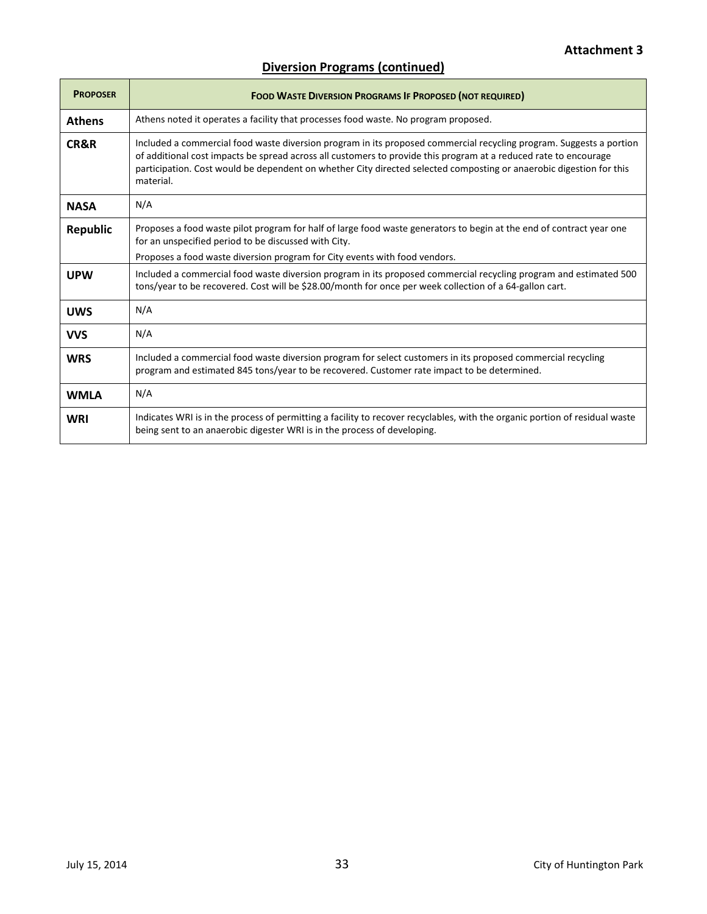# **Diversion Programs (continued)**

| <b>PROPOSER</b> | <b>FOOD WASTE DIVERSION PROGRAMS IF PROPOSED (NOT REQUIRED)</b>                                                                                                                                                                                                                                                                                                             |
|-----------------|-----------------------------------------------------------------------------------------------------------------------------------------------------------------------------------------------------------------------------------------------------------------------------------------------------------------------------------------------------------------------------|
| <b>Athens</b>   | Athens noted it operates a facility that processes food waste. No program proposed.                                                                                                                                                                                                                                                                                         |
| CR&R            | Included a commercial food waste diversion program in its proposed commercial recycling program. Suggests a portion<br>of additional cost impacts be spread across all customers to provide this program at a reduced rate to encourage<br>participation. Cost would be dependent on whether City directed selected composting or anaerobic digestion for this<br>material. |
| <b>NASA</b>     | N/A                                                                                                                                                                                                                                                                                                                                                                         |
| <b>Republic</b> | Proposes a food waste pilot program for half of large food waste generators to begin at the end of contract year one<br>for an unspecified period to be discussed with City.                                                                                                                                                                                                |
|                 | Proposes a food waste diversion program for City events with food vendors.                                                                                                                                                                                                                                                                                                  |
| <b>UPW</b>      | Included a commercial food waste diversion program in its proposed commercial recycling program and estimated 500<br>tons/year to be recovered. Cost will be \$28.00/month for once per week collection of a 64-gallon cart.                                                                                                                                                |
| <b>UWS</b>      | N/A                                                                                                                                                                                                                                                                                                                                                                         |
| <b>VVS</b>      | N/A                                                                                                                                                                                                                                                                                                                                                                         |
| <b>WRS</b>      | Included a commercial food waste diversion program for select customers in its proposed commercial recycling<br>program and estimated 845 tons/year to be recovered. Customer rate impact to be determined.                                                                                                                                                                 |
| <b>WMLA</b>     | N/A                                                                                                                                                                                                                                                                                                                                                                         |
| <b>WRI</b>      | Indicates WRI is in the process of permitting a facility to recover recyclables, with the organic portion of residual waste<br>being sent to an anaerobic digester WRI is in the process of developing.                                                                                                                                                                     |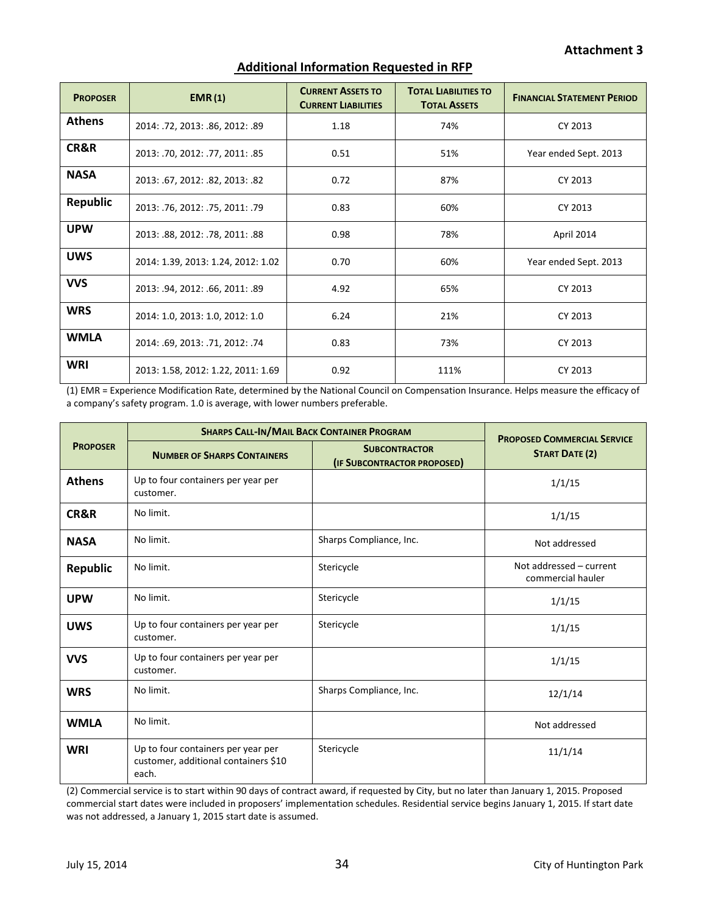| <b>PROPOSER</b> | EMR(1)                             | <b>CURRENT ASSETS TO</b><br><b>CURRENT LIABILITIES</b> | <b>TOTAL LIABILITIES TO</b><br><b>TOTAL ASSETS</b> | <b>FINANCIAL STATEMENT PERIOD</b> |
|-----------------|------------------------------------|--------------------------------------------------------|----------------------------------------------------|-----------------------------------|
| <b>Athens</b>   | 2014: .72, 2013: .86, 2012: .89    | 1.18                                                   | 74%                                                | CY 2013                           |
| CR&R            | 2013: .70, 2012: .77, 2011: .85    | 0.51                                                   | 51%                                                | Year ended Sept. 2013             |
| <b>NASA</b>     | 2013: .67, 2012: .82, 2013: .82    | 0.72                                                   | 87%                                                | CY 2013                           |
| <b>Republic</b> | 2013: .76, 2012: .75, 2011: .79    | 0.83                                                   | 60%                                                | CY 2013                           |
| <b>UPW</b>      | 2013: .88, 2012: .78, 2011: .88    | 0.98                                                   | 78%                                                | April 2014                        |
| <b>UWS</b>      | 2014: 1.39, 2013: 1.24, 2012: 1.02 | 0.70                                                   | 60%                                                | Year ended Sept. 2013             |
| <b>VVS</b>      | 2013: .94, 2012: .66, 2011: .89    | 4.92                                                   | 65%                                                | CY 2013                           |
| <b>WRS</b>      | 2014: 1.0, 2013: 1.0, 2012: 1.0    | 6.24                                                   | 21%                                                | CY 2013                           |
| <b>WMLA</b>     | 2014: .69, 2013: .71, 2012: .74    | 0.83                                                   | 73%                                                | CY 2013                           |
| <b>WRI</b>      | 2013: 1.58, 2012: 1.22, 2011: 1.69 | 0.92                                                   | 111%                                               | CY 2013                           |

#### **Additional Information Requested in RFP**

(1) EMR = Experience Modification Rate, determined by the National Council on Compensation Insurance. Helps measure the efficacy of a company's safety program. 1.0 is average, with lower numbers preferable.

|                 | <b>SHARPS CALL-IN/MAIL BACK CONTAINER PROGRAM</b>                                   |                                                     | <b>PROPOSED COMMERCIAL SERVICE</b>           |
|-----------------|-------------------------------------------------------------------------------------|-----------------------------------------------------|----------------------------------------------|
| <b>PROPOSER</b> | <b>NUMBER OF SHARPS CONTAINERS</b>                                                  | <b>SUBCONTRACTOR</b><br>(IF SUBCONTRACTOR PROPOSED) | <b>START DATE (2)</b>                        |
| <b>Athens</b>   | Up to four containers per year per<br>customer.                                     |                                                     | 1/1/15                                       |
| CR&R            | No limit.                                                                           |                                                     | 1/1/15                                       |
| <b>NASA</b>     | No limit.                                                                           | Sharps Compliance, Inc.                             | Not addressed                                |
| <b>Republic</b> | No limit.                                                                           | Stericycle                                          | Not addressed - current<br>commercial hauler |
| <b>UPW</b>      | No limit.                                                                           | Stericycle                                          | 1/1/15                                       |
| <b>UWS</b>      | Up to four containers per year per<br>customer.                                     | Stericycle                                          | 1/1/15                                       |
| <b>VVS</b>      | Up to four containers per year per<br>customer.                                     |                                                     | 1/1/15                                       |
| <b>WRS</b>      | No limit.                                                                           | Sharps Compliance, Inc.                             | 12/1/14                                      |
| <b>WMLA</b>     | No limit.                                                                           |                                                     | Not addressed                                |
| <b>WRI</b>      | Up to four containers per year per<br>customer, additional containers \$10<br>each. | Stericycle                                          | 11/1/14                                      |

(2) Commercial service is to start within 90 days of contract award, if requested by City, but no later than January 1, 2015. Proposed commercial start dates were included in proposers' implementation schedules. Residential service begins January 1, 2015. If start date was not addressed, a January 1, 2015 start date is assumed.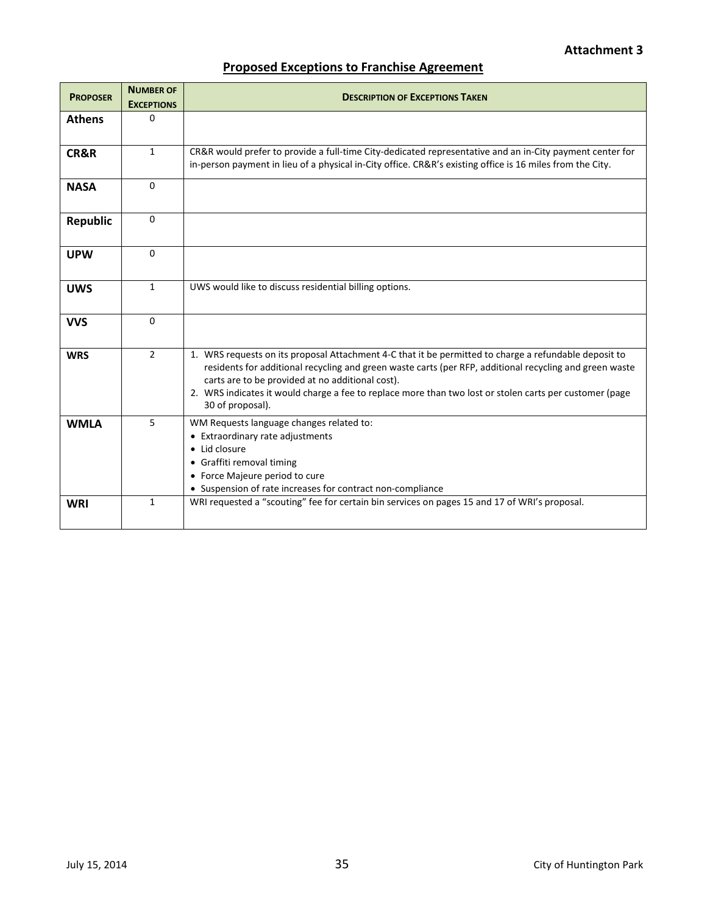# **Proposed Exceptions to Franchise Agreement**

| <b>PROPOSER</b> | <b>NUMBER OF</b><br><b>EXCEPTIONS</b> | <b>DESCRIPTION OF EXCEPTIONS TAKEN</b>                                                                                                                                                                                                                                                                                                                                                              |
|-----------------|---------------------------------------|-----------------------------------------------------------------------------------------------------------------------------------------------------------------------------------------------------------------------------------------------------------------------------------------------------------------------------------------------------------------------------------------------------|
| <b>Athens</b>   | $\Omega$                              |                                                                                                                                                                                                                                                                                                                                                                                                     |
| <b>CR&amp;R</b> | $\mathbf{1}$                          | CR&R would prefer to provide a full-time City-dedicated representative and an in-City payment center for<br>in-person payment in lieu of a physical in-City office. CR&R's existing office is 16 miles from the City.                                                                                                                                                                               |
| <b>NASA</b>     | $\Omega$                              |                                                                                                                                                                                                                                                                                                                                                                                                     |
| Republic        | $\Omega$                              |                                                                                                                                                                                                                                                                                                                                                                                                     |
| <b>UPW</b>      | $\Omega$                              |                                                                                                                                                                                                                                                                                                                                                                                                     |
| <b>UWS</b>      | $\mathbf{1}$                          | UWS would like to discuss residential billing options.                                                                                                                                                                                                                                                                                                                                              |
| <b>VVS</b>      | $\Omega$                              |                                                                                                                                                                                                                                                                                                                                                                                                     |
| <b>WRS</b>      | $\overline{2}$                        | 1. WRS requests on its proposal Attachment 4-C that it be permitted to charge a refundable deposit to<br>residents for additional recycling and green waste carts (per RFP, additional recycling and green waste<br>carts are to be provided at no additional cost).<br>2. WRS indicates it would charge a fee to replace more than two lost or stolen carts per customer (page<br>30 of proposal). |
| <b>WMLA</b>     | 5                                     | WM Requests language changes related to:<br>• Extraordinary rate adjustments<br>• Lid closure<br>• Graffiti removal timing<br>• Force Majeure period to cure<br>• Suspension of rate increases for contract non-compliance                                                                                                                                                                          |
| <b>WRI</b>      | 1                                     | WRI requested a "scouting" fee for certain bin services on pages 15 and 17 of WRI's proposal.                                                                                                                                                                                                                                                                                                       |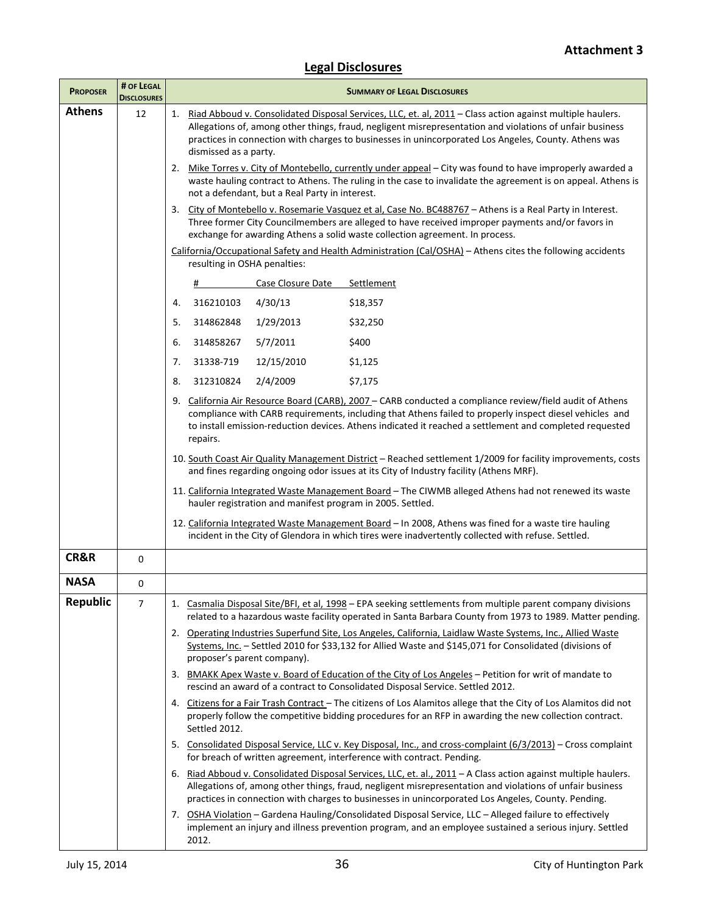# **Legal Disclosures**

| <b>PROPOSER</b> | # OF LEGAL<br><b>DISCLOSURES</b> | <b>SUMMARY OF LEGAL DISCLOSURES</b>                                                                                                                                                                                                                                                                                                                       |
|-----------------|----------------------------------|-----------------------------------------------------------------------------------------------------------------------------------------------------------------------------------------------------------------------------------------------------------------------------------------------------------------------------------------------------------|
| <b>Athens</b>   | 12                               | 1. Riad Abboud v. Consolidated Disposal Services, LLC, et. al, 2011 - Class action against multiple haulers.<br>Allegations of, among other things, fraud, negligent misrepresentation and violations of unfair business<br>practices in connection with charges to businesses in unincorporated Los Angeles, County. Athens was<br>dismissed as a party. |
|                 |                                  | 2. Mike Torres v. City of Montebello, currently under appeal - City was found to have improperly awarded a<br>waste hauling contract to Athens. The ruling in the case to invalidate the agreement is on appeal. Athens is<br>not a defendant, but a Real Party in interest.                                                                              |
|                 |                                  | 3. City of Montebello v. Rosemarie Vasquez et al, Case No. BC488767 - Athens is a Real Party in Interest.<br>Three former City Councilmembers are alleged to have received improper payments and/or favors in<br>exchange for awarding Athens a solid waste collection agreement. In process.                                                             |
|                 |                                  | California/Occupational Safety and Health Administration (Cal/OSHA) - Athens cites the following accidents<br>resulting in OSHA penalties:                                                                                                                                                                                                                |
|                 |                                  | Case Closure Date<br>Settlement<br>#                                                                                                                                                                                                                                                                                                                      |
|                 |                                  | 316210103<br>4/30/13<br>\$18,357<br>4.                                                                                                                                                                                                                                                                                                                    |
|                 |                                  | 5.<br>314862848<br>1/29/2013<br>\$32,250                                                                                                                                                                                                                                                                                                                  |
|                 |                                  | \$400<br>6.<br>314858267<br>5/7/2011                                                                                                                                                                                                                                                                                                                      |
|                 |                                  | 31338-719<br>12/15/2010<br>\$1,125<br>7.                                                                                                                                                                                                                                                                                                                  |
|                 |                                  | 2/4/2009<br>\$7,175<br>8.<br>312310824                                                                                                                                                                                                                                                                                                                    |
|                 |                                  | 9. California Air Resource Board (CARB), 2007 - CARB conducted a compliance review/field audit of Athens<br>compliance with CARB requirements, including that Athens failed to properly inspect diesel vehicles and<br>to install emission-reduction devices. Athens indicated it reached a settlement and completed requested<br>repairs.                |
|                 |                                  | 10. South Coast Air Quality Management District - Reached settlement 1/2009 for facility improvements, costs<br>and fines regarding ongoing odor issues at its City of Industry facility (Athens MRF).                                                                                                                                                    |
|                 |                                  | 11. California Integrated Waste Management Board - The CIWMB alleged Athens had not renewed its waste<br>hauler registration and manifest program in 2005. Settled.                                                                                                                                                                                       |
|                 |                                  | 12. California Integrated Waste Management Board - In 2008, Athens was fined for a waste tire hauling<br>incident in the City of Glendora in which tires were inadvertently collected with refuse. Settled.                                                                                                                                               |
| <b>CR&amp;R</b> | $\mathbf 0$                      |                                                                                                                                                                                                                                                                                                                                                           |
| <b>NASA</b>     | 0                                |                                                                                                                                                                                                                                                                                                                                                           |
| <b>Republic</b> | $\overline{7}$                   | 1. Casmalia Disposal Site/BFI, et al, 1998 - EPA seeking settlements from multiple parent company divisions<br>related to a hazardous waste facility operated in Santa Barbara County from 1973 to 1989. Matter pending.                                                                                                                                  |
|                 |                                  | 2. Operating Industries Superfund Site, Los Angeles, California, Laidlaw Waste Systems, Inc., Allied Waste<br>Systems, Inc. - Settled 2010 for \$33,132 for Allied Waste and \$145,071 for Consolidated (divisions of<br>proposer's parent company).                                                                                                      |
|                 |                                  | 3. BMAKK Apex Waste v. Board of Education of the City of Los Angeles - Petition for writ of mandate to<br>rescind an award of a contract to Consolidated Disposal Service. Settled 2012.                                                                                                                                                                  |
|                 |                                  | 4. Citizens for a Fair Trash Contract - The citizens of Los Alamitos allege that the City of Los Alamitos did not<br>properly follow the competitive bidding procedures for an RFP in awarding the new collection contract.<br>Settled 2012.                                                                                                              |
|                 |                                  | 5. Consolidated Disposal Service, LLC v. Key Disposal, Inc., and cross-complaint (6/3/2013) - Cross complaint<br>for breach of written agreement, interference with contract. Pending.                                                                                                                                                                    |
|                 |                                  | 6. Riad Abboud v. Consolidated Disposal Services, LLC, et. al., 2011 - A Class action against multiple haulers.<br>Allegations of, among other things, fraud, negligent misrepresentation and violations of unfair business<br>practices in connection with charges to businesses in unincorporated Los Angeles, County. Pending.                         |
|                 |                                  | 7. OSHA Violation - Gardena Hauling/Consolidated Disposal Service, LLC - Alleged failure to effectively<br>implement an injury and illness prevention program, and an employee sustained a serious injury. Settled<br>2012.                                                                                                                               |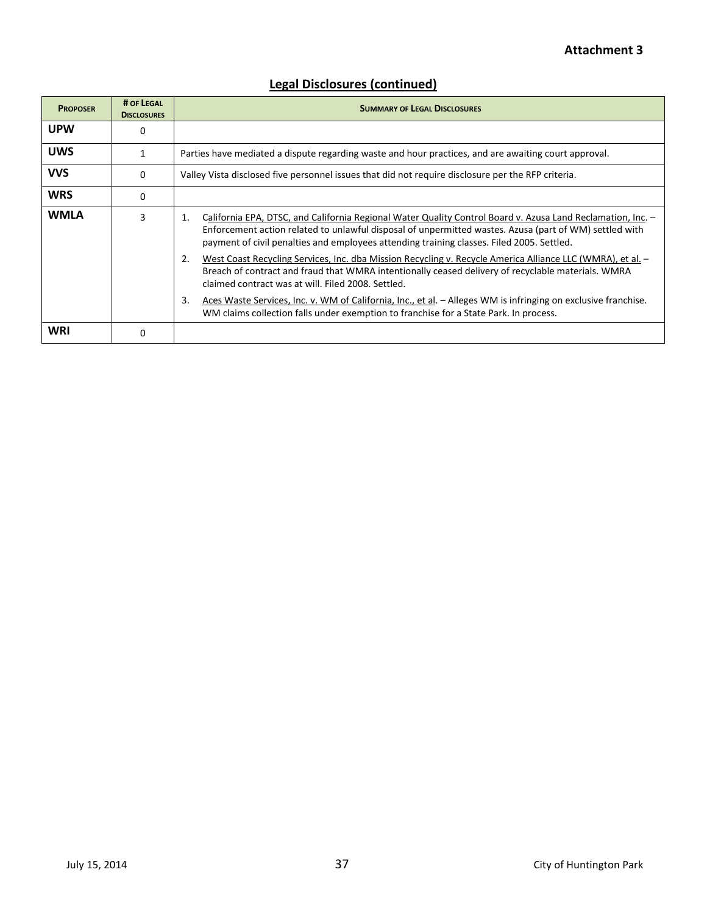# **Attachment 3**

| <b>PROPOSER</b> | # OF LEGAL<br><b>DISCLOSURES</b> | <b>SUMMARY OF LEGAL DISCLOSURES</b>                                                                                                                                                                                                                                                                                      |
|-----------------|----------------------------------|--------------------------------------------------------------------------------------------------------------------------------------------------------------------------------------------------------------------------------------------------------------------------------------------------------------------------|
| <b>UPW</b>      | 0                                |                                                                                                                                                                                                                                                                                                                          |
| <b>UWS</b>      |                                  | Parties have mediated a dispute regarding waste and hour practices, and are awaiting court approval.                                                                                                                                                                                                                     |
| <b>VVS</b>      | 0                                | Valley Vista disclosed five personnel issues that did not require disclosure per the RFP criteria.                                                                                                                                                                                                                       |
| <b>WRS</b>      | $\Omega$                         |                                                                                                                                                                                                                                                                                                                          |
| <b>WMLA</b>     | 3                                | California EPA, DTSC, and California Regional Water Quality Control Board v. Azusa Land Reclamation, Inc. -<br>1.<br>Enforcement action related to unlawful disposal of unpermitted wastes. Azusa (part of WM) settled with<br>payment of civil penalties and employees attending training classes. Filed 2005. Settled. |
|                 |                                  | West Coast Recycling Services, Inc. dba Mission Recycling v. Recycle America Alliance LLC (WMRA), et al. -<br>2.<br>Breach of contract and fraud that WMRA intentionally ceased delivery of recyclable materials. WMRA<br>claimed contract was at will. Filed 2008, Settled.                                             |
|                 |                                  | Aces Waste Services, Inc. v. WM of California, Inc., et al. - Alleges WM is infringing on exclusive franchise.<br>3.<br>WM claims collection falls under exemption to franchise for a State Park. In process.                                                                                                            |
| WRI             | $\Omega$                         |                                                                                                                                                                                                                                                                                                                          |

# **Legal Disclosures (continued)**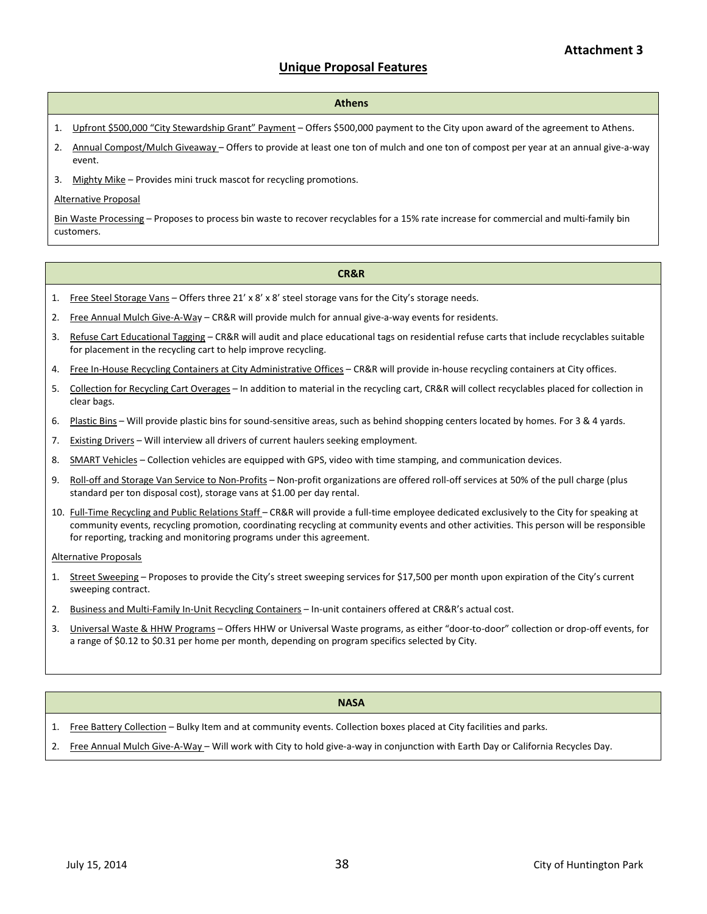#### **Unique Proposal Features**

#### **Athens**

- 1. Upfront \$500,000 "City Stewardship Grant" Payment Offers \$500,000 payment to the City upon award of the agreement to Athens.
- 2. Annual Compost/Mulch Giveaway Offers to provide at least one ton of mulch and one ton of compost per year at an annual give-a-way event.
- 3. Mighty Mike Provides mini truck mascot for recycling promotions.

#### Alternative Proposal

Bin Waste Processing – Proposes to process bin waste to recover recyclables for a 15% rate increase for commercial and multi-family bin customers.

#### **CR&R**

- 1. Free Steel Storage Vans Offers three 21' x 8' x 8' steel storage vans for the City's storage needs.
- 2. Free Annual Mulch Give-A-Way CR&R will provide mulch for annual give-a-way events for residents.
- 3. Refuse Cart Educational Tagging CR&R will audit and place educational tags on residential refuse carts that include recyclables suitable for placement in the recycling cart to help improve recycling.
- 4. Free In-House Recycling Containers at City Administrative Offices CR&R will provide in-house recycling containers at City offices.
- 5. Collection for Recycling Cart Overages In addition to material in the recycling cart, CR&R will collect recyclables placed for collection in clear bags.
- 6. Plastic Bins Will provide plastic bins for sound-sensitive areas, such as behind shopping centers located by homes. For 3 & 4 yards.
- 7. Existing Drivers Will interview all drivers of current haulers seeking employment.
- 8. SMART Vehicles Collection vehicles are equipped with GPS, video with time stamping, and communication devices.
- 9. Roll-off and Storage Van Service to Non-Profits Non-profit organizations are offered roll-off services at 50% of the pull charge (plus standard per ton disposal cost), storage vans at \$1.00 per day rental.
- 10. Full-Time Recycling and Public Relations Staff CR&R will provide a full-time employee dedicated exclusively to the City for speaking at community events, recycling promotion, coordinating recycling at community events and other activities. This person will be responsible for reporting, tracking and monitoring programs under this agreement.

#### Alternative Proposals

- 1. Street Sweeping Proposes to provide the City's street sweeping services for \$17,500 per month upon expiration of the City's current sweeping contract.
- 2. Business and Multi-Family In-Unit Recycling Containers In-unit containers offered at CR&R's actual cost.
- 3. Universal Waste & HHW Programs Offers HHW or Universal Waste programs, as either "door-to-door" collection or drop-off events, for a range of \$0.12 to \$0.31 per home per month, depending on program specifics selected by City.

#### **NASA**

1. Free Battery Collection - Bulky Item and at community events. Collection boxes placed at City facilities and parks.

2. Free Annual Mulch Give-A-Way – Will work with City to hold give-a-way in conjunction with Earth Day or California Recycles Day.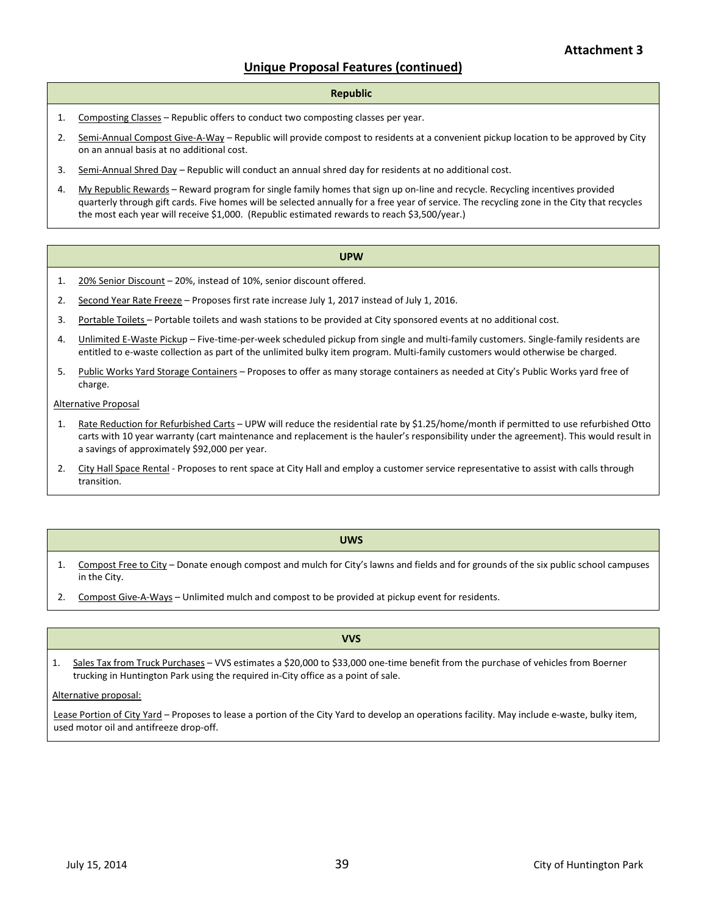#### **Unique Proposal Features (continued)**

#### **Republic**

- 1. Composting Classes Republic offers to conduct two composting classes per year.
- 2. Semi-Annual Compost Give-A-Way Republic will provide compost to residents at a convenient pickup location to be approved by City on an annual basis at no additional cost.
- 3. Semi-Annual Shred Day Republic will conduct an annual shred day for residents at no additional cost.
- 4. My Republic Rewards Reward program for single family homes that sign up on-line and recycle. Recycling incentives provided quarterly through gift cards. Five homes will be selected annually for a free year of service. The recycling zone in the City that recycles the most each year will receive \$1,000. (Republic estimated rewards to reach \$3,500/year.)

#### **UPW**

- 1. 20% Senior Discount 20%, instead of 10%, senior discount offered.
- 2. Second Year Rate Freeze Proposes first rate increase July 1, 2017 instead of July 1, 2016.
- 3. Portable Toilets Portable toilets and wash stations to be provided at City sponsored events at no additional cost.
- 4. Unlimited E-Waste Pickup Five-time-per-week scheduled pickup from single and multi-family customers. Single-family residents are entitled to e-waste collection as part of the unlimited bulky item program. Multi-family customers would otherwise be charged.
- 5. Public Works Yard Storage Containers Proposes to offer as many storage containers as needed at City's Public Works yard free of charge.

Alternative Proposal

- 1. Rate Reduction for Refurbished Carts UPW will reduce the residential rate by \$1.25/home/month if permitted to use refurbished Otto carts with 10 year warranty (cart maintenance and replacement is the hauler's responsibility under the agreement). This would result in a savings of approximately \$92,000 per year.
- 2. City Hall Space Rental Proposes to rent space at City Hall and employ a customer service representative to assist with calls through transition.

#### **UWS**

- 1. Compost Free to City Donate enough compost and mulch for City's lawns and fields and for grounds of the six public school campuses in the City.
- 2. Compost Give-A-Ways Unlimited mulch and compost to be provided at pickup event for residents.

#### **VVS**

1. Sales Tax from Truck Purchases – VVS estimates a \$20,000 to \$33,000 one-time benefit from the purchase of vehicles from Boerner trucking in Huntington Park using the required in-City office as a point of sale.

#### Alternative proposal:

Lease Portion of City Yard - Proposes to lease a portion of the City Yard to develop an operations facility. May include e-waste, bulky item, used motor oil and antifreeze drop-off.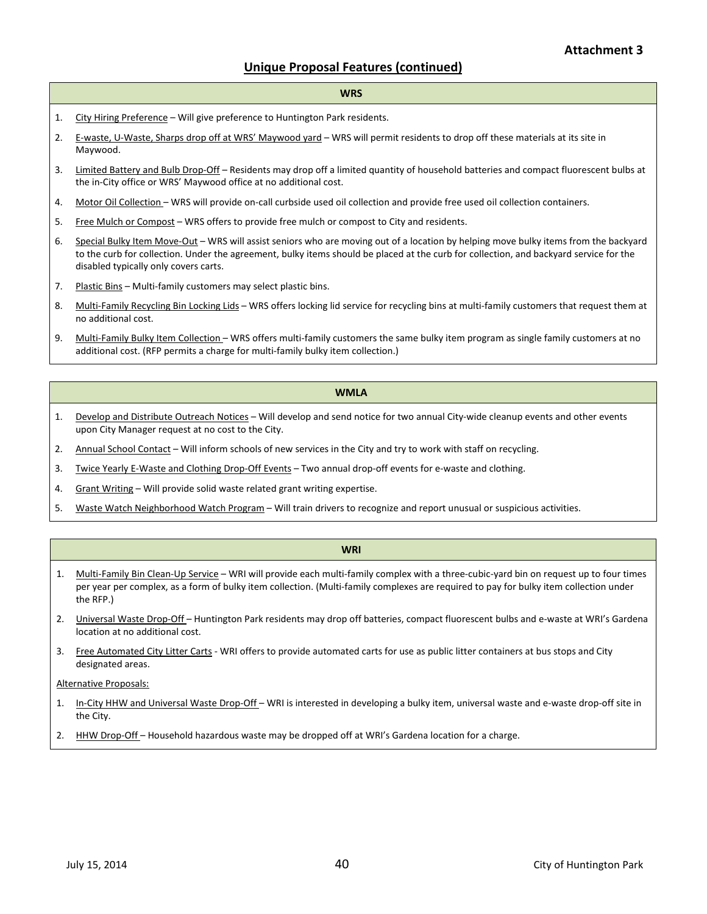#### **Unique Proposal Features (continued)**

#### **WRS**

- 1. City Hiring Preference Will give preference to Huntington Park residents.
- 2. E-waste, U-Waste, Sharps drop off at WRS' Maywood yard WRS will permit residents to drop off these materials at its site in Maywood.
- 3. Limited Battery and Bulb Drop-Off Residents may drop off a limited quantity of household batteries and compact fluorescent bulbs at the in-City office or WRS' Maywood office at no additional cost.
- 4. Motor Oil Collection WRS will provide on-call curbside used oil collection and provide free used oil collection containers.
- 5. Free Mulch or Compost WRS offers to provide free mulch or compost to City and residents.
- 6. Special Bulky Item Move-Out WRS will assist seniors who are moving out of a location by helping move bulky items from the backyard to the curb for collection. Under the agreement, bulky items should be placed at the curb for collection, and backyard service for the disabled typically only covers carts.
- 7. Plastic Bins Multi-family customers may select plastic bins.
- 8. Multi-Family Recycling Bin Locking Lids WRS offers locking lid service for recycling bins at multi-family customers that request them at no additional cost.
- 9. Multi-Family Bulky Item Collection WRS offers multi-family customers the same bulky item program as single family customers at no additional cost. (RFP permits a charge for multi-family bulky item collection.)

#### **WMLA**

- 1. Develop and Distribute Outreach Notices Will develop and send notice for two annual City-wide cleanup events and other events upon City Manager request at no cost to the City.
- 2. Annual School Contact Will inform schools of new services in the City and try to work with staff on recycling.
- 3. Twice Yearly E-Waste and Clothing Drop-Off Events Two annual drop-off events for e-waste and clothing.
- 4. Grant Writing Will provide solid waste related grant writing expertise.
- 5. Waste Watch Neighborhood Watch Program Will train drivers to recognize and report unusual or suspicious activities.

#### **WRI**

- 1. Multi-Family Bin Clean-Up Service WRI will provide each multi-family complex with a three-cubic-yard bin on request up to four times per year per complex, as a form of bulky item collection. (Multi-family complexes are required to pay for bulky item collection under the RFP.)
- 2. Universal Waste Drop-Off Huntington Park residents may drop off batteries, compact fluorescent bulbs and e-waste at WRI's Gardena location at no additional cost.
- 3. Free Automated City Litter Carts WRI offers to provide automated carts for use as public litter containers at bus stops and City designated areas.

Alternative Proposals:

- 1. In-City HHW and Universal Waste Drop-Off WRI is interested in developing a bulky item, universal waste and e-waste drop-off site in the City.
- 2. HHW Drop-Off Household hazardous waste may be dropped off at WRI's Gardena location for a charge.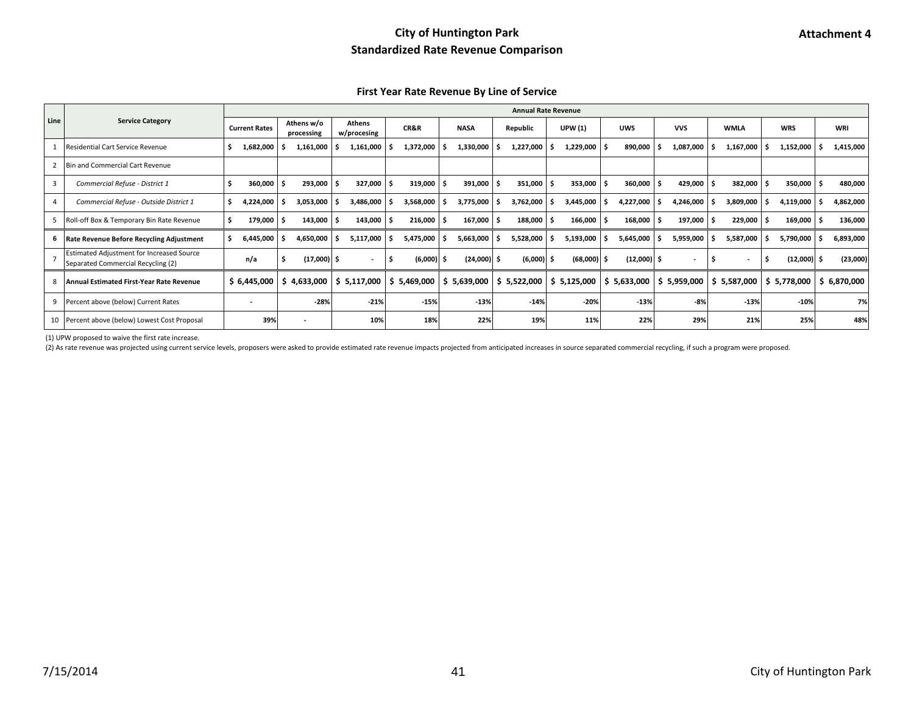**First Year Rate Revenue By Line of Service**

|      |                                                                                        |                          |                          |                       |                     |                         |              | <b>Annual Rate Revenue</b> |               |                                            |             |             |             |
|------|----------------------------------------------------------------------------------------|--------------------------|--------------------------|-----------------------|---------------------|-------------------------|--------------|----------------------------|---------------|--------------------------------------------|-------------|-------------|-------------|
| Line | <b>Service Category</b>                                                                | <b>Current Rates</b>     | Athens w/o<br>processing | Athens<br>w/procesing | CR&R                | <b>NASA</b>             | Republic     | <b>UPW</b> (1)             | <b>UWS</b>    | <b>VVS</b>                                 | <b>WMLA</b> | <b>WRS</b>  | <b>WRI</b>  |
|      | Residential Cart Service Revenue                                                       | 1,682,000                | 1,161,000                | 1,161,000             | 1,372,000           | 1,330,000               | 1,227,000    | 1,229,000                  | 890,000       | 1,087,000                                  | 1,167,000   | 1,152,000   | 1,415,000   |
|      | Bin and Commercial Cart Revenue                                                        |                          |                          |                       |                     |                         |              |                            |               |                                            |             |             |             |
|      | Commercial Refuse - District 1                                                         | 360,000                  | 293,000                  | 327,000               | 319,000             | 391,000                 | 351,000 \$   | 353,000                    | 360,000       | 429,000                                    | 382,000     | 350,000     | 480,000     |
|      | Commercial Refuse - Outside District 1                                                 | 4,224,000                | 3,053,000                | 3,486,000             | 3,568,000           | 3,775,000               | 3,762,000    | 3,445,000                  | 4,227,000     | 4,246,000                                  | 3,809,000   | 4,119,000   | 4,862,000   |
|      | Roll-off Box & Temporary Bin Rate Revenue                                              | 179,000                  | 143,000                  | 143,000               | 216,000             | 167,000                 | 188,000      | 166,000                    | 168,000       | 197,000                                    | 229,000     | 169,000     | 136,000     |
|      | Rate Revenue Before Recycling Adjustment                                               | 6,445,000                | 4,650,000                | 5,117,000             | 5,475,000           | 5,663,000               | 5,528,000    | 5,193,000                  | 5,645,000     | 5,959,000                                  | 5,587,000   | 5,790,000   | 6,893,000   |
|      | <b>Estimated Adjustment for Increased Source</b><br>Separated Commercial Recycling (2) | n/a                      | $(17,000)$ \$            | ٠                     | $(6,000)$ \$<br>- 5 | $(24,000)$ \$           | $(6,000)$ \$ | $(68,000)$ \$              | $(12,000)$ \$ |                                            | s           | (12,000)    | (23,000)    |
|      | Annual Estimated First-Year Rate Revenue                                               | \$6,445,000              | \$4,633,000              | \$5,117,000           | \$5,469,000         | $\frac{1}{2}$ 5,639,000 | \$5,522,000  | 5,125,000<br>s.            |               | \$ 5,633,000   \$ 5,959,000   \$ 5,587,000 |             | \$5,778,000 | \$6,870,000 |
| 9    | Percent above (below) Current Rates                                                    | $\overline{\phantom{a}}$ | $-28%$                   | $-21%$                | $-15%$              | $-13%$                  | $-14%$       | $-20%$                     | $-13%$        | $-8%$                                      | $-13%$      | $-10%$      | 7%          |
|      | 10 Percent above (below) Lowest Cost Proposal                                          | 39%                      |                          | 10%                   | 18%                 | 22%                     | 19%          | 11%                        | 22%           | 29%                                        | 21%         | 25%         | 48%         |

(1) UPW proposed to waive the first rate increase.

(2) As rate revenue was projected using current service levels, proposers were asked to provide estimated rate revenue impacts projected from anticipated increases in source separated commercial recycling, if such a progra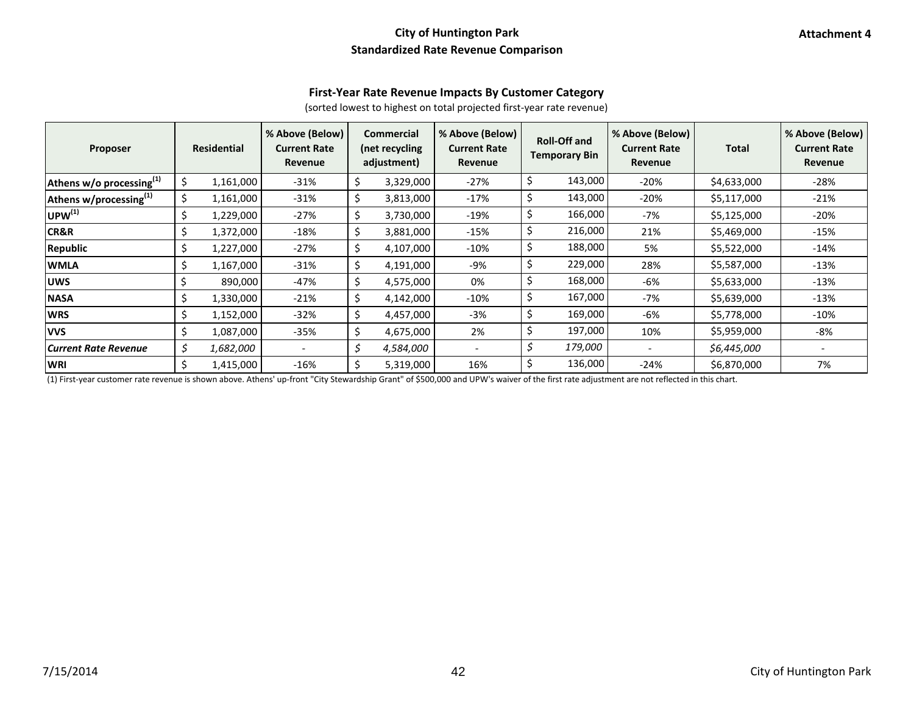#### **First-Year Rate Revenue Impacts By Customer Category**

(sorted lowest to highest on total projected first-year rate revenue)

| <b>Proposer</b>                    | <b>Residential</b> | % Above (Below)<br><b>Current Rate</b><br>Revenue | <b>Commercial</b><br>(net recycling<br>adjustment) | % Above (Below)<br><b>Current Rate</b><br>Revenue |     | <b>Roll-Off and</b><br><b>Temporary Bin</b> | % Above (Below)<br><b>Current Rate</b><br>Revenue | <b>Total</b> | % Above (Below)<br><b>Current Rate</b><br>Revenue |
|------------------------------------|--------------------|---------------------------------------------------|----------------------------------------------------|---------------------------------------------------|-----|---------------------------------------------|---------------------------------------------------|--------------|---------------------------------------------------|
| Athens w/o processing(1)           | \$<br>1,161,000    | $-31%$                                            | \$<br>3,329,000                                    | $-27%$                                            | \$  | 143,000                                     | $-20%$                                            | \$4,633,000  | $-28%$                                            |
| Athens w/processing <sup>(1)</sup> | \$<br>1,161,000    | $-31%$                                            | \$<br>3,813,000                                    | $-17%$                                            | \$  | 143,000                                     | $-20%$                                            | \$5,117,000  | $-21%$                                            |
| $ $ UPW $^{(1)}$                   | \$<br>1,229,000    | $-27%$                                            | \$<br>3,730,000                                    | $-19%$                                            | \$  | 166,000                                     | -7%                                               | \$5,125,000  | -20%                                              |
| <b>CR&amp;R</b>                    | \$<br>1,372,000    | $-18%$                                            | \$<br>3,881,000                                    | $-15%$                                            | \$  | 216,000                                     | 21%                                               | \$5,469,000  | $-15%$                                            |
| Republic                           | \$<br>1,227,000    | $-27%$                                            | \$<br>4,107,000                                    | $-10%$                                            | \$  | 188,000                                     | 5%                                                | \$5,522,000  | $-14%$                                            |
| <b>WMLA</b>                        | \$<br>1,167,000    | $-31%$                                            | \$<br>4,191,000                                    | -9%                                               | \$  | 229,000                                     | 28%                                               | \$5,587,000  | $-13%$                                            |
| <b>UWS</b>                         | \$<br>890,000      | -47%                                              | \$<br>4,575,000                                    | 0%                                                | \$  | 168,000                                     | -6%                                               | \$5,633,000  | $-13%$                                            |
| <b>NASA</b>                        | \$<br>1,330,000    | $-21%$                                            | \$<br>4,142,000                                    | $-10%$                                            | \$  | 167,000                                     | -7%                                               | \$5,639,000  | $-13%$                                            |
| <b>WRS</b>                         | \$<br>1,152,000    | $-32%$                                            | \$<br>4,457,000                                    | $-3%$                                             | \$  | 169,000                                     | -6%                                               | \$5,778,000  | $-10\%$                                           |
| <b>VVS</b>                         | \$<br>1,087,000    | $-35%$                                            | \$<br>4,675,000                                    | 2%                                                | \$. | 197,000                                     | 10%                                               | \$5,959,000  | -8%                                               |
| <b>Current Rate Revenue</b>        | \$<br>1,682,000    |                                                   | \$<br>4,584,000                                    | $\qquad \qquad -$                                 | \$  | 179,000                                     |                                                   | \$6,445,000  |                                                   |
| <b>WRI</b>                         | \$<br>1,415,000    | $-16%$                                            | \$<br>5,319,000                                    | 16%                                               | \$  | 136,000                                     | $-24%$                                            | \$6,870,000  | 7%                                                |

(1) First-year customer rate revenue is shown above. Athens' up-front "City Stewardship Grant" of \$500,000 and UPW's waiver of the first rate adjustment are not reflected in this chart.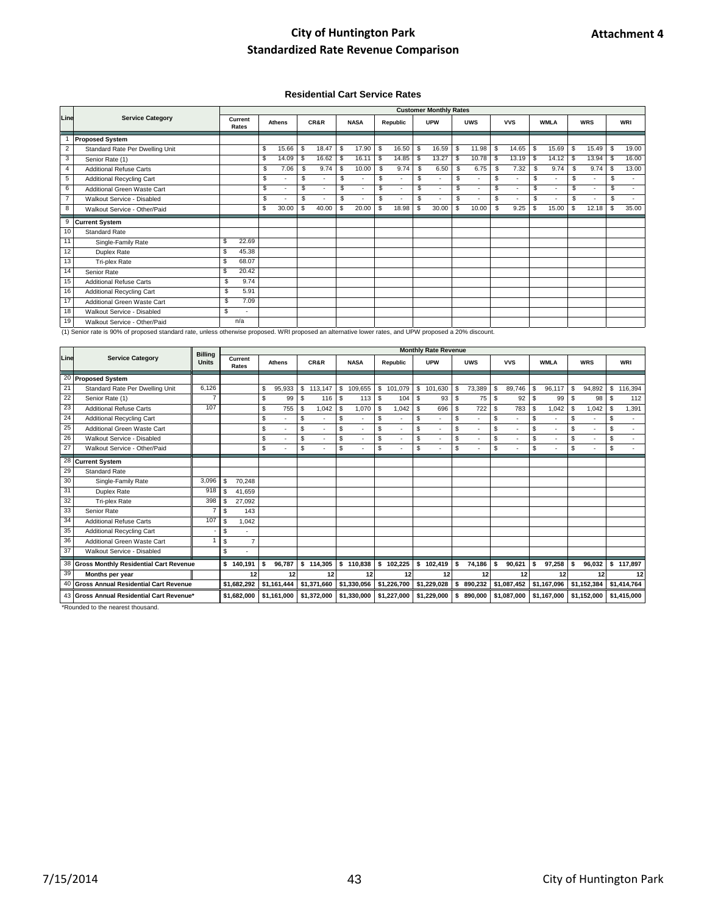#### **Residential Cart Service Rates**

|                |                                  |    |                  |    |               |     |       |                                |     |          |    | <b>Customer Monthly Rates</b> |               |            |      |            |                |                          |                |            |      |            |
|----------------|----------------------------------|----|------------------|----|---------------|-----|-------|--------------------------------|-----|----------|----|-------------------------------|---------------|------------|------|------------|----------------|--------------------------|----------------|------------|------|------------|
| Line           | <b>Service Category</b>          |    | Current<br>Rates |    | <b>Athens</b> |     | CR&R  | <b>NASA</b>                    |     | Republic |    | <b>UPW</b>                    |               | <b>UWS</b> |      | <b>VVS</b> |                | <b>WMLA</b>              |                | <b>WRS</b> |      | <b>WRI</b> |
|                | <b>Proposed System</b>           |    |                  |    |               |     |       |                                |     |          |    |                               |               |            |      |            |                |                          |                |            |      |            |
| $\overline{2}$ | Standard Rate Per Dwelling Unit  |    |                  | \$ | 15.66         | S   | 18.47 | \$<br>17.90                    | \$  | 16.50    | \$ | 16.59                         | \$            | 11.98      | \$   | 14.65      | \$             | 15.69                    | \$             | 15.49      | -S   | 19.00      |
| 3              | Senior Rate (1)                  |    |                  | \$ | 14.09         | S   | 16.62 | \$<br>16.11                    | \$. | 14.85    | S  | 13.27                         | <b>S</b>      | 10.78      | - \$ | 13.19      | $\mathfrak{L}$ | 14.12                    | \$.            | 13.94      | - \$ | 16.00      |
| $\overline{4}$ | <b>Additional Refuse Carts</b>   |    |                  | \$ | 7.06          | \$. | 9.74  | \$<br>10.00                    | \$  | 9.74     | £. | 6.50                          | -S            | 6.75       | \$.  | 7.32       | -S             | 9.74                     | \$             | 9.74       | -\$  | 13.00      |
| 5              | <b>Additional Recycling Cart</b> |    |                  | S  |               | \$  |       | \$                             | S   |          | \$ | $\overline{\phantom{a}}$      | \$            | ٠          | S    | ×          | \$             | ٠                        | \$.            | ×          | \$   | ٠          |
| 6              | Additional Green Waste Cart      |    |                  | \$ |               | \$  |       | \$<br>٠                        | \$  |          | \$ | $\overline{\phantom{a}}$      | \$            | ٠          | \$   | ×          | \$             | ٠                        | $\mathfrak{s}$ | ٠          | \$   | ٠          |
| $\overline{7}$ | Walkout Service - Disabled       |    |                  | S  |               | \$. |       | \$<br>$\overline{\phantom{a}}$ | S.  |          | \$ | $\overline{\phantom{a}}$      | \$            | ٠          | \$   | ٠          | \$             | $\overline{\phantom{a}}$ | $\mathcal{S}$  | $\sim$     | \$   | ٠          |
| 8              | Walkout Service - Other/Paid     |    |                  | \$ | 30.00         | \$  | 40.00 | \$<br>20.00                    | \$. | 18.98    | \$ | 30.00                         | <sup>\$</sup> | 10.00      | \$   | 9.25       | S              | 15.00                    | £.             | 12.18      | \$   | 35.00      |
| 9              | <b>Current System</b>            |    |                  |    |               |     |       |                                |     |          |    |                               |               |            |      |            |                |                          |                |            |      |            |
| 10             | <b>Standard Rate</b>             |    |                  |    |               |     |       |                                |     |          |    |                               |               |            |      |            |                |                          |                |            |      |            |
| 11             | Single-Family Rate               | \$ | 22.69            |    |               |     |       |                                |     |          |    |                               |               |            |      |            |                |                          |                |            |      |            |
| 12             | Duplex Rate                      | \$ | 45.38            |    |               |     |       |                                |     |          |    |                               |               |            |      |            |                |                          |                |            |      |            |
| 13             | Tri-plex Rate                    | \$ | 68.07            |    |               |     |       |                                |     |          |    |                               |               |            |      |            |                |                          |                |            |      |            |
| 14             | Senior Rate                      | S  | 20.42            |    |               |     |       |                                |     |          |    |                               |               |            |      |            |                |                          |                |            |      |            |
| 15             | <b>Additional Refuse Carts</b>   | \$ | 9.74             |    |               |     |       |                                |     |          |    |                               |               |            |      |            |                |                          |                |            |      |            |
| 16             | Additional Recycling Cart        | \$ | 5.91             |    |               |     |       |                                |     |          |    |                               |               |            |      |            |                |                          |                |            |      |            |
| 17             | Additional Green Waste Cart      | \$ | 7.09             |    |               |     |       |                                |     |          |    |                               |               |            |      |            |                |                          |                |            |      |            |
| 18             | Walkout Service - Disabled       | \$ |                  |    |               |     |       |                                |     |          |    |                               |               |            |      |            |                |                          |                |            |      |            |
| 19             | Walkout Service - Other/Paid     |    | n/a              |    |               |     |       |                                |     |          |    |                               |               |            |      |            |                |                          |                |            |      |            |

(1) Senior rate is 90% of proposed standard rate, unless otherwise proposed. WRI proposed an alternative lower rates, and UPW proposed a 20% discount.

|      |                                               | <b>Billing</b> |             |                |    |               |    |             |    |             |    |             |    | <b>Monthly Rate Revenue</b>                                    |    |            |     |             |      |             |      |             |    |             |
|------|-----------------------------------------------|----------------|-------------|----------------|----|---------------|----|-------------|----|-------------|----|-------------|----|----------------------------------------------------------------|----|------------|-----|-------------|------|-------------|------|-------------|----|-------------|
| Line | <b>Service Category</b>                       | <b>Units</b>   | Rates       | Current        |    | <b>Athens</b> |    | CR&R        |    | <b>NASA</b> |    | Republic    |    | <b>UPW</b>                                                     |    | <b>UWS</b> |     | <b>VVS</b>  |      | <b>WMLA</b> |      | <b>WRS</b>  |    | WRI         |
| 20   | <b>Proposed System</b>                        |                |             |                |    |               |    |             |    |             |    |             |    |                                                                |    |            |     |             |      |             |      |             |    |             |
| 21   | Standard Rate Per Dwelling Unit               | 6.126          |             |                | \$ | 95,933        |    | \$113,147   | \$ | 109,655     | \$ | 101,079     | \$ | 101,630                                                        | -S | 73,389     | \$. | 89,746      | S    | 96,117      | s.   | 94,892      | \$ | 116,394     |
| 22   | Senior Rate (1)                               | $\overline{7}$ |             |                | \$ | 99            | S  | 116         | £. | 113         | -S | 104         | -S | 93                                                             | -S | 75         | \$  | 92          | \$   | 99          | \$.  | 98          | Ŝ. | 112         |
| 23   | <b>Additional Refuse Carts</b>                | 107            |             |                | \$ | 755           | \$ | 1,042       | \$ | 1,070       | \$ | 1,042       | -S | 696                                                            | \$ | 722        | \$. | 783         | l \$ | 1,042       | \$   | 1,042       | \$ | 1,391       |
| 24   | <b>Additional Recycling Cart</b>              |                |             |                | \$ |               | \$ |             | \$ |             | \$ |             | \$ |                                                                | \$ |            | \$  |             | \$   |             | \$   |             | \$ |             |
| 25   | Additional Green Waste Cart                   |                |             |                | \$ |               | \$ |             | \$ |             | \$ |             | \$ | $\overline{\phantom{a}}$                                       | \$ | ٠          | \$  | ٠           | \$   | ٠           | \$   | $\sim$      | \$ | ÷.          |
| 26   | Walkout Service - Disabled                    |                |             |                | S  |               | \$ |             | \$ |             | S  |             | \$ |                                                                | \$ | ×.         | S   | ٠           | \$   | ٠           | \$   | ×.          | s. |             |
| 27   | Walkout Service - Other/Paid                  |                |             |                | \$ |               | \$ |             | \$ |             | S  |             | S  |                                                                | \$ |            | S   |             | \$   |             | \$   |             | \$ |             |
| 28   | <b>Current System</b>                         |                |             |                |    |               |    |             |    |             |    |             |    |                                                                |    |            |     |             |      |             |      |             |    |             |
| 29   | Standard Rate                                 |                |             |                |    |               |    |             |    |             |    |             |    |                                                                |    |            |     |             |      |             |      |             |    |             |
| 30   | Single-Family Rate                            | 3,096          | \$          | 70,248         |    |               |    |             |    |             |    |             |    |                                                                |    |            |     |             |      |             |      |             |    |             |
| 31   | Duplex Rate                                   | 918            | \$          | 41.659         |    |               |    |             |    |             |    |             |    |                                                                |    |            |     |             |      |             |      |             |    |             |
| 32   | <b>Tri-plex Rate</b>                          | 398            | \$          | 27,092         |    |               |    |             |    |             |    |             |    |                                                                |    |            |     |             |      |             |      |             |    |             |
| 33   | Senior Rate                                   | $\overline{7}$ | \$          | 143            |    |               |    |             |    |             |    |             |    |                                                                |    |            |     |             |      |             |      |             |    |             |
| 34   | <b>Additional Refuse Carts</b>                | 107            | \$          | 1.042          |    |               |    |             |    |             |    |             |    |                                                                |    |            |     |             |      |             |      |             |    |             |
| 35   | <b>Additional Recycling Cart</b>              |                | \$          |                |    |               |    |             |    |             |    |             |    |                                                                |    |            |     |             |      |             |      |             |    |             |
| 36   | Additional Green Waste Cart                   |                | \$          | $\overline{7}$ |    |               |    |             |    |             |    |             |    |                                                                |    |            |     |             |      |             |      |             |    |             |
| 37   | Walkout Service - Disabled                    |                | \$          |                |    |               |    |             |    |             |    |             |    |                                                                |    |            |     |             |      |             |      |             |    |             |
| 38   | <b>Gross Monthly Residential Cart Revenue</b> |                | \$140,191   |                | Ŝ. | 96,787        |    | \$114,305   |    | \$110,838   |    | \$102,225   |    | $$102,419$ \$                                                  |    | 74,186     | Ŝ.  | 90,621      | l S  | 97,258      | - \$ | 96,032      |    | \$117,897   |
| 39   | Months per year                               |                |             | 12             |    | 12            |    | 12          |    | 12          |    | 12          |    | 12                                                             |    | 12         |     | 12          |      | 12          |      | 12          |    | 12          |
| 40   | <b>Gross Annual Residential Cart Revenue</b>  |                |             | \$1,682,292    |    | \$1,161,444   |    | \$1,371,660 |    | \$1,330,056 |    | \$1,226,700 |    | $$1,229,028$ $$890,232$ $$1,087,452$ $$1,167,096$ $$1,152,384$ |    |            |     |             |      |             |      |             |    | \$1,414,764 |
|      | 43 Gross Annual Residential Cart Revenue*     |                | \$1,682,000 |                |    | \$1.161.000   |    | \$1,372,000 |    | \$1,330,000 |    | \$1,227,000 |    | \$1,229,000                                                    |    | \$890.000  |     | \$1,087,000 |      | \$1,167,000 |      | \$1,152,000 |    | \$1,415,000 |

\*Rounded to the nearest thousand.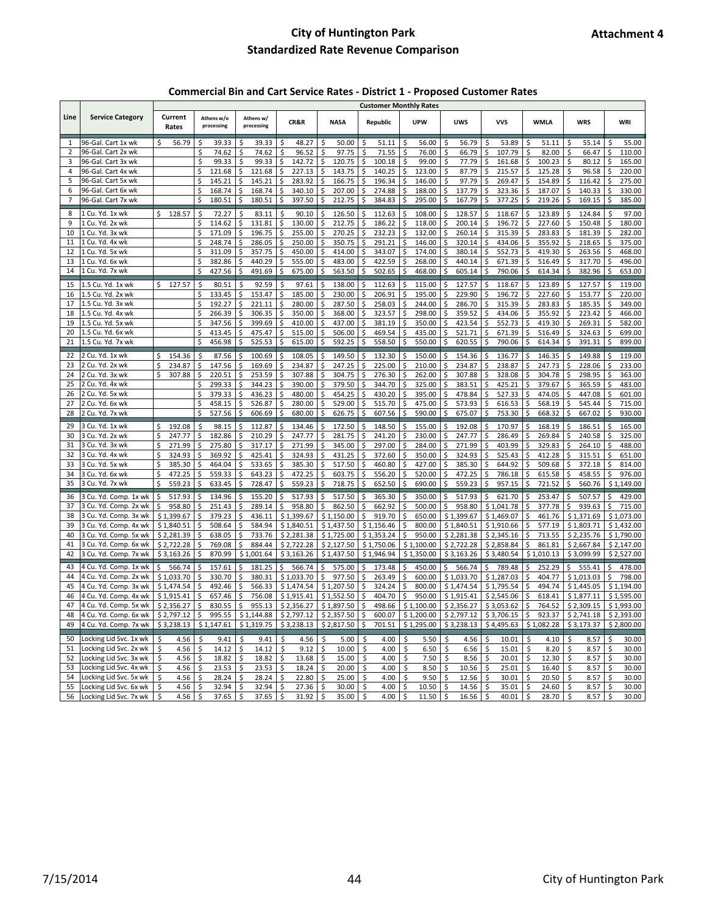# **Commercial Bin and Cart Service Rates - District 1 - Proposed Customer Rates**

|                |                                                  |                             |                                                                 |                              |                                            |                              |                            | <b>Customer Monthly Rates</b>     |                                                                                      |                              |                       |                                  |                            |
|----------------|--------------------------------------------------|-----------------------------|-----------------------------------------------------------------|------------------------------|--------------------------------------------|------------------------------|----------------------------|-----------------------------------|--------------------------------------------------------------------------------------|------------------------------|-----------------------|----------------------------------|----------------------------|
| Line           | <b>Service Category</b>                          | Current<br>Rates            | Athens w/o<br>processing                                        | Athens w/<br>processing      | <b>CR&amp;R</b>                            | <b>NASA</b>                  | Republic                   | <b>UPW</b>                        | <b>UWS</b>                                                                           | <b>VVS</b>                   | <b>WMLA</b>           | <b>WRS</b>                       | <b>WRI</b>                 |
| 1              | 96-Gal. Cart 1x wk                               | \$<br>56.79                 | \$<br>39.33                                                     | \$<br>39.33                  | \$<br>48.27                                | Ś<br>50.00                   | \$<br>51.11                | \$<br>56.00                       | \$<br>56.79                                                                          | \$<br>53.89                  | \$<br>51.11           | \$<br>55.14                      | \$<br>55.00                |
| $\overline{2}$ | 96-Gal. Cart 2x wk                               |                             | \$<br>74.62                                                     | \$<br>74.62                  | \$<br>96.52                                | Ś<br>97.75                   | 71.55<br>Ś                 | \$<br>76.00                       | \$<br>66.79                                                                          | \$<br>107.79                 | \$<br>82.00           | \$<br>66.47                      | \$<br>110.00               |
| 3              | 96-Gal. Cart 3x wk                               |                             | \$<br>99.33                                                     | \$<br>99.33                  | \$<br>142.72                               | \$<br>120.75                 | 100.18<br>Ś                | \$<br>99.00                       | $\zeta$<br>77.79                                                                     | 161.68<br>\$                 | Ś<br>100.23           | \$<br>80.12                      | \$<br>165.00               |
| 4              | 96-Gal. Cart 4x wk                               |                             | Ś<br>121.68                                                     | \$<br>121.68                 | 227.13<br>Ś                                | 143.75<br>\$                 | 140.25<br>Ś                | \$<br>123.00                      | \$<br>87.79                                                                          | 215.57                       | 125.28<br>Ś           | \$<br>96.58                      | \$<br>220.00               |
| 5              | 96-Gal. Cart 5x wk                               |                             | Ś<br>145.21                                                     | Ś<br>145.21                  | \$<br>283.92                               | \$<br>166.75                 | Ś<br>196.34                | Ś<br>146.00                       | \$<br>97.79                                                                          | Ś<br>269.47                  | Ś<br>154.89           | \$<br>116.42                     | \$<br>275.00               |
| 6              | 96-Gal. Cart 6x wk                               |                             | 168.74                                                          | Ś<br>168.74                  | Ś<br>340.10                                | Ś<br>207.00                  | Ś<br>274.88                | Ś<br>188.00                       | Ś<br>137.79                                                                          | 323.36                       | Ś<br>187.07           | Ś<br>140.33                      | Ś<br>330.00                |
| 7              | 96-Gal. Cart 7x wk                               |                             | 180.51<br>Ś                                                     | \$<br>180.51                 | 397.50<br>\$                               | \$<br>212.75                 | 384.83<br>\$               | \$<br>295.00                      | \$<br>167.79                                                                         | 377.25<br>\$                 | \$<br>219.26          | \$<br>169.15                     | \$<br>385.00               |
| 8              | 1 Cu. Yd. 1x wk                                  | \$<br>128.57                | 72.27<br>\$                                                     | \$<br>83.11                  | 90.10<br>\$                                | \$<br>126.50                 | \$<br>112.63               | \$<br>108.00                      | \$<br>128.57                                                                         | 118.67<br>\$                 | 123.89<br>\$          | \$<br>124.84                     | 97.00<br>\$                |
| 9              | 1 Cu. Yd. 2x wk                                  |                             | Ś<br>114.62                                                     | \$<br>131.81                 | \$<br>130.00                               | \$<br>212.75                 | Ś<br>186.22                | \$<br>118.00                      | Ś<br>200.14                                                                          | Ś<br>196.72                  | Ś<br>227.60           | Ś<br>150.48                      | \$<br>180.00               |
| 10             | Cu. Yd. 3x wk                                    |                             | 171.09                                                          | Ś<br>196.75                  | 255.00<br>Ś                                | Ś<br>270.25                  | Ś<br>232.23                | \$<br>132.00                      | 260.14                                                                               | 315.39<br>Ś                  | 283.83                | 181.39                           | Ś<br>282.00                |
| 11             | 1 Cu. Yd. 4x wk                                  |                             | 248.74                                                          | 286.05<br>Ś                  | 250.00<br>Ś                                | 350.75<br>\$                 | Ś<br>291.21                | Ś<br>146.00                       | 320.14                                                                               | 434.06<br>S                  | 355.92<br>Ś           | 218.65<br>Ś                      | 375.00<br>Ś                |
| 12             | 1 Cu. Yd. 5x wk                                  |                             | Ś<br>311.09                                                     | \$<br>357.75                 | 450.00<br>\$                               | 414.00<br>Ś                  | 343.07<br>\$               | \$<br>174.00                      | 380.14<br>Ś                                                                          | 552.73<br>\$                 | Ś<br>419.30           | 263.56<br>\$                     | \$<br>468.00               |
| 13             | 1 Cu. Yd. 6x wk                                  |                             | 382.86                                                          | \$<br>440.29                 | 555.00<br>\$                               | Ś<br>483.00                  | \$<br>422.59               | Ś<br>268.00                       | \$<br>440.14                                                                         | 671.39<br>\$                 | 516.49<br>\$          | 317.70<br>Ś                      | Ś<br>496.00                |
| 14             | 1 Cu. Yd. 7x wk                                  |                             | \$<br>427.56                                                    | \$<br>491.69                 | \$<br>675.00                               | \$<br>563.50                 | \$<br>502.65               | \$<br>468.00                      | \$<br>605.14                                                                         | \$<br>790.06                 | Ś<br>614.34           | Ś<br>382.96                      | \$<br>653.00               |
| 15             | 1.5 Cu. Yd. 1x wk                                | \$<br>127.57                | 80.51<br>Ś                                                      | 92.59<br>Ś                   | 97.61                                      | 138.00                       | 112.63                     | 115.00<br>Ś                       | 127.57                                                                               | 118.67                       | 123.89<br>Ś           | 127.57                           | 119.00<br>Ś                |
| 16             | 1.5 Cu. Yd. 2x wk                                |                             | 133.45<br>Ś                                                     | \$<br>153.47                 | 185.00<br>\$                               | Ś<br>230.00                  | Ś<br>206.91                | Ś<br>195.00                       | Ś<br>229.90                                                                          | \$<br>196.72                 | Ś<br>227.60           | Ś<br>153.77                      | \$<br>220.00               |
| 17             | 1.5 Cu. Yd. 3x wk                                |                             | Ś<br>192.27                                                     | \$<br>221.11                 | \$<br>280.00                               | \$<br>287.50                 | 258.03<br>\$               | Ś<br>244.00                       | 286.70<br>Ś                                                                          | \$<br>315.39                 | Ś<br>283.83           | 185.35<br>\$                     | \$<br>349.00               |
| 18             | 1.5 Cu. Yd. 4x wk                                |                             | Ś<br>266.39                                                     | \$<br>306.35                 | \$<br>350.00                               | Ś<br>368.00                  | Ś<br>323.57                | \$<br>298.00                      | \$<br>359.52                                                                         | \$<br>434.06                 | Ś<br>355.92           | \$<br>223.42                     | \$<br>466.00               |
| 19             | 1.5 Cu. Yd. 5x wk                                |                             | 347.56                                                          | \$<br>399.69                 | 410.00<br>\$                               | 437.00<br>Ś                  | \$<br>381.19               | \$<br>350.00                      | Ś<br>423.54                                                                          | 552.73<br>\$                 | 419.30<br>Ś           | \$<br>269.31                     | \$<br>582.00               |
| 20             | 1.5 Cu. Yd. 6x wk                                |                             | Ś<br>413.45                                                     | \$<br>475.47                 | \$<br>515.00                               | Ś<br>506.00                  | \$<br>469.54               | Ś<br>435.00                       | Ś<br>521.71                                                                          | \$<br>671.39                 | Ś<br>516.49           | Ś<br>324.63                      | Ś<br>699.00                |
| 21             | 1.5 Cu. Yd. 7x wk                                |                             | Ś<br>456.98                                                     | \$<br>525.53                 | \$<br>615.00                               | Ś<br>592.25                  | \$<br>558.50               | \$<br>550.00                      | \$<br>620.55                                                                         | \$<br>790.06                 | Ś<br>614.34           | \$<br>391.31                     | \$<br>899.00               |
| 22             | 2 Cu. Yd. 1x wk                                  | \$<br>154.36                | 87.56<br>\$                                                     | 100.69<br>\$                 | 108.05<br>\$                               | 149.50<br>Ś                  | 132.30<br>S                | 150.00<br>\$                      | 154.36<br>Ś                                                                          | 136.77<br>\$                 | 146.35<br>Ś           | 149.88<br>S                      | 119.00<br>\$               |
| 23             | 2 Cu. Yd. 2x wk                                  | \$<br>234.87                | \$<br>147.56                                                    | \$<br>169.69                 | 234.87<br>\$                               | 247.25<br>Ś                  | 225.00<br>\$               | 210.00<br>\$                      | 234.87<br>\$                                                                         | 238.87<br>\$                 | \$<br>247.73          | 228.06<br>\$                     | \$<br>233.00               |
| 24             | 2 Cu. Yd. 3x wk                                  | \$<br>307.88                | Ś<br>220.51                                                     | \$<br>253.59                 | \$<br>307.88                               | Ś<br>304.75                  | Ś<br>276.30                | Ś<br>262.00                       | 307.88                                                                               | \$<br>328.08                 | 304.78<br>Ś           | Ś<br>298.95                      | \$<br>363.00               |
| 25             | 2 Cu. Yd. 4x wk                                  |                             | 299.33                                                          | \$<br>344.23                 | \$<br>390.00                               | Ś<br>379.50                  | Ś<br>344.70                | Ś<br>325.00                       | Ś<br>383.51                                                                          | \$<br>425.21                 | 379.67                | \$<br>365.59                     | \$<br>483.00               |
| 26             | 2 Cu. Yd. 5x wk                                  |                             | 379.33<br>Ś                                                     | \$<br>436.23                 | 480.00<br>\$                               | 454.25<br>\$                 | 430.20<br>\$               | \$<br>395.00                      | 478.84<br>Ś                                                                          | 527.33<br>\$                 | 474.05<br>Ś           | 447.08<br>Ś                      | 601.00<br>\$               |
| 27             | 2 Cu. Yd. 6x wk                                  |                             | \$<br>458.15                                                    | \$<br>526.87                 | 280.00<br>\$                               | Ś<br>529.00                  | \$<br>515.70               | \$<br>475.00                      | \$<br>573.93                                                                         | 616.53<br>\$                 | 568.19<br>Ś           | \$<br>545.44                     | \$<br>715.00               |
| 28             | 2 Cu. Yd. 7x wk                                  |                             | \$<br>527.56                                                    | \$<br>606.69                 | \$<br>680.00                               | \$<br>626.75                 | \$<br>607.56               | \$<br>590.00                      | \$<br>675.07                                                                         | \$<br>753.30                 | \$<br>668.32          | \$<br>667.02                     | \$<br>930.00               |
| 29             | 3 Cu. Yd. 1x wk                                  | 192.08<br>\$                | 98.15<br>Ś                                                      | \$<br>112.87                 | \$<br>134.46                               | Ś<br>172.50                  | 148.50<br>Ś                | Ś<br>155.00                       | Ś<br>192.08                                                                          | Ś<br>170.97                  | 168.19<br>Ś           | 186.51<br>\$                     | 165.00<br>Ś                |
| 30             | 3 Cu. Yd. 2x wk                                  | \$<br>247.77                | 182.86<br>Ś                                                     | \$<br>210.29                 | \$<br>247.77                               | \$<br>281.75                 | Ś<br>241.20                | 230.00<br>\$                      | Ś<br>247.77                                                                          | 286.49<br>\$                 | Ś<br>269.84           | 240.58<br>\$                     | 325.00<br>Ś                |
| 31             | 3 Cu. Yd. 3x wk                                  | \$<br>271.99                | Ś<br>275.80                                                     | \$<br>317.17                 | 271.99<br>\$                               | \$<br>345.00                 | \$<br>297.00               | \$<br>284.00                      | \$<br>271.99                                                                         | 403.99<br>Ś                  | Ś<br>329.83           | \$<br>264.10                     | \$<br>488.00               |
| 32             | 3 Cu. Yd. 4x wk                                  | \$<br>324.93                | Ś<br>369.92                                                     | \$<br>425.41                 | 324.93<br>Ś                                | Ś<br>431.25                  | Ś<br>372.60                | \$<br>350.00                      | \$<br>324.93                                                                         | 525.43<br>Ś                  | 412.28<br>Ś           | \$<br>315.51                     | \$<br>651.00               |
| 33             | Cu. Yd. 5x wk                                    | \$<br>385.30                | 464.04<br>Ś                                                     | Ś<br>533.65                  | Ś<br>385.30                                | \$<br>517.50                 | Ś<br>460.80                | Ś<br>427.00                       | Ś<br>385.30                                                                          | 644.92<br>Ś                  | Ś<br>509.68           | \$<br>372.18                     | \$<br>814.00               |
| 34             | 3 Cu. Yd. 6x wk                                  | \$<br>472.25                | Ś<br>559.33                                                     | \$<br>643.23                 | 472.25<br>Ś                                | 603.75<br>Ś                  | 556.20<br>Ś                | 520.00<br>\$                      | Ś<br>472.25                                                                          | 786.18<br>Ś                  | 615.58<br>Ś           | 458.55<br>\$                     | \$<br>976.00               |
| 35             | 3 Cu. Yd. 7x wk                                  | \$<br>559.23                | \$<br>633.45                                                    | \$<br>728.47                 | 559.23<br>\$                               | \$<br>718.75                 | \$<br>652.50               | \$<br>690.00                      | $\zeta$<br>559.23                                                                    | 957.15<br>\$                 | \$<br>721.52          | \$<br>560.76                     | \$1,149.00                 |
| 36             | 3 Cu. Yd. Comp. 1x wk                            | \$<br>517.93                | 134.96<br>\$                                                    | \$<br>155.20                 | \$<br>517.93                               | \$<br>517.50                 | 365.30<br>\$               | \$<br>350.00                      | \$<br>517.93                                                                         | 621.70<br>\$                 | 253.47<br>\$          | \$<br>507.57                     | 429.00<br>\$               |
| 37             | 3 Cu. Yd. Comp. 2x wk                            | Ś<br>958.80                 | 251.43<br>\$                                                    | \$<br>289.14                 | 958.80<br>\$                               | \$<br>862.50                 | \$<br>662.92               | \$<br>500.00                      | \$<br>958.80                                                                         | \$1,041.78                   | \$<br>377.78          | \$<br>939.63                     | \$<br>715.00               |
| 38             | 3 Cu. Yd. Comp. 3x wk                            | \$1,399.67                  | Ś<br>379.23                                                     | \$<br>436.11                 | \$1,399.67                                 | \$1,150.00                   | \$<br>919.70               | \$<br>650.00                      | \$1,399.67                                                                           | \$1,469.07                   | Ś<br>461.76           | \$1,371.69                       | \$1,073.00                 |
| 39             | 3 Cu. Yd. Comp. 4x wk                            | \$1,840.51                  | 508.64<br>Ś                                                     | \$<br>584.94                 | \$1,840.51                                 | \$1,437.50                   | \$1,156.46                 | 800.00<br>\$                      | \$1,840.51                                                                           | \$1,910.66                   | Ś<br>577.19           | \$1,803.71                       | \$1,432.00                 |
| 40             | 3 Cu. Yd. Comp. 5x wk                            | \$2,281.39                  | \$<br>638.05                                                    | \$<br>733.76                 | \$2,281.38                                 | \$1,725.00                   | \$1,353.24                 | \$<br>950.00                      | \$2,281.38                                                                           | \$2,345.16                   | \$<br>713.55          | \$2,235.76                       | \$1,790.00                 |
| 41             | 3 Cu. Yd. Comp. 6x wk<br>3 Cu. Yd. Comp. 7x wk   | \$2,722.28                  | Ś<br>769.08<br>Ś                                                | \$<br>884.44<br>\$1,001.64   | \$2,722.28                                 | \$2,127.50                   | \$1,750.06                 | \$1,100.00                        | \$2,722.28                                                                           | \$2,858.84                   | 861.81<br>Ś           | \$2,667.84                       | \$2,147.00                 |
| 42             |                                                  | \$3,163.26                  | 870.99                                                          |                              | \$3,163.26                                 | \$1,437.50                   | \$1,946.94                 | \$1,350.00                        | \$3,163.26                                                                           | \$3,480.54                   | \$1,010.13            | \$3,099.99                       | \$2,527.00                 |
| 43             | 4 Cu. Yd. Comp. 1x wk                            | 566.74<br>\$                | 157.61<br>Ś                                                     | \$<br>181.25                 | \$<br>566.74                               | \$<br>575.00                 | 173.48<br>S                | 450.00<br>Ś                       | \$<br>566.74                                                                         | \$<br>789.48                 | 252.29<br>Ś           | 555.41<br>\$                     | \$<br>478.00               |
| 44             | 4 Cu. Yd. Comp. 2x wk                            | \$1,033.70                  | \$<br>330.70                                                    | \$<br>380.31                 | \$1,033.70                                 | \$<br>977.50                 | 263.49<br>Ś                | \$<br>600.00                      | \$1,033.70                                                                           | \$1,287.03                   | Ś<br>404.77           | \$1,013.03                       | \$<br>798.00               |
| 45<br>46       | 4 Cu. Yd. Comp. 3x wk<br>4 Cu. Yd. Comp. 4x wk   | \$1,474.54<br>\$1.915.41    | 492.46<br>Ś<br>657.46<br>Ś                                      | \$<br>566.33<br>Ś<br>756.08  | \$1,474.54<br>\$1,915.41                   | \$1,207.50<br>\$1,552.50     | 324.24<br>Ś<br>Ś<br>404.70 | \$<br>800.00<br>\$<br>950.00      | \$1,474.54<br>\$1,915.41                                                             | \$1,795.54                   | 494.74<br>S<br>Ś      | \$1,445.05                       | \$1,194.00                 |
| 47             | 4 Cu. Yd. Comp. 5x wk                            | \$2,356.27                  | Ś<br>830.55                                                     | Ś<br>955.13                  |                                            | \$1,897.50                   | 498.66                     | \$1,100.00                        | \$2,356.27                                                                           | \$2,545.06<br>\$3,053.62     | 618.41<br>Ś<br>764.52 | \$1,877.11<br>\$2,309.15         | \$1,595.00<br>\$1,993.00   |
| 48             | 4 Cu. Yd. Comp. 6x wk                            |                             | $$2,797.12$ $$995.55$ $$1,144.88$ $$2,797.12$ $$2,357.50$ $$$   |                              | \$2,356.27                                 |                              |                            |                                   | $600.07$   \$1,200.00   \$2,797.12   \$3,706.15   \$923.37   \$2,741.18   \$2,393.00 |                              |                       |                                  |                            |
| 49             | 4 Cu. Yd. Comp. 7x wk                            |                             | $$3,238.13$ $$1,147.61$ $$1,319.75$ $$3,238.13$ $$2,817.50$ $$$ |                              |                                            |                              | 701.51                     |                                   | $$1,295.00$ $$3,238.13$ $$4,495.63$ $$1,082.28$                                      |                              |                       | $$3,173.37$ $$2,800.00$          |                            |
|                |                                                  |                             |                                                                 |                              |                                            |                              |                            |                                   |                                                                                      |                              |                       |                                  |                            |
| 50<br>51       | Locking Lid Svc. 1x wk<br>Locking Lid Svc. 2x wk | \$<br>4.56<br>4.56 \$<br>\$ | \$<br>9.41<br>$14.12 \quad$ \$                                  | $\sf S$<br>9.41<br>14.12     | \$<br>4.56<br>$\sqrt{5}$<br>$9.12 \quad $$ | $\zeta$<br>5.00<br>$10.00\%$ | \$<br>4.00<br>4.00         | \$<br>5.50<br>\$<br>6.50          | $\ddot{\mathsf{S}}$<br>4.56<br>\$<br>6.56%                                           | 10.01<br>\$<br>$15.01 \pm 5$ | \$<br>4.10<br>8.20    | \$<br>8.57<br>$\sqrt{5}$<br>8.57 | \$<br>30.00<br>\$<br>30.00 |
| 52             | Locking Lid Svc. 3x wk                           | \$<br>4.56                  | 18.82<br>\$                                                     | \$<br>18.82                  | \$<br>$13.68$ \$                           | 15.00                        | \$<br>4.00                 | \$<br>7.50                        | \$<br>8.56%                                                                          | $20.01$ \$                   | 12.30                 | \$<br>8.57                       | \$<br>30.00                |
| 53             | Locking Lid Svc. 4x wk                           | \$<br>4.56                  | \$<br>23.53                                                     | $\ddot{\mathsf{S}}$<br>23.53 | 18.24<br>\$                                | $\frac{1}{2}$<br>20.00       | \$<br>4.00                 | $\zeta$<br>8.50                   | $10.56$ \$<br>\$                                                                     | 25.01                        | 16.40<br>-\$          | \$<br>$8.57$ \$                  | 30.00                      |
| 54             | Locking Lid Svc. 5x wk                           | 4.56<br>Ŝ.                  | $\zeta$<br>28.24                                                | $\ddot{\circ}$<br>28.24      | $22.80$ \$<br>\$                           | 25.00                        | \$<br>4.00                 | $\zeta$<br>9.50                   | $12.56$ \$<br>\$                                                                     | $30.01$ \$                   | 20.50                 | \$<br>$8.57$ \$                  | 30.00                      |
| 55             | Locking Lid Svc. 6x wk                           | \$<br>4.56                  | \$<br>32.94                                                     | $\ddot{\mathsf{S}}$<br>32.94 | $27.36$ \$<br>\$                           | 30.00                        | \$<br>4.00                 | \$<br>10.50                       | $14.56$ \$<br>\$                                                                     | $35.01$ \$                   | 24.60                 | \$<br>8.57                       | \$<br>30.00                |
|                | 56 Locking Lid Svc. 7x wk                        | $4.56$ \$<br>\$             | $37.65$ \$                                                      | 37.65 \$                     | $31.92 \quad$ \$                           | $35.00$ \$                   | 4.00                       | $\ddot{\mathsf{S}}$<br>$11.50$ \$ | $16.56$ \$                                                                           | $40.01$ \$                   | 28.70                 | $8.57$ \$<br>\$                  | 30.00                      |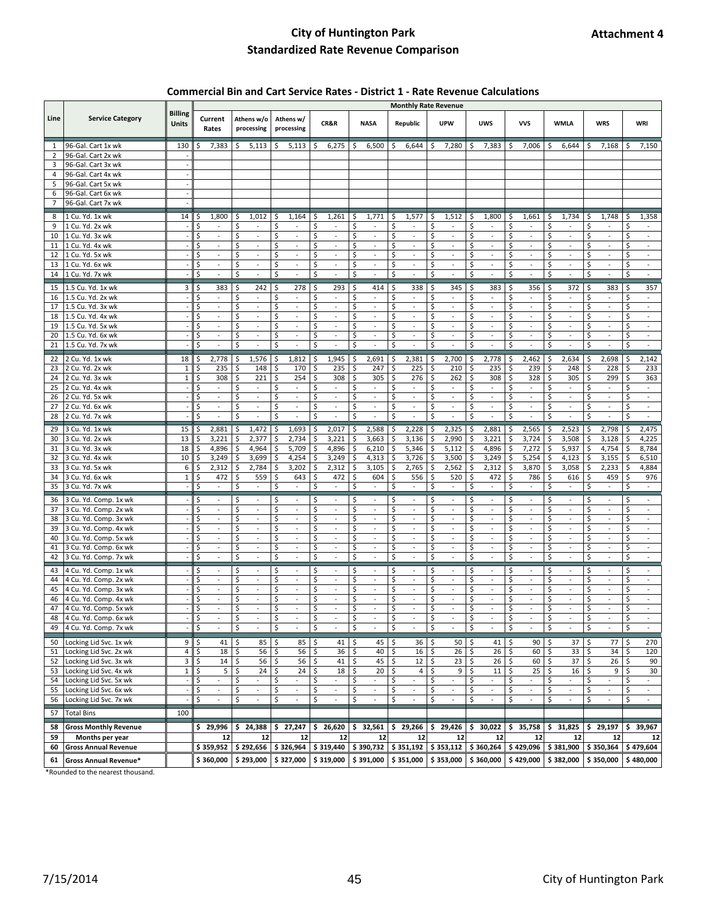#### **Commercial Bin and Cart Service Rates - District 1 - Rate Revenue Calculations**

|                |                                                | <b>Monthly Rate Revenue</b><br><b>Billing</b> |                                              |                                                  |                                |                                                 |                                |                                                       |                                            |                                                  |                                                 |                                |                                                 |                                  |
|----------------|------------------------------------------------|-----------------------------------------------|----------------------------------------------|--------------------------------------------------|--------------------------------|-------------------------------------------------|--------------------------------|-------------------------------------------------------|--------------------------------------------|--------------------------------------------------|-------------------------------------------------|--------------------------------|-------------------------------------------------|----------------------------------|
| Line           | <b>Service Category</b>                        | <b>Units</b>                                  | Current<br>Rates                             | Athens w/o<br>processing                         | Athens w/<br>processing        | CR&R                                            | <b>NASA</b>                    | Republic                                              | <b>UPW</b>                                 | <b>UWS</b>                                       | <b>VVS</b>                                      | <b>WMLA</b>                    | <b>WRS</b>                                      | WRI                              |
| $\mathbf{1}$   | 96-Gal. Cart 1x wk                             | 130                                           | 7,383                                        | 5,113<br>\$                                      | \$<br>5,113                    | 6,275<br>S                                      | 6,500<br>\$                    | \$<br>6,644                                           | 7,280<br>\$                                | 7,383<br>\$                                      | 7,006<br>\$                                     | 6,644<br>\$                    | 7,168<br>\$                                     | 7,150<br>Ś                       |
| $\overline{2}$ | 96-Gal. Cart 2x wk                             |                                               |                                              |                                                  |                                |                                                 |                                |                                                       |                                            |                                                  |                                                 |                                |                                                 |                                  |
| 3              | 96-Gal. Cart 3x wk                             |                                               |                                              |                                                  |                                |                                                 |                                |                                                       |                                            |                                                  |                                                 |                                |                                                 |                                  |
| 4              | 96-Gal. Cart 4x wk                             |                                               |                                              |                                                  |                                |                                                 |                                |                                                       |                                            |                                                  |                                                 |                                |                                                 |                                  |
| 5              | 96-Gal. Cart 5x wk                             |                                               |                                              |                                                  |                                |                                                 |                                |                                                       |                                            |                                                  |                                                 |                                |                                                 |                                  |
| 6              | 96-Gal. Cart 6x wk                             |                                               |                                              |                                                  |                                |                                                 |                                |                                                       |                                            |                                                  |                                                 |                                |                                                 |                                  |
| 7              | 96-Gal. Cart 7x wk                             |                                               |                                              |                                                  |                                |                                                 |                                |                                                       |                                            |                                                  |                                                 |                                |                                                 |                                  |
| 8              | 1 Cu. Yd. 1x wk                                | 14                                            | 1,800<br>S                                   | 1,012<br>\$                                      | 1,164<br>\$                    | 1,261<br>\$                                     | 1,771<br>\$                    | 1,577<br>-\$                                          | 1,512<br>\$                                | 1,800<br>\$,                                     | 1,661<br>\$                                     | 1,734<br>\$                    | 1,748<br>S                                      | 1,358<br>\$                      |
| 9              | 1 Cu. Yd. 2x wk                                |                                               | Ś<br>$\overline{\phantom{a}}$                | \$<br>$\overline{\phantom{a}}$                   | \$<br>$\overline{\phantom{a}}$ | Ś<br>$\overline{\phantom{a}}$                   | \$<br>$\overline{\phantom{a}}$ | \$<br>$\overline{\phantom{a}}$                        | Ś<br>$\overline{\phantom{a}}$              | \$<br>$\overline{\phantom{a}}$                   | \$<br>$\overline{\phantom{a}}$                  | \$<br>$\overline{\phantom{a}}$ | Ś<br>$\overline{\phantom{a}}$                   | \$<br>$\overline{\phantom{a}}$   |
| 10             | 1 Cu. Yd. 3x wk                                |                                               | \$<br>$\omega$                               | \$<br>$\omega$                                   | \$<br>$\omega$                 | \$<br>$\overline{\phantom{a}}$                  | \$<br>$\omega$                 | \$<br>$\sim$                                          | \$<br>$\Box$                               | \$<br>$\sim$                                     | \$<br>$\omega$                                  | \$<br>$\sim$                   | \$<br>$\blacksquare$                            | \$<br>$\omega$                   |
| 11             | 1 Cu. Yd. 4x wk                                |                                               | Ś<br>$\bar{\phantom{a}}$                     | Ś<br>$\blacksquare$                              | Ś<br>$\bar{\phantom{a}}$       | Ś<br>$\overline{\phantom{a}}$                   | \$<br>$\blacksquare$           | $\centering \label{eq:reduced}$                       | Ś<br>$\frac{1}{2}$                         | \$<br>÷,                                         | Ś<br>$\blacksquare$                             | \$<br>$\ddot{\phantom{a}}$     | $\tilde{\phantom{a}}$                           | \$<br>$\overline{\phantom{a}}$   |
| 12             | 1 Cu. Yd. 5x wk                                |                                               | \$<br>$\omega$                               | \$<br>$\omega$                                   | \$<br>$\sim$                   | \$<br>$\overline{\phantom{a}}$                  | \$<br>$\blacksquare$           | \$<br>$\omega$                                        | \$<br>$\Box$                               | \$<br>$\omega$                                   | \$<br>$\overline{\phantom{a}}$                  | \$<br>$\sim$                   | \$<br>$\overline{\phantom{a}}$                  | \$<br>$\overline{\phantom{a}}$   |
| 13             | 1 Cu. Yd. 6x wk                                |                                               | \$<br>$\omega$                               | Ś<br>$\omega$                                    | \$<br>$\overline{\phantom{a}}$ | \$<br>$\omega$                                  | \$<br>$\overline{\phantom{a}}$ | $\mathsf{\hat{S}}$<br>$\omega$                        | \$<br>$\overline{\phantom{a}}$             | \$<br>$\omega$                                   | $\mathsf{\hat{S}}$<br>$\omega$                  | \$<br>$\sim$                   | \$<br>$\overline{\phantom{a}}$                  | \$<br>$\overline{\phantom{a}}$   |
| 14             | 1 Cu. Yd. 7x wk                                |                                               | \$<br>$\overline{\phantom{a}}$               | \$<br>$\overline{\phantom{a}}$                   | \$<br>$\overline{\phantom{a}}$ | \$<br>÷,                                        | \$<br>$\overline{\phantom{a}}$ | \$<br>$\overline{a}$                                  | \$<br>÷,                                   | $\zeta$<br>$\blacksquare$                        | \$<br>$\overline{\phantom{a}}$                  | \$<br>$\overline{\phantom{a}}$ | \$<br>÷,                                        | \$<br>$\overline{\phantom{a}}$   |
| 15             | 1.5 Cu. Yd. 1x wk                              | 3                                             | \$<br>383                                    | \$<br>242                                        | \$<br>278                      | \$<br>293                                       | \$<br>414                      | \$<br>338                                             | \$<br>345                                  | \$,<br>383                                       | \$<br>356                                       | \$<br>372                      | 383<br>\$                                       | \$<br>357                        |
| 16             | 1.5 Cu. Yd. 2x wk                              |                                               | \$                                           | \$<br>$\frac{1}{2}$                              | \$<br>÷,                       | Ś<br>$\bar{\phantom{a}}$                        | \$                             | \$<br>$\centering \label{eq:reduced}$                 | \$<br>$\frac{1}{2}$                        | \$<br>÷,                                         | Ś<br>$\frac{1}{2}$                              | \$<br>÷,                       | Ś<br>$\blacksquare$                             | \$<br>$\Box$                     |
| 17             | 1.5 Cu. Yd. 3x wk                              |                                               | \$<br>$\omega$                               | Ś<br>$\omega$                                    | \$<br>$\sim$                   | Ś<br>$\omega$                                   | Ś<br>$\omega$                  | \$<br>$\omega$                                        | \$<br>$\omega$                             | \$<br>$\omega$                                   | Ś<br>$\omega$                                   | \$<br>$\sim$                   | Ś<br>$\omega$                                   | Ś<br>$\omega$                    |
| 18             | 1.5 Cu. Yd. 4x wk                              |                                               | \$<br>$\overline{\phantom{a}}$               | \$<br>$\omega$                                   | \$<br>$\sim$                   | \$<br>$\overline{\phantom{a}}$                  | \$<br>$\omega$                 | \$<br>÷,                                              | \$<br>÷,                                   | \$<br>$\omega$                                   | \$<br>$\omega$                                  | \$<br>$\sim$                   | \$<br>$\overline{\phantom{a}}$                  | \$<br>$\omega$                   |
| 19             | 1.5 Cu. Yd. 5x wk                              |                                               | Ś<br>$\overline{\phantom{a}}$                | Ś<br>$\overline{\phantom{a}}$                    | \$<br>$\blacksquare$           | Ś<br>$\overline{\phantom{a}}$                   | \$<br>$\blacksquare$           | \$<br>$\overline{\phantom{a}}$                        | \$<br>$\overline{\phantom{a}}$             | \$<br>$\blacksquare$                             | Ś<br>$\overline{\phantom{a}}$                   | \$<br>$\overline{\phantom{a}}$ | Ś<br>$\overline{\phantom{a}}$                   | \$<br>$\blacksquare$             |
| 20             | 1.5 Cu. Yd. 6x wk                              |                                               | \$<br>÷,                                     | \$<br>÷,                                         | \$<br>÷,                       | \$<br>$\omega$                                  | \$<br>÷,                       | \$<br>$\overline{a}$                                  | \$<br>$\overline{\phantom{a}}$             | \$<br>$\overline{\phantom{a}}$                   | \$<br>$\overline{\phantom{a}}$                  | \$<br>$\sim$                   | \$<br>$\overline{\phantom{a}}$                  | \$<br>$\bar{a}$                  |
| 21             | 1.5 Cu. Yd. 7x wk                              |                                               | Ś<br>$\omega$                                | \$<br>$\overline{\phantom{a}}$                   | \$<br>$\Box$                   | Ś<br>$\omega$                                   | $\mathsf{\hat{S}}$<br>$\omega$ | \$<br>÷,                                              | \$<br>$\overline{\phantom{a}}$             | $\mathsf{\hat{S}}$<br>$\omega$                   | $\mathsf{\hat{S}}$<br>$\Box$                    | $\zeta$<br>$\sim$              | \$<br>$\Box$                                    | \$<br>$\omega$                   |
| 22             | 2 Cu. Yd. 1x wk                                | 18                                            | 2,778<br>\$                                  | \$<br>1,576                                      | \$<br>1,812                    | 1,945<br>\$                                     | \$<br>2,691                    | \$<br>2,381                                           | \$<br>2,700                                | \$<br>2,778                                      | \$<br>2,462                                     | \$<br>2,634                    | 2,698<br>\$                                     | \$<br>2,142                      |
| 23             | 2 Cu. Yd. 2x wk                                | $\mathbf{1}$                                  | \$<br>235                                    | \$<br>148                                        | \$<br>170                      | \$<br>235                                       | \$<br>247                      | \$<br>225                                             | \$<br>210                                  | \$<br>235                                        | \$<br>239                                       | \$<br>248                      | \$<br>228                                       | \$<br>233                        |
| 24             | 2 Cu. Yd. 3x wk                                | $\mathbf 1$                                   | Ś<br>308                                     | \$<br>221                                        | \$<br>254                      | \$<br>308                                       | \$<br>305                      | \$<br>276                                             | \$<br>262                                  | \$<br>308                                        | $\mathsf{\hat{S}}$<br>328                       | \$<br>305                      | \$<br>299                                       | \$<br>363                        |
| 25             | 2 Cu. Yd. 4x wk                                |                                               | \$<br>$\overline{\phantom{a}}$               | Ś<br>$\blacksquare$                              | \$<br>$\bar{\phantom{a}}$      | Ś<br>$\overline{\phantom{a}}$                   | \$<br>$\overline{\phantom{a}}$ | \$<br>÷.                                              | \$<br>$\frac{1}{2}$                        | \$<br>$\sim$                                     | \$<br>$\overline{\phantom{a}}$                  | \$<br>$\sim$                   | \$<br>$\overline{\phantom{a}}$                  | \$<br>$\overline{\phantom{a}}$   |
| 26             | 2 Cu. Yd. 5x wk                                | $\overline{\phantom{a}}$                      | \$<br>$\omega$                               | Ś<br>$\omega$                                    | \$<br>$\omega$                 | \$<br>$\omega$                                  | \$<br>$\omega$                 | \$<br>$\omega$                                        | \$<br>ä,                                   | \$<br>$\omega$                                   | \$<br>$\omega$                                  | \$<br>$\sim$                   | \$<br>$\blacksquare$                            | \$<br>$\omega$                   |
| 27             | 2 Cu. Yd. 6x wk                                |                                               | \$<br>$\omega$                               | \$<br>$\omega$                                   | \$<br>$\sim$                   | \$<br>$\overline{\phantom{a}}$                  | \$<br>$\omega$                 | \$<br>÷,                                              | \$<br>÷,                                   | \$<br>$\omega$                                   | \$<br>$\omega$                                  | \$<br>$\sim$                   | \$<br>$\overline{\phantom{a}}$                  | \$<br>$\omega$                   |
| 28             | 2 Cu. Yd. 7x wk                                | $\ddot{\phantom{a}}$                          | \$<br>$\overline{\phantom{a}}$               | \$<br>$\Box$                                     | $\mathsf{\hat{S}}$<br>÷,       | \$<br>÷,                                        | \$<br>$\Box$                   | $\mathsf{\hat{S}}$<br>$\blacksquare$                  | \$<br>$\overline{a}$                       | \$<br>$\omega$                                   | $\sf S$<br>$\overline{\phantom{a}}$             | $\mathsf{\hat{S}}$<br>$\sim$   | \$<br>$\overline{\phantom{a}}$                  | \$<br>$\Box$                     |
| 29             | 3 Cu. Yd. 1x wk                                | 15                                            | 2,881<br>Ś                                   | \$<br>1,472                                      | \$<br>1,693                    | 2,017<br>\$                                     | \$<br>2,588                    | \$<br>2,228                                           | \$<br>2,325                                | \$<br>2,881                                      | \$<br>2,565                                     | \$<br>2,523                    | 2,798<br>\$                                     | \$<br>2,475                      |
| 30             | 3 Cu. Yd. 2x wk                                | 13                                            | 3,221                                        | Ś<br>2,377                                       | \$<br>2,734                    | Ś<br>3,221                                      | 3,663<br>\$                    | \$<br>3,136                                           | Ś<br>2,990                                 | \$<br>3,221                                      | 3,724<br>\$                                     | \$<br>3,508                    | \$<br>3,128                                     | 4,225<br>\$                      |
| 31             | 3 Cu. Yd. 3x wk                                | 18                                            | 4,896<br>Ś                                   | \$<br>4,964                                      | \$<br>5,709                    | 4,896<br>Ś                                      | \$<br>6,210                    | \$<br>5,346                                           | \$<br>5,112                                | \$<br>4,896                                      | \$<br>7,272                                     | \$<br>5,937                    | 4,754<br>Ś                                      | \$<br>8,784                      |
| 32             | 3 Cu. Yd. 4x wk                                | 10                                            | Ś<br>3,249                                   | \$<br>3,699                                      | \$<br>4,254                    | \$<br>3,249                                     | \$<br>4,313                    | \$<br>3,726                                           | \$<br>3,500                                | \$<br>3,249                                      | \$<br>5,254                                     | \$<br>4,123                    | Ś<br>3,155                                      | 6,510<br>Ś                       |
| 33             | 3 Cu. Yd. 5x wk                                | 6<br>$\mathbf{1}$                             | 2,312<br>\$<br>472                           | \$<br>2,784<br>\$                                | \$<br>3,202<br>\$<br>643       | \$<br>2,312<br>Ś<br>472                         | \$<br>3,105<br>\$              | \$<br>2,765<br>\$                                     | \$<br>2,562<br>\$<br>520                   | \$<br>2,312<br>\$                                | \$<br>3,870<br>\$                               | \$<br>3,058<br>\$              | \$<br>2,233<br>\$                               | \$<br>4,884                      |
| 34<br>35       | 3 Cu. Yd. 6x wk<br>3 Cu. Yd. 7x wk             |                                               | \$<br>$\omega$                               | 559<br>\$<br>$\omega$                            | \$<br>$\omega$                 | \$<br>$\omega$                                  | 604<br>\$<br>$\omega$          | 556<br>\$<br>$\omega$                                 | \$<br>$\omega$                             | 472<br>\$<br>$\omega$                            | 786<br>\$<br>$\omega$                           | 616<br>\$<br>$\bar{a}$         | 459<br>\$<br>$\omega$                           | \$<br>976<br>\$<br>$\omega$      |
|                |                                                |                                               |                                              |                                                  |                                |                                                 |                                |                                                       |                                            |                                                  |                                                 |                                |                                                 |                                  |
| 36             | 3 Cu. Yd. Comp. 1x wk                          |                                               | \$                                           | \$<br>$\overline{\phantom{a}}$                   | \$<br>$\overline{\phantom{a}}$ | \$                                              | \$<br>$\overline{\phantom{a}}$ | \$.<br>$\overline{\phantom{a}}$                       | \$                                         | \$<br>$\overline{\phantom{a}}$                   | \$<br>$\frac{1}{2}$                             | \$<br>$\overline{\phantom{a}}$ | \$                                              | \$<br>$\blacksquare$             |
| 37             | 3 Cu. Yd. Comp. 2x wk                          |                                               | \$<br>$\overline{\phantom{a}}$               | Ś<br>$\overline{\phantom{a}}$                    | \$<br>$\overline{\phantom{a}}$ | Ś<br>$\overline{\phantom{a}}$                   | \$<br>$\overline{\phantom{a}}$ | \$<br>$\overline{\phantom{a}}$                        | \$<br>$\overline{\phantom{a}}$             | \$<br>$\blacksquare$                             | Ś<br>$\overline{\phantom{a}}$                   | \$<br>$\overline{\phantom{a}}$ | \$<br>$\overline{\phantom{a}}$                  | \$<br>$\overline{\phantom{a}}$   |
| 38             | 3 Cu. Yd. Comp. 3x wk                          |                                               | \$<br>$\bar{\phantom{a}}$<br>\$<br>$\omega$  | Ś<br>ä,<br>Ś<br>$\omega$                         | \$<br>÷,<br>\$<br>$\omega$     | \$<br>ä,<br>\$<br>$\omega$                      | \$<br>\$<br>$\omega$           | \$<br>$\centering \label{eq:reduced}$<br>\$<br>$\sim$ | \$<br>$\frac{1}{2}$<br>\$<br>$\omega$      | \$<br>$\overline{\phantom{a}}$<br>\$<br>$\omega$ | \$<br>$\overline{\phantom{a}}$<br>Ś<br>$\omega$ | \$<br>$\sim$<br>\$<br>$\sim$   | \$<br>$\overline{\phantom{a}}$<br>Ś<br>$\omega$ | \$<br>\$<br>$\omega$             |
| 39<br>40       | 3 Cu. Yd. Comp. 4x wk<br>3 Cu. Yd. Comp. 5x wk |                                               | \$<br>$\sim$                                 | \$<br>$\omega$                                   | \$<br>$\sim$                   | \$<br>$\overline{\phantom{a}}$                  | \$<br>$\omega$                 | \$<br>÷.                                              | \$<br>÷,                                   | \$<br>$\omega$                                   | \$<br>$\omega$                                  | \$<br>$\sim$                   | \$<br>$\overline{\phantom{a}}$                  | \$<br>$\omega$                   |
| 41             | 3 Cu. Yd. Comp. 6x wk                          |                                               | \$<br>$\overline{\phantom{a}}$               | \$<br>$\omega$                                   | \$<br>$\overline{\phantom{a}}$ | \$<br>$\overline{\phantom{a}}$                  | \$<br>$\blacksquare$           | \$<br>$\overline{\phantom{a}}$                        | \$<br>$\overline{\phantom{a}}$             | \$<br>$\sim$                                     | \$<br>$\omega$                                  | \$<br>$\overline{\phantom{a}}$ | \$<br>$\overline{\phantom{a}}$                  | \$<br>$\sim$                     |
| 42             | 3 Cu. Yd. Comp. 7x wk                          |                                               | \$<br>÷,                                     | Ś<br>ä,                                          | \$<br>÷,                       | Ś<br>÷,                                         | \$                             | \$<br>ä,                                              | \$<br>L.                                   | \$<br>L.                                         | \$<br>L.                                        | \$<br>$\sim$                   | \$<br>$\overline{\phantom{a}}$                  | \$<br>$\bar{a}$                  |
|                |                                                |                                               |                                              |                                                  |                                |                                                 |                                |                                                       |                                            |                                                  |                                                 |                                |                                                 |                                  |
| 43             | 4 Cu. Yd. Comp. 1x wk                          |                                               | \$<br>$\sim$<br>\$<br>÷,                     | Ś<br>$\overline{\phantom{a}}$<br>\$<br>$\bar{a}$ | \$<br>$\sim$<br>\$<br>$\sim$   | Ś<br>$\overline{\phantom{a}}$<br>\$<br>$\omega$ | \$<br>\$<br>$\omega$           | \$<br>$\overline{\phantom{a}}$<br>\$<br>÷,            | \$<br>$\overline{\phantom{a}}$<br>\$<br>÷, | \$<br>$\overline{\phantom{a}}$<br>\$<br>ä,       | Ś<br>$\overline{\phantom{a}}$<br>\$<br>$\omega$ | \$<br>$\sim$<br>\$<br>$\sim$   | Ś<br>$\overline{\phantom{a}}$<br>\$<br>$\omega$ | \$<br>$\omega$<br>\$<br>$\omega$ |
| 44<br>45       | 4 Cu. Yd. Comp. 2x wk<br>4 Cu. Yd. Comp. 3x wk |                                               | Ś<br>$\overline{\phantom{a}}$                | Ś<br>$\blacksquare$                              | \$<br>$\overline{\phantom{a}}$ | \$<br>$\overline{\phantom{a}}$                  | \$<br>$\blacksquare$           | \$<br>$\overline{\phantom{a}}$                        | Ś<br>$\equiv$                              | \$<br>$\omega$                                   | \$<br>$\overline{\phantom{a}}$                  | \$<br>$\overline{\phantom{a}}$ | \$<br>$\overline{\phantom{a}}$                  | Ś<br>$\blacksquare$              |
| 46             | 4 Cu. Yd. Comp. 4x wk                          |                                               | \$<br>$\overline{\phantom{a}}$               | \$<br>$\blacksquare$                             | \$<br>$\overline{\phantom{a}}$ | \$<br>$\overline{\phantom{a}}$                  | \$<br>$\omega$                 | \$<br>$\overline{\phantom{a}}$                        | \$<br>÷,                                   | \$<br>$\overline{\phantom{a}}$                   | \$<br>$\overline{\phantom{a}}$                  | \$<br>$\overline{\phantom{a}}$ | \$<br>$\overline{\phantom{a}}$                  | \$<br>$\omega$                   |
| 47             | 4 Cu. Yd. Comp. 5x wk                          |                                               | \$<br>ä,                                     | Ś<br>ä,                                          | Ś<br>L,                        | Ś<br>$\overline{a}$                             | \$<br>L.                       | \$                                                    | Ś<br>L,                                    | \$<br>$\overline{a}$                             | Ś<br>÷,                                         | \$                             | Ś<br>÷,                                         | \$                               |
| 48             | 4 Cu. Yd. Comp. 6x wk                          |                                               | Ś                                            | ς                                                |                                | ς                                               |                                |                                                       | Ś                                          | Ś                                                | ς                                               |                                | ς                                               |                                  |
| 49             | 4 Cu. Yd. Comp. 7x wk                          |                                               | \$<br>$\overline{\phantom{a}}$               | \$                                               | \$<br>$\overline{\phantom{a}}$ | \$                                              | \$<br>$\overline{\phantom{a}}$ | \$                                                    | \$                                         | \$<br>$\overline{\phantom{a}}$                   | \$                                              | \$<br>$\overline{\phantom{a}}$ | \$                                              | \$<br>$\overline{\phantom{a}}$   |
|                | Locking Lid Svc. 1x wk                         |                                               |                                              |                                                  |                                |                                                 |                                |                                                       | 50                                         | 41                                               | 90                                              |                                |                                                 |                                  |
| 50<br>51       | Locking Lid Svc. 2x wk                         | 9<br>4                                        | 41<br>\$<br>\$<br>18                         | 85<br>\$<br>\$<br>56                             | \$<br>85<br>\$<br>56           | \$<br>41<br>36<br>\$                            | 45<br>-\$<br>\$<br>40          | \$<br>36<br>$\zeta$<br>16                             | \$<br>\$<br>26                             | \$<br>\$<br>26                                   | \$<br>$\ddot{s}$<br>60                          | \$<br>37<br>\$<br>33           | 77<br>\$<br>\$<br>34                            | \$<br>270<br>\$<br>120           |
| 52             | Locking Lid Svc. 3x wk                         | 3                                             | \$<br>14                                     | \$<br>56                                         | \$<br>56                       | \$<br>41                                        | \$<br>45                       | \$<br>12                                              | \$<br>23                                   | \$<br>26                                         | \$<br>60                                        | \$<br>37                       | 26<br>\$                                        | \$<br>90                         |
| 53             | Locking Lid Svc. 4x wk                         | $\mathbf 1$                                   | \$<br>5                                      | \$<br>24                                         | \$<br>24                       | \$<br>18                                        | \$<br>20                       | \$<br>4                                               | \$<br>9                                    | \$<br>$11\,$                                     | \$<br>25                                        | \$<br>16                       | \$<br>9                                         | \$<br>30                         |
| 54             | Locking Lid Svc. 5x wk                         | ÷,                                            | \$<br>$\omega$                               | \$<br>$\omega$                                   | \$<br>$\omega$                 | \$<br>$\blacksquare$                            | \$<br>$\omega$                 | ÷.                                                    | \$<br>$\blacksquare$                       | \$<br>$\omega$                                   | Ś<br>$\omega$                                   | \$<br>$\sim$                   | \$<br>$\overline{\phantom{a}}$                  | \$<br>$\omega$                   |
| 55             | Locking Lid Svc. 6x wk                         |                                               | \$<br>$\overline{\phantom{a}}$               | \$<br>$\overline{\phantom{a}}$                   | \$<br>$\overline{\phantom{a}}$ | \$<br>$\overline{\phantom{a}}$                  | \$<br>$\overline{\phantom{a}}$ | \$<br>$\centering \label{eq:reduced}$                 | \$<br>$\equiv$                             | \$<br>$\sim$                                     | \$<br>$\overline{\phantom{a}}$                  | \$<br>$\overline{\phantom{a}}$ | \$<br>$\overline{\phantom{a}}$                  | \$<br>$\overline{\phantom{a}}$   |
| 56             | Locking Lid Svc. 7x wk                         |                                               | $\overline{\xi}$<br>$\overline{\phantom{a}}$ | \$<br>$\overline{\phantom{a}}$                   | \$<br>$\blacksquare$           | \$<br>$\overline{\phantom{a}}$                  | \$<br>$\omega$                 | \$<br>$\sim$                                          | \$<br>$\Box$                               | \$<br>$\omega$                                   | \$<br>$\blacksquare$                            | \$<br>$\overline{\phantom{a}}$ | \$<br>$\overline{\phantom{a}}$                  | \$<br>$\omega$                   |
| 57             | <b>Total Bins</b>                              | 100                                           |                                              |                                                  |                                |                                                 |                                |                                                       |                                            |                                                  |                                                 |                                |                                                 |                                  |
|                |                                                |                                               |                                              |                                                  |                                |                                                 |                                |                                                       |                                            |                                                  |                                                 |                                |                                                 |                                  |
| 58             | <b>Gross Monthly Revenue</b>                   |                                               | \$29,996                                     | \$24,388                                         | \$27,247                       | \$26,620                                        | \$32,561                       | \$29,266                                              | \$29,426                                   | \$30,022                                         | \$35,758                                        | \$31,825                       | \$29,197                                        | \$<br>39,967                     |
| 59             | Months per year                                |                                               | 12                                           | 12                                               | 12                             | 12                                              | 12                             | 12                                                    | 12                                         | 12                                               | 12                                              | 12                             | 12                                              | 12                               |
| 60             | <b>Gross Annual Revenue</b>                    |                                               | \$359,952                                    | \$292,656                                        | \$326,964                      | \$319,440                                       | \$390,732                      | \$351,192                                             | \$353,112                                  | \$360,264                                        | \$429,096                                       | \$381,900                      | \$350,364                                       | \$479,604                        |
| 61             | <b>Gross Annual Revenue*</b>                   |                                               | \$360,000                                    | \$293,000                                        | \$327,000                      |                                                 | $$319,000$ $$391,000$          | \$351,000                                             | \$353,000                                  | \$360,000                                        | \$429,000                                       | \$382,000                      | \$350,000                                       | \$480,000                        |

\*Rounded to the nearest thousand.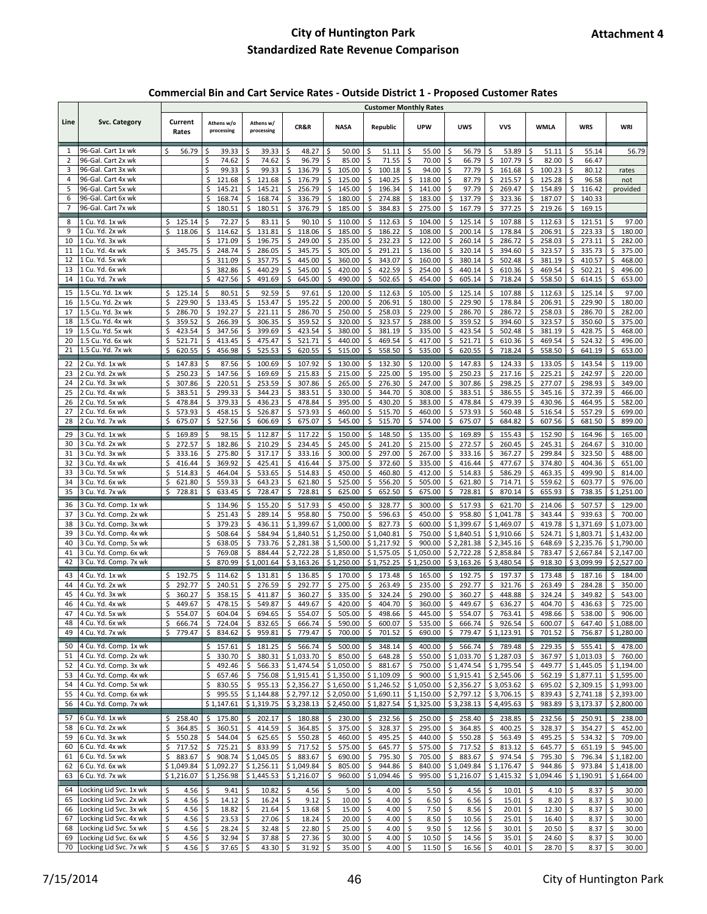#### **Commercial Bin and Cart Service Rates - Outside District 1 - Proposed Customer Rates**

|                |                                                  |                              |                              |                                  |                                      |                              | <b>Customer Monthly Rates</b>                   |                               |                                                                                           |                              |                               |                              |                              |
|----------------|--------------------------------------------------|------------------------------|------------------------------|----------------------------------|--------------------------------------|------------------------------|-------------------------------------------------|-------------------------------|-------------------------------------------------------------------------------------------|------------------------------|-------------------------------|------------------------------|------------------------------|
| Line           | <b>Svc. Category</b>                             | Current<br>Rates             | Athens w/o<br>processing     | Athens w/<br>processing          | CR&R                                 | <b>NASA</b>                  | Republic                                        | <b>UPW</b>                    | <b>UWS</b>                                                                                | <b>VVS</b>                   | WMLA                          | <b>WRS</b>                   | WRI                          |
| 1              | 96-Gal. Cart 1x wk                               | 56.79<br>Ś.                  | \$<br>39.33                  | \$<br>39.33                      | \$<br>48.27                          | \$<br>50.00                  | \$.<br>51.11                                    | \$<br>55.00                   | 56.79<br>\$                                                                               | 53.89<br>\$                  | \$<br>51.11                   | \$<br>55.14                  | 56.79                        |
| 2              | 96-Gal. Cart 2x wk                               |                              | \$<br>74.62                  | \$<br>74.62                      | \$<br>96.79                          | 85.00<br>\$                  | \$<br>71.55                                     | \$<br>70.00                   | \$<br>66.79                                                                               | \$<br>107.79                 | Ś<br>82.00                    | \$<br>66.47                  |                              |
| 3              | 96-Gal. Cart 3x wk                               |                              | \$<br>99.33                  | \$<br>99.33                      | \$<br>136.79                         | \$<br>105.00                 | \$<br>100.18                                    | 94.00<br>Ś                    | \$<br>77.79                                                                               | \$<br>161.68                 | \$<br>100.23                  | \$<br>80.12                  | rates                        |
| 4              | 96-Gal. Cart 4x wk                               |                              | \$<br>121.68                 | \$<br>121.68                     | \$<br>176.79                         | \$<br>125.00                 | Ś<br>140.25                                     | \$<br>118.00                  | \$<br>87.79                                                                               | \$<br>215.57                 | Ś<br>125.28                   | \$<br>96.58                  | not                          |
| 5              | 96-Gal. Cart 5x wk                               |                              | \$<br>145.21                 | \$<br>145.21                     | \$<br>256.79                         | \$<br>145.00                 | \$<br>196.34                                    | \$<br>141.00                  | Ś<br>97.79                                                                                | \$<br>269.47                 | \$<br>154.89                  | \$<br>116.42                 | provided                     |
| 6              | 96-Gal. Cart 6x wk                               |                              | \$<br>168.74                 | \$<br>168.74                     | 336.79<br>\$                         | \$<br>180.00                 | \$<br>274.88                                    | \$<br>183.00                  | \$<br>137.79                                                                              | \$<br>323.36                 | \$<br>187.07                  | \$<br>140.33                 |                              |
| $\overline{7}$ | 96-Gal. Cart 7x wk                               |                              | 180.51<br>\$                 | \$<br>180.51                     | \$<br>376.79                         | \$<br>185.00                 | \$<br>384.83                                    | \$<br>275.00                  | \$<br>167.79                                                                              | \$<br>377.25                 | \$<br>219.26                  | \$<br>169.15                 |                              |
| 8              | 1 Cu. Yd. 1x wk                                  | 125.14<br>S                  | \$<br>72.27                  | \$<br>83.11                      | \$<br>90.10                          | \$<br>110.00                 | \$<br>112.63                                    | \$<br>104.00                  | 125.14<br>\$                                                                              | \$<br>107.88                 | 112.63<br>\$                  | \$<br>121.51                 | \$<br>97.00                  |
| 9              | 1 Cu. Yd. 2x wk                                  | \$<br>118.06                 | \$<br>114.62                 | \$<br>131.81                     | \$<br>118.06                         | \$<br>185.00                 | \$<br>186.22                                    | \$<br>108.00                  | Ś<br>200.14                                                                               | \$<br>178.84                 | \$<br>206.91                  | \$<br>223.33                 | \$<br>180.00                 |
| 10             | 1 Cu. Yd. 3x wk                                  |                              | \$<br>171.09                 | \$<br>196.75                     | \$<br>249.00                         | \$<br>235.00                 | Ś<br>232.23                                     | \$<br>122.00                  | Ś<br>260.14                                                                               | \$<br>286.72                 | \$<br>258.03                  | \$<br>273.11                 | \$<br>282.00                 |
| 11             | 1 Cu. Yd. 4x wk                                  | Ś<br>345.75                  | \$<br>248.74                 | \$<br>286.05                     | \$<br>345.75                         | \$<br>305.00                 | \$<br>291.21                                    | \$<br>136.00                  | 320.14<br>Ś                                                                               | \$<br>394.60                 | \$<br>323.57                  | \$<br>335.73                 | \$<br>375.00                 |
| 12             | Cu. Yd. 5x wk                                    |                              | \$<br>311.09                 | \$<br>357.75                     | \$<br>445.00                         | \$<br>360.00                 | \$<br>343.07                                    | \$<br>160.00                  | \$<br>380.14                                                                              | \$<br>502.48                 | \$<br>381.19                  | \$<br>410.57                 | \$<br>468.00                 |
| 13             | 1 Cu. Yd. 6x wk<br>1 Cu. Yd. 7x wk               |                              | 382.86<br>\$                 | \$<br>440.29                     | 545.00<br>\$                         | \$<br>420.00                 | 422.59<br>\$                                    | \$<br>254.00                  | 440.14<br>Ś                                                                               | \$<br>610.36                 | \$<br>469.54                  | \$<br>502.21                 | \$<br>496.00                 |
| 14             |                                                  |                              | \$<br>427.56                 | 491.69<br>\$                     | \$<br>645.00                         | \$<br>490.00                 | \$<br>502.65                                    | \$<br>454.00                  | Ś<br>605.14                                                                               | \$<br>718.24                 | \$<br>558.50                  | \$<br>614.15                 | \$<br>653.00                 |
| 15             | 1.5 Cu. Yd. 1x wk                                | 125.14<br>\$                 | \$<br>80.51                  | \$<br>92.59                      | \$<br>97.61                          | \$<br>120.00                 | \$<br>112.63                                    | \$<br>105.00                  | 125.14<br>Ś                                                                               | \$<br>107.88                 | 112.63<br>\$                  | \$<br>125.14                 | \$<br>97.00                  |
| 16             | 1.5 Cu. Yd. 2x wk                                | \$<br>229.90                 | \$<br>133.45                 | \$<br>153.47                     | Ś<br>195.22                          | \$<br>200.00                 | Ś<br>206.91                                     | \$<br>180.00                  | 229.90<br>Ś                                                                               | \$<br>178.84                 | Ś<br>206.91                   | \$<br>229.90                 | \$<br>180.00                 |
| 17             | 1.5 Cu. Yd. 3x wk                                | \$<br>286.70                 | \$<br>192.27                 | \$<br>221.11                     | \$<br>286.70                         | \$<br>250.00                 | \$<br>258.03                                    | \$<br>229.00                  | \$<br>286.70                                                                              | \$<br>286.72                 | \$<br>258.03                  | \$<br>286.70                 | \$<br>282.00                 |
| 18             | 1.5 Cu. Yd. 4x wk                                | Ś<br>359.52                  | \$<br>266.39                 | \$<br>306.35                     | \$<br>359.52                         | \$<br>320.00                 | \$<br>323.57                                    | \$<br>288.00                  | \$<br>359.52                                                                              | \$<br>394.60                 | \$<br>323.57                  | \$<br>350.60                 | \$<br>375.00                 |
| 19<br>20       | 1.5 Cu. Yd. 5x wk<br>1.5 Cu. Yd. 6x wk           | Ś<br>423.54<br>\$<br>521.71  | \$<br>347.56<br>\$<br>413.45 | \$<br>399.69<br>475.47           | \$<br>423.54<br>\$<br>521.71         | \$<br>380.00<br>\$<br>440.00 | Ś<br>381.19<br>\$<br>469.54                     | Ś<br>335.00<br>\$<br>417.00   | 423.54<br>521.71<br>\$                                                                    | \$<br>502.48<br>\$<br>610.36 | Ś<br>381.19<br>\$<br>469.54   | \$<br>428.75<br>\$<br>524.32 | \$<br>468.00<br>\$<br>496.00 |
| 21             | 1.5 Cu. Yd. 7x wk                                | \$<br>620.55                 | \$<br>456.98                 | \$<br>\$<br>525.53               | \$<br>620.55                         | \$<br>515.00                 | \$<br>558.50                                    | \$<br>535.00                  | \$<br>620.55                                                                              | \$<br>718.24                 | \$<br>558.50                  | \$<br>641.19                 | \$<br>653.00                 |
|                |                                                  |                              |                              |                                  |                                      |                              |                                                 |                               |                                                                                           |                              |                               |                              |                              |
| 22             | 2 Cu. Yd. 1x wk                                  | \$<br>147.83                 | \$<br>87.56                  | \$<br>100.69                     | \$<br>107.92                         | \$<br>130.00                 | \$<br>132.30                                    | \$<br>120.00                  | 147.83<br>\$                                                                              | \$<br>124.33                 | 133.05<br>\$                  | \$<br>143.54                 | \$<br>119.00                 |
| 23             | 2 Cu. Yd. 2x wk                                  | \$<br>250.23<br>Ś            | \$<br>147.56                 | \$<br>169.69                     | \$<br>215.83                         | \$<br>215.00                 | \$<br>225.00                                    | \$<br>195.00                  | \$<br>250.23                                                                              | \$<br>217.16                 | \$<br>225.21                  | \$<br>242.97                 | \$<br>220.00                 |
| 24<br>25       | 2 Cu. Yd. 3x wk<br>2 Cu. Yd. 4x wk               | 307.86<br>Ś                  | \$<br>220.51                 | \$<br>253.59                     | \$<br>307.86<br>\$                   | \$<br>265.00                 | \$<br>276.30<br>\$                              | \$<br>247.00                  | Ś<br>307.86<br>Ś                                                                          | \$<br>298.25<br>\$           | \$<br>277.07                  | \$<br>298.93<br>\$           | \$<br>349.00                 |
| 26             | 2 Cu. Yd. 5x wk                                  | 383.51<br>Ś<br>478.84        | \$<br>299.33<br>\$<br>379.33 | \$<br>344.23<br>\$<br>436.23     | 383.51<br>\$<br>478.84               | \$<br>330.00<br>\$<br>395.00 | 344.70<br>\$<br>430.20                          | \$<br>308.00<br>\$<br>383.00  | 383.51<br>478.84<br>Ś                                                                     | 386.55<br>\$<br>479.39       | \$<br>345.16<br>\$<br>430.96  | 372.39<br>\$<br>464.95       | \$<br>466.00<br>\$<br>582.00 |
| 27             | 2 Cu. Yd. 6x wk                                  | Ś<br>573.93                  | \$<br>458.15                 | \$<br>526.87                     | 573.93<br>\$                         | \$<br>460.00                 | \$<br>515.70                                    | \$<br>460.00                  | 573.93<br>\$                                                                              | \$<br>560.48                 | \$<br>516.54                  | \$<br>557.29                 | \$<br>699.00                 |
| 28             | 2 Cu. Yd. 7x wk                                  | Ś<br>675.07                  | \$<br>527.56                 | \$<br>606.69                     | \$<br>675.07                         | \$<br>545.00                 | \$<br>515.70                                    | \$<br>574.00                  | Ś<br>675.07                                                                               | \$<br>684.82                 | \$<br>607.56                  | \$<br>681.50                 | \$<br>899.00                 |
|                |                                                  |                              |                              |                                  |                                      |                              |                                                 |                               |                                                                                           |                              |                               |                              |                              |
| 29<br>30       | 3 Cu. Yd. 1x wk<br>3 Cu. Yd. 2x wk               | Ś<br>169.89<br>\$<br>272.57  | 98.15<br>Ś<br>\$<br>182.86   | \$<br>112.87<br>210.29<br>\$     | \$<br>117.22<br>\$<br>234.45         | 150.00<br>\$<br>\$<br>245.00 | \$<br>148.50<br>\$<br>241.20                    | \$<br>135.00<br>\$<br>215.00  | 169.89<br>S<br>\$<br>272.57                                                               | 155.43<br>\$<br>\$<br>260.45 | \$<br>152.90<br>\$<br>245.31  | 164.96<br>\$<br>\$<br>264.67 | \$<br>165.00<br>\$<br>310.00 |
| 31             | 3 Cu. Yd. 3x wk                                  | \$<br>333.16                 | \$<br>275.80                 | \$<br>317.17                     | \$<br>333.16                         | \$<br>300.00                 | Ś<br>297.00                                     | \$<br>267.00                  | \$<br>333.16                                                                              | \$<br>367.27                 | \$<br>299.84                  | \$<br>323.50                 | \$<br>488.00                 |
| 32             | 3 Cu. Yd. 4x wk                                  | Ś<br>416.44                  | \$<br>369.92                 | \$<br>425.41                     | \$<br>416.44                         | \$<br>375.00                 | Ś<br>372.60                                     | \$<br>335.00                  | Ś<br>416.44                                                                               | \$<br>477.67                 | Ś<br>374.80                   | \$<br>404.36                 | \$<br>651.00                 |
| 33             | 3 Cu. Yd. 5x wk                                  | Ś<br>514.83                  | \$<br>464.04                 | \$<br>533.65                     | \$<br>514.83                         | \$<br>450.00                 | \$<br>460.80                                    | \$<br>412.00                  | \$<br>514.83                                                                              | \$<br>586.29                 | Ś<br>463.35                   | \$<br>499.90                 | \$<br>814.00                 |
| 34             | 3 Cu. Yd. 6x wk                                  | \$<br>621.80                 | \$<br>559.33                 | \$<br>643.23                     | 621.80<br>\$                         | \$<br>525.00                 | \$<br>556.20                                    | \$<br>505.00                  | \$<br>621.80                                                                              | \$<br>714.71                 | \$<br>559.62                  | \$<br>603.77                 | \$<br>976.00                 |
| 35             | 3 Cu. Yd. 7x wk                                  | \$<br>728.81                 | \$<br>633.45                 | \$<br>728.47                     | \$<br>728.81                         | \$<br>625.00                 | \$<br>652.50                                    | \$<br>675.00                  | \$<br>728.81                                                                              | \$<br>870.14                 | \$<br>655.93                  | \$<br>738.35                 | \$1,251.00                   |
| 36             | 3 Cu. Yd. Comp. 1x wk                            |                              | 134.96<br>Ś                  | \$<br>155.20                     | \$<br>517.93                         | \$<br>450.00                 | 328.77<br>Ś                                     | \$<br>300.00                  | 517.93<br>S                                                                               | \$<br>621.70                 | 214.06<br>Ś                   | \$<br>507.57                 | \$<br>129.00                 |
| 37             | 3 Cu. Yd. Comp. 2x wk                            |                              | \$<br>251.43                 | \$<br>289.14                     | \$<br>958.80                         | \$<br>750.00                 | \$<br>596.63                                    | \$<br>450.00                  | \$<br>958.80                                                                              | \$1,041.78                   | \$<br>343.44                  | \$<br>939.63                 | \$<br>700.00                 |
| 38             | 3 Cu. Yd. Comp. 3x wk                            |                              | \$<br>379.23                 | \$<br>436.11                     | \$1,399.67                           | \$1,000.00                   | \$<br>827.73                                    | \$<br>600.00                  | \$1,399.67                                                                                | \$1,469.07                   | \$<br>419.78                  | \$1,371.69                   | \$1,073.00                   |
| 39             | 3 Cu. Yd. Comp. 4x wk                            |                              | \$<br>508.64                 | \$<br>584.94                     | \$1,840.51                           | \$1,250.00                   | \$1,040.81                                      | \$<br>750.00                  | \$1,840.51                                                                                | \$1,910.66                   | \$<br>524.71                  | \$1,803.71                   | \$1,432.00                   |
| 40             | 3 Cu. Yd. Comp. 5x wk                            |                              | \$<br>638.05                 | \$<br>733.76                     | \$2,281.38                           | \$1,500.00                   | \$1,217.92                                      | \$<br>900.00                  | \$2,281.38                                                                                | \$2,345.16                   | \$<br>648.69                  | \$2,235.76                   | \$1,790.00                   |
| 41             | 3 Cu. Yd. Comp. 6x wk                            |                              | \$<br>769.08                 | \$<br>884.44                     | \$2,722.28                           | \$1,850.00                   | \$1,575.05                                      | \$1,050.00                    | \$2,722.28                                                                                | \$2,858.84                   | Ś<br>783.47                   | \$2,667.84                   | \$2,147.00                   |
| 42             | 3 Cu. Yd. Comp. 7x wk                            |                              | \$<br>870.99                 | \$1,001.64                       | \$3,163.26                           | \$1,250.00                   | \$1,752.25                                      | \$1,250.00                    | \$3,163.26                                                                                | \$3,480.54                   | \$<br>918.30                  | \$3,099.99                   | \$2,527.00                   |
| 43             | 4 Cu. Yd. 1x wk                                  | 192.75<br>\$                 | \$<br>114.62                 | \$<br>131.81                     | \$<br>136.85                         | \$<br>170.00                 | \$<br>173.48                                    | \$<br>165.00                  | \$<br>192.75                                                                              | \$<br>197.37                 | \$<br>173.48                  | \$<br>187.16                 | \$<br>184.00                 |
| 44             | 4 Cu. Yd. 2x wk                                  | Ś<br>292.77                  | \$<br>240.51                 | \$<br>276.59                     | \$<br>292.77                         | \$<br>275.00                 | \$<br>263.49                                    | \$<br>235.00                  | Ś<br>292.77                                                                               | \$<br>321.76                 | \$<br>263.49                  | \$<br>284.28                 | \$<br>350.00                 |
| 45             | 4 Cu. Yd. 3x wk                                  | Ś<br>360.27                  | \$<br>358.15                 | \$<br>411.87                     | \$<br>360.27                         | \$<br>335.00                 | Ś<br>324.24                                     | \$<br>290.00                  | Ś<br>360.27                                                                               | \$<br>448.88                 | Ś<br>324.24                   | Ś<br>349.82                  | \$<br>543.00                 |
| 46             | 4 Cu. Yd. 4x wk                                  | Ś<br>449.67                  | \$<br>478.15                 | \$<br>549.87                     | \$<br>449.67                         | \$<br>420.00                 | Ś<br>404.70                                     | \$<br>360.00                  | 449.67<br>Ś                                                                               | \$<br>636.27                 | Ś<br>404.70                   | \$<br>436.63                 | \$<br>725.00                 |
| 47             | 4 Cu. Yd. 5x wk                                  | \$<br>554.07                 | \$<br>604.04                 | Ś<br>694.65                      | 554.07<br>\$                         | \$<br>505.00                 | Ś<br>498.66                                     | \$<br>445.00                  | \$<br>554.07                                                                              | \$<br>763.41                 | Ś<br>498.66                   | \$<br>538.00                 | \$<br>906.00                 |
| 48<br>49       | 4 Cu. Yd. 6x WK<br>4 Cu. Yd. 7x wk               | Ş.<br>666.74<br>\$779.47     | Ş.<br>\$<br>834.62           | 724.04 \$ 832.65<br>\$<br>959.81 | \$ 666.74<br>\$779.47                | \$700.00                     | \$ 590.00 \$ 600.07<br>\$701.52                 | \$<br>690.00                  | $\frac{1}{2}$ 535.00 \ 5 666.74 \ 5 926.54 \ 5 600.07 \ 5 647.40 \ 5 1,088.00<br>\$779.47 | \$1,123.91                   | \$701.52                      | \$756.87                     | \$1,280.00                   |
|                |                                                  |                              |                              |                                  |                                      |                              |                                                 |                               |                                                                                           |                              |                               |                              |                              |
| 50             | 4 Cu. Yd. Comp. 1x wk                            |                              | \$157.61                     | \$<br>181.25                     | \$566.74                             | \$500.00                     | \$<br>348.14                                    | \$<br>400.00                  | \$<br>566.74                                                                              | \$789.48                     | \$<br>229.35                  | \$555.41                     | \$478.00                     |
| 51             | 4 Cu. Yd. Comp. 2x wk                            |                              | \$<br>330.70                 | 380.31<br>\$                     | \$1,033.70                           | 850.00<br>\$                 | 648.28<br>\$                                    | \$<br>550.00                  | \$1,033.70                                                                                | \$1,287.03                   | \$                            | 367.97 \$1,013.03            | \$<br>760.00                 |
| 52<br>53       | 4 Cu. Yd. Comp. 3x wk<br>4 Cu. Yd. Comp. 4x wk   |                              | \$<br>492.46<br>\$<br>657.46 | 566.33<br>\$<br>\$<br>756.08     | \$1,474.54<br>\$1,915.41             | \$1,050.00<br>\$1,350.00     | $\bar{\underline{\xi}}$<br>881.67<br>\$1,109.09 |                               | $$750.00$ $$1,474.54$<br>$$900.00 \; $1,915.41$                                           | \$1,795.54<br>\$2,545.06     | 449.77<br>\$<br>\$.<br>562.19 | \$1,445.05<br>\$1,877.11     | \$1,194.00<br>\$1,595.00     |
| 54             | 4 Cu. Yd. Comp. 5x wk                            |                              | \$<br>830.55                 | \$<br>955.13                     | \$2,356.27                           | \$1,650.00                   | \$1,246.52                                      | \$1,050.00                    | \$2,356.27                                                                                | \$3,053.62                   | \$<br>695.02                  | \$2,309.15                   | \$1,993.00                   |
| 55             | 4 Cu. Yd. Comp. 6x wk                            |                              | \$<br>995.55                 | \$1,144.88                       | \$2,797.12                           | \$2,050.00                   | \$1,690.11                                      | \$1,150.00                    | \$2,797.12                                                                                | \$3,706.15                   | \$<br>839.43                  | \$2,741.18                   | \$2,393.00                   |
| 56             | 4 Cu. Yd. Comp. 7x wk                            |                              | \$1,147.61                   | \$1,319.75                       | \$3,238.13                           | \$2,450.00                   | \$1,827.54                                      | \$1,325.00                    | \$3,238.13                                                                                | \$4,495.63                   | \$<br>983.89                  | \$3,173.37                   | \$2,800.00                   |
|                |                                                  |                              |                              |                                  |                                      |                              |                                                 |                               |                                                                                           |                              |                               |                              |                              |
| 57             | 6 Cu. Yd. 1x wk                                  | \$<br>258.40                 | \$175.80                     | \$<br>202.17                     | 180.88<br>\$                         | 230.00<br>\$                 | 232.56<br>\$                                    | \$<br>250.00                  | 258.40<br>\$                                                                              | 238.85<br>\$                 | \$<br>232.56                  | \$250.91                     | \$238.00                     |
| 58<br>59       | 6 Cu. Yd. 2x wk<br>6 Cu. Yd. 3x wk               | \$<br>364.85<br>\$<br>550.28 | 360.51<br>\$<br>\$<br>544.04 | 414.59<br>\$<br>\$<br>625.65     | 364.85<br>\$<br>\$<br>550.28         | \$375.00<br>\$<br>460.00     | \$<br>328.37<br>\$<br>495.25                    | 295.00<br>\$<br>\$<br>440.00  | 364.85<br>\$<br>\$<br>550.28                                                              | 400.25<br>\$<br>\$<br>563.49 | 328.37<br>\$<br>\$<br>495.25  | 354.27<br>\$<br>\$<br>534.32 | \$452.00<br>\$<br>709.00     |
| 60             | 6 Cu. Yd. 4x wk                                  | \$<br>717.52                 | \$<br>725.21                 | \$<br>833.99                     | \$<br>717.52                         | 575.00<br>\$                 | \$<br>645.77                                    | \$<br>575.00                  | \$<br>717.52                                                                              | \$<br>813.12                 | \$<br>645.77                  | \$<br>651.19                 | \$<br>945.00                 |
| 61             | 6 Cu. Yd. 5x wk                                  | \$<br>883.67                 | 908.74<br>\$                 | \$1,045.05                       | 883.67<br>\$                         | \$<br>690.00                 | \$<br>795.30                                    | \$<br>705.00                  | \$<br>883.67                                                                              | \$<br>974.54                 | 795.30<br>\$                  | \$<br>796.34                 | \$1,182.00                   |
| 62             | 6 Cu. Yd. 6x wk                                  | \$1,049.84                   | \$1,092.27                   | \$1,256.11                       | \$1,049.84                           | \$<br>805.00                 | \$<br>944.86                                    | \$<br>840.00                  | \$1,049.84                                                                                | \$1,176.47                   | \$<br>944.86                  | \$<br>973.84                 | \$1,418.00                   |
| 63             | 6 Cu. Yd. 7x wk                                  | \$1,216.07                   | \$1,256.98                   | \$1,445.53                       | \$1,216.07                           | \$<br>960.00                 | \$1,094.46                                      | \$<br>995.00                  | \$1,216.07                                                                                | \$1,415.32                   | \$1,094.46                    | \$1,190.91                   | \$1,664.00                   |
|                |                                                  |                              |                              |                                  |                                      |                              |                                                 |                               |                                                                                           |                              |                               |                              |                              |
| 64             | Locking Lid Svc. 1x wk                           | 4.56<br>\$<br>\$             | \$<br>9.41                   | 10.82<br>\$.                     | \$<br>4.56                           | 5.00<br>\$                   | 4.00<br>\$                                      | \$<br>5.50                    | \$<br>4.56                                                                                | 10.01<br>\$.                 | 4.10<br>\$                    | \$<br>8.37                   | \$<br>30.00                  |
| 65<br>66       | Locking Lid Svc. 2x wk<br>Locking Lid Svc. 3x wk | 4.56<br>\$<br>4.56           | \$<br>14.12<br>\$<br>18.82   | \$<br>16.24<br>\$<br>21.64       | $\frac{1}{2}$<br>9.12<br>\$<br>13.68 | \$<br>10.00<br>\$<br>15.00   | -\$<br>4.00<br>-\$<br>4.00                      | \$<br>6.50<br>$\zeta$<br>7.50 | \$<br>6.56<br>\$<br>8.56                                                                  | \$<br>15.01<br>\$<br>20.01   | \$<br>8.20<br>\$<br>12.30     | \$<br>8.37<br>\$<br>8.37     | \$<br>30.00<br>\$<br>30.00   |
| 67             | Locking Lid Svc. 4x wk                           | \$<br>4.56                   | \$<br>23.53                  | 27.06<br>\$                      | \$<br>18.24                          | 20.00<br>\$                  | \$<br>4.00                                      | \$<br>8.50                    | \$<br>10.56                                                                               | \$<br>25.01                  | \$<br>16.40                   | \$<br>8.37                   | \$<br>30.00                  |
| 68             | Locking Lid Svc. 5x wk                           | \$<br>4.56                   | \$<br>28.24                  | \$<br>32.48                      | \$<br>22.80                          | 25.00<br>\$                  | -\$<br>4.00                                     | $\zeta$<br>9.50               | \$<br>12.56                                                                               | \$<br>30.01                  | \$<br>20.50                   | \$<br>8.37                   | \$<br>30.00                  |
| 69             | Locking Lid Svc. 6x wk                           | \$<br>4.56 \$                | 32.94                        | \$<br>37.88                      | \$<br>27.36                          | 30.00<br>∣\$                 | l\$<br>4.00                                     | \$<br>10.50%                  | 14.56                                                                                     | ۱\$<br>35.01                 | 24.60%<br>\$                  | 8.37                         | \$<br>30.00                  |
| 70             | Locking Lid Svc. 7x wk                           | \$<br>4.56                   | \$<br>37.65                  | \$<br>43.30                      | \$<br>31.92                          | 35.00 \$<br>-\$              | 4.00                                            | 11.50<br>-\$                  | $\mathsf{\hat{S}}$<br>16.56                                                               | -\$<br>40.01                 | \$<br>28.70                   | \$<br>8.37                   | \$<br>30.00                  |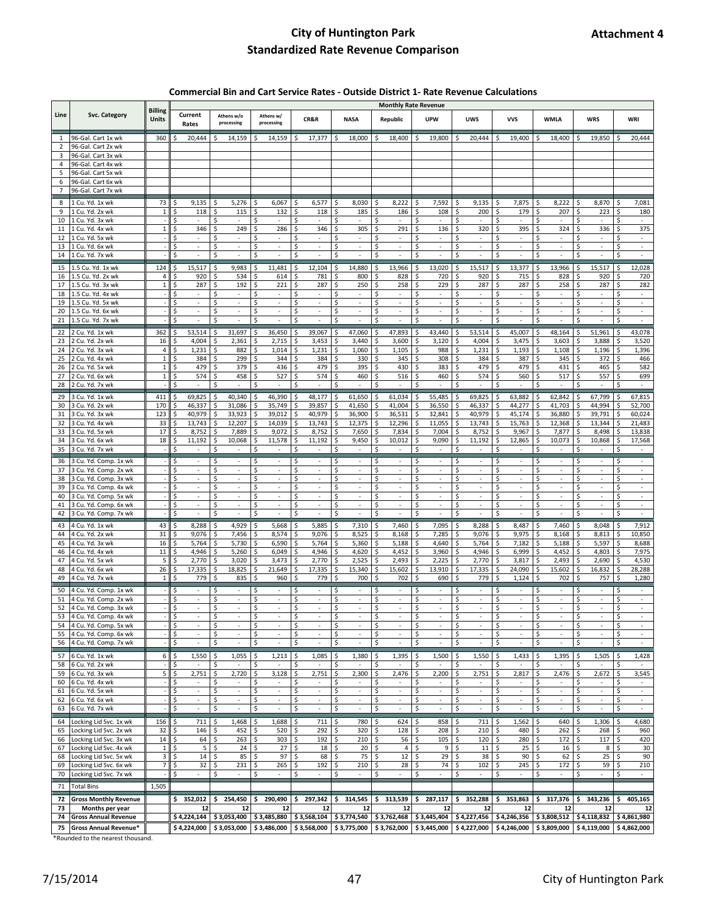#### **Commercial Bin and Cart Service Rates - Outside District 1- Rate Revenue Calculations**

|                |                             |                |                                |                                |                                |                                     |                                     |                                | <b>Monthly Rate Revenue</b>    |                                   |                                     |                                     |                                |                                |
|----------------|-----------------------------|----------------|--------------------------------|--------------------------------|--------------------------------|-------------------------------------|-------------------------------------|--------------------------------|--------------------------------|-----------------------------------|-------------------------------------|-------------------------------------|--------------------------------|--------------------------------|
| Line           | Svc. Category               | <b>Billing</b> | Current                        | Athens w/o                     | Athens w/                      |                                     |                                     |                                | <b>UPW</b>                     | <b>UWS</b>                        | <b>VVS</b>                          |                                     | <b>WRS</b>                     | WRI                            |
|                |                             | Units          | Rates                          | processing                     | processing                     | CR&R                                | <b>NASA</b>                         | Republic                       |                                |                                   |                                     | <b>WMLA</b>                         |                                |                                |
|                |                             |                |                                |                                |                                |                                     |                                     |                                |                                |                                   |                                     |                                     |                                |                                |
| 1              | 96-Gal. Cart 1x wk          | 360            | 20,444                         | Ś.<br>14,159                   | 14,159<br>S                    | 17,377<br>\$                        | 18,000<br>Ŝ                         | 18,400<br>S                    | 19,800<br>Ŝ.                   | 20,444<br>-S                      | 19,400<br>Ŝ                         | 18,400<br>-S                        | 19,850<br>Ŝ.                   | 20,444<br>Ŝ.                   |
| 2              | 96-Gal. Cart 2x wk          |                |                                |                                |                                |                                     |                                     |                                |                                |                                   |                                     |                                     |                                |                                |
| 3              | 96-Gal. Cart 3x wk          |                |                                |                                |                                |                                     |                                     |                                |                                |                                   |                                     |                                     |                                |                                |
| 4              | 96-Gal. Cart 4x wk          |                |                                |                                |                                |                                     |                                     |                                |                                |                                   |                                     |                                     |                                |                                |
| 5              | 96-Gal. Cart 5x wk          |                |                                |                                |                                |                                     |                                     |                                |                                |                                   |                                     |                                     |                                |                                |
| 6              | 96-Gal. Cart 6x wk          |                |                                |                                |                                |                                     |                                     |                                |                                |                                   |                                     |                                     |                                |                                |
| $\overline{7}$ | 96-Gal. Cart 7x wk          |                |                                |                                |                                |                                     |                                     |                                |                                |                                   |                                     |                                     |                                |                                |
| 8              | 1 Cu. Yd. 1x wk             | 73             | 9,135                          | 5,276                          | 6,067<br>Ś                     | 6,577<br>Ś                          | Ś<br>8,030                          | 8,222                          | 7,592                          | 9,135                             | 7,875<br>Ś                          | 8,222<br>Ś                          | 8,870                          | 7,081<br>Ś                     |
| 9              | 1 Cu. Yd. 2x wk             | $\mathbf{1}$   | 118                            | 115                            | Ś<br>132                       | Ś<br>118                            | Ś<br>185                            | 186                            | 108                            | 200<br>Ś                          | 179<br>Ś                            | 207<br>\$                           | 223                            | Ś<br>180                       |
| 10             | 1 Cu. Yd. 3x wk             |                | ٠                              | ٠                              | Ś<br>$\overline{\phantom{a}}$  | Ś<br>$\overline{\phantom{a}}$       | Ś<br>$\overline{\phantom{a}}$       | ٠                              | $\overline{\phantom{a}}$       | Ś<br>$\overline{\phantom{a}}$     | Ś<br>$\overline{\phantom{a}}$       | Ś<br>$\sim$                         | $\sim$                         | Ś<br>$\sim$                    |
| 11             | 1 Cu. Yd. 4x wk             | $\overline{1}$ | 346                            | 249                            | 286                            | Ś<br>346                            | 305                                 | 291                            | 136                            | Ś<br>320                          | 395                                 | Ś<br>324                            | 336                            | 375                            |
| 12             | 1 Cu. Yd. 5x wk             |                | $\overline{\phantom{a}}$       | Ś<br>$\overline{\phantom{a}}$  | $\overline{\phantom{a}}$       | Ś<br>$\overline{\phantom{a}}$       | S<br>$\overline{\phantom{a}}$       | $\overline{\phantom{a}}$       | $\overline{\phantom{a}}$       | S<br>$\overline{\phantom{a}}$     | $\overline{\phantom{a}}$            | Ś<br>$\overline{\phantom{a}}$       | $\overline{\phantom{a}}$       | $\overline{\phantom{a}}$       |
| 13             | 1 Cu. Yd. 6x wk             |                | ÷,                             | \$<br>÷,                       | Ś<br>$\overline{\phantom{a}}$  | \$<br>$\overline{\phantom{a}}$      | Ś<br>÷,                             | Ś<br>÷,                        | Ś<br>÷,                        | \$<br>÷,                          | Ś<br>÷,                             | \$<br>÷,                            | ÷,                             | Ś<br>ä,                        |
| 14             | 1 Cu. Yd. 7x wk             |                | ×                              | \$<br>÷                        | \$<br>÷                        | \$<br>×,                            | \$<br>×,                            | \$<br>×                        | \$<br>÷                        | \$<br>÷                           | \$<br>÷                             | \$<br>×,                            | \$<br>×,                       | \$<br>ä,                       |
|                |                             |                |                                |                                |                                |                                     |                                     |                                |                                |                                   |                                     |                                     |                                |                                |
| 15             | .5 Cu. Yd. 1x wk            | 124            | 15,517                         | Ś<br>9,983                     | Ś<br>11,481                    | \$<br>12,104                        | \$<br>14,880                        | Ś<br>13,966                    | Ś<br>13,020                    | \$<br>15,517                      | \$<br>13,377                        | \$<br>13,966                        | Ś<br>15,517                    | \$<br>12,028                   |
| 16             | 1.5 Cu. Yd. 2x wk           | 4              | 920<br>Ś                       | 534<br>Ś                       | 614<br>Ś                       | 781<br>\$                           | \$<br>800                           | 828<br>Ś                       | 720<br>Ś                       | 920<br>Ś                          | \$<br>715                           | 828<br>\$                           | 920<br>Ś                       | 720<br>\$                      |
| 17             | 1.5 Cu. Yd. 3x wk           | $\mathbf{1}$   | 287                            | 192<br>Ś                       | 221<br>Ś                       | Ś<br>287                            | Ś<br>250                            | 258                            | 229<br>Ś                       | Ś<br>287                          | Ś<br>287                            | Ś<br>258                            | 287                            | 282<br>Ś                       |
| 18             | 1.5 Cu. Yd. 4x wk           |                | ×                              | $\overline{\phantom{a}}$<br>S  | Ś<br>$\overline{\phantom{a}}$  | \$<br>$\overline{\phantom{a}}$      | Š.<br>$\overline{\phantom{a}}$      | $\overline{\phantom{a}}$       | $\overline{\phantom{a}}$<br>S  | Ś<br>$\overline{\phantom{a}}$     | Ŝ<br>$\overline{\phantom{a}}$       | S<br>$\overline{\phantom{a}}$       | $\overline{\phantom{a}}$       | $\sim$<br>S                    |
| 19             | 1.5 Cu. Yd. 5x wk           |                | $\overline{\phantom{a}}$       | Ś<br>ä,                        | Ś<br>$\overline{\phantom{a}}$  | \$<br>ä,                            | \$<br>$\overline{\phantom{a}}$      | $\overline{\phantom{a}}$       | Ś<br>$\overline{\phantom{a}}$  | Ś<br>ä,                           | Ś<br>ä,                             | \$<br>$\overline{\phantom{a}}$      | $\overline{\phantom{a}}$       | Ś<br>×.                        |
| 20             | 1.5 Cu. Yd. 6x wk           |                | $\sim$                         | $\sim$<br>Ś                    | $\overline{\phantom{a}}$<br>Ś  | $\sim$<br>\$                        | $\sim$<br>S                         | $\sim$<br>Ś                    | $\sim$<br>Ś                    | $\overline{\phantom{a}}$<br>Ś     | $\overline{\phantom{a}}$<br>Ś       | \$<br>$\sim$                        | $\sim$                         | $\sim$<br>Ś                    |
| 21             | 1.5 Cu. Yd. 7x wk           |                | à.                             | Ś<br>ä,                        | Ś<br>÷,                        | \$<br>ä,                            | \$<br>÷.                            | Ś<br>à.                        | Ś<br>ä,                        | \$<br>÷,                          | Ś<br>÷,                             | $\dot{\mathsf{S}}$<br>÷.            | ÷.                             | Ś<br>÷,                        |
| 22             | 2 Cu. Yd. 1x wk             | 362            | 53,514<br>Ś                    | 31,697<br>\$                   | \$<br>36,450                   | 39,067<br>\$                        | \$<br>47,060                        | 47,893<br>Ś                    | \$<br>43,440                   | 53,514<br>\$                      | 45,007<br>\$                        | \$<br>48,164                        | 51,961<br>\$                   | 43,078<br>\$                   |
| 23             | 2 Cu. Yd. 2x wk             | 16             | 4,004                          | 2,361                          | Ś<br>2,715                     | Ś<br>3,453                          | \$<br>3,440                         | 3,600                          | 3,120<br>Ś                     | 4,004                             | Ś<br>3,475                          | \$<br>3,603                         | 3,888                          | 3,520<br>Ś                     |
| 24             | 2 Cu. Yd. 3x wk             | 4              | 1,231                          | 882<br>Ś                       | \$<br>1,014                    | \$<br>1,231                         | \$<br>1,060                         | 1,105                          | 988<br>Ś                       | 1,231<br>Ś                        | \$<br>1,193                         | \$<br>1,108                         | 1,196<br>Ś                     | \$<br>1,396                    |
| 25             | 2 Cu. Yd. 4x wk             | $\overline{1}$ | 384                            | 299<br>Ś                       | \$<br>344                      | \$<br>384                           | \$<br>330                           | \$<br>345                      | Ś<br>308                       | 384<br>\$                         | \$<br>387                           | \$<br>345                           | 372<br>\$                      | \$<br>466                      |
| 26             | 2 Cu. Yd. 5x wk             | $\mathbf 1$    | 479                            | Ś<br>379                       | \$<br>436                      | \$<br>479                           | \$<br>395                           | 430<br>Ś                       | Ś<br>383                       | \$<br>479                         | \$<br>479                           | \$<br>431                           | 465                            | Ś<br>582                       |
| 27             | 2 Cu. Yd. 6x wk             | $\mathbf{1}$   | 574                            | \$<br>458                      | \$<br>527                      | \$<br>574                           | \$<br>460                           | \$<br>516                      | 460<br>Ś                       | \$<br>574                         | \$<br>560                           | \$<br>517                           | Ś<br>557                       | 699<br>\$                      |
| 28             | 2 Cu. Yd. 7x wk             |                | ×,                             | Ś<br>ä,                        | Ś<br>÷,                        | \$<br>ä,                            | \$                                  | Ś<br>ä,                        | Ś<br>ł,                        | Ś<br>÷,                           | Ś<br>÷,                             | \$<br>÷,                            | ä,                             | Ś<br>ä,                        |
|                |                             |                |                                |                                |                                |                                     |                                     |                                |                                |                                   |                                     |                                     |                                |                                |
| 29             | 3 Cu. Yd. 1x wk             | 411            | 69,825                         | \$<br>40,340                   | 46,390<br>Ś                    | \$<br>48,177                        | \$<br>61,650                        | 61,034<br>S                    | 55,485<br>Ś                    | \$<br>69,825                      | \$<br>63,882                        | \$<br>62,842                        | 67,799<br>Ś                    | 67,815<br>\$                   |
| 30             | 3 Cu. Yd. 2x wk             | 170            | 46,337                         | 31,086                         | 35,749<br>Ś                    | 39,857<br>\$                        | \$<br>41,650                        | 41,004                         | 36,550                         | 46,337<br>\$                      | \$<br>44,277                        | 41,703<br>\$                        | 44,994                         | 52,700                         |
| 31             | 3 Cu. Yd. 3x wk             | 123            | 40,979                         | 33,923<br>Ś                    | 39,012<br>Ś                    | 40,979<br>\$                        | \$<br>36,900                        | 36,531                         | 32,841<br>Ś                    | 40,979<br>Ś                       | \$<br>45,174                        | \$<br>36,880                        | 39,791                         | 60,024<br>Ś                    |
| 32             | 3 Cu. Yd. 4x wk             | 33             | 13,743                         | 12,207<br>Ś                    | Ś<br>14,039                    | 13,743<br>Ś                         | Ś<br>12,375                         | 12,296                         | 11,055<br>Ś                    | 13,743<br>Ś                       | Ś<br>15,763                         | \$<br>12,368                        | 13,344                         | 21,483<br>Ś                    |
| 33             | 3 Cu. Yd. 5x wk             | 17             | 8,752                          | 7,889<br>Ś                     | 9,072<br>Ś                     | 8,752<br>\$                         | \$<br>7,650                         | 7,834<br>Ś                     | 7,004<br>Ś                     | 8,752<br>Ś                        | \$<br>9,967                         | \$<br>7,877                         | 8,498<br>Ś                     | 13,838<br>Ś                    |
| 34             | 3 Cu. Yd. 6x wk             | 18             | 11,192                         | \$<br>10,068                   | \$<br>11,578                   | \$<br>11,192                        | \$<br>9,450                         | \$<br>10,012                   | \$<br>9,090                    | \$<br>11,192                      | \$<br>12,865                        | \$<br>10,073                        | \$<br>10,868                   | \$<br>17,568                   |
| 35             | 3 Cu. Yd. 7x wk             |                | Ś<br>$\overline{\phantom{a}}$  | \$<br>$\overline{\phantom{a}}$ | \$<br>$\overline{\phantom{a}}$ | \$<br>$\overline{\phantom{a}}$      | \$<br>$\overline{\phantom{a}}$      | S<br>$\overline{\phantom{a}}$  | \$<br>$\overline{\phantom{a}}$ | \$<br>$\overline{\phantom{a}}$    | \$<br>$\overline{\phantom{a}}$      | \$<br>$\overline{\phantom{a}}$      | S<br>$\overline{\phantom{a}}$  | \$<br>$\sim$                   |
| 36             | 3 Cu. Yd. Comp. 1x wk       |                |                                |                                |                                |                                     | Ś                                   |                                | ×                              |                                   |                                     |                                     |                                |                                |
| 37             | 3 Cu. Yd. Comp. 2x wk       |                | $\overline{\phantom{a}}$<br>S  | Ś<br>$\overline{\phantom{a}}$  | Ś<br>$\overline{\phantom{a}}$  | Ś<br>$\overline{\phantom{a}}$       | Ś<br>$\overline{\phantom{a}}$       | Ś<br>$\overline{\phantom{a}}$  | Ś<br>$\overline{\phantom{a}}$  | Ś<br>$\overline{\phantom{a}}$     | Ŝ<br>$\overline{\phantom{a}}$       | Ś<br>$\overline{\phantom{a}}$       | $\overline{\phantom{a}}$<br>S  | Ś<br>$\overline{\phantom{a}}$  |
| 38             | 3 Cu. Yd. Comp. 3x wk       |                | $\overline{\phantom{a}}$       | Ś<br>ä,                        | Ś<br>ä,                        | Ś<br>ä,                             | Ś<br>$\overline{\phantom{a}}$       | $\overline{\phantom{a}}$       | Ś<br>ä,                        | Ś<br>ä,                           | Ś<br>ä,                             | Ś<br>$\overline{\phantom{a}}$       | $\overline{\phantom{a}}$       | Ś<br>ä,                        |
| 39             | 3 Cu. Yd. Comp. 4x wk       |                | $\overline{\phantom{a}}$       | Ś<br>$\overline{\phantom{a}}$  | Ś<br>$\overline{\phantom{a}}$  | Ś<br>$\overline{\phantom{a}}$       | Ś<br>$\overline{\phantom{a}}$       | Ś<br>$\overline{\phantom{a}}$  | Ś<br>$\overline{\phantom{a}}$  | Ś<br>$\overline{\phantom{a}}$     | Ś<br>$\overline{\phantom{a}}$       | Ś<br>$\overline{\phantom{a}}$       | $\overline{\phantom{a}}$       | Ś<br>$\overline{\phantom{a}}$  |
| 40             | 3 Cu. Yd. Comp. 5x wk       |                | $\overline{\phantom{a}}$       | Ś<br>ä,                        | Ś<br>ä,                        | Ś<br>ä,                             | Ś<br>$\overline{\phantom{a}}$       | $\overline{\phantom{a}}$       | Ś<br>ä,                        | Ś<br>ä,                           | Ś<br>ä,                             | Ś<br>$\overline{\phantom{a}}$       | $\overline{\phantom{a}}$       | Ś<br>ä,                        |
| 41             | 3 Cu. Yd. Comp. 6x wk       |                | \$<br>$\overline{\phantom{a}}$ | Ś<br>$\overline{\phantom{a}}$  | Ś<br>$\overline{\phantom{a}}$  | Ś<br>$\overline{\phantom{a}}$       | Ś<br>$\overline{\phantom{a}}$       | Ś<br>$\overline{\phantom{a}}$  | Ś<br>$\overline{\phantom{a}}$  | Ś<br>$\overline{\phantom{a}}$     | Ś<br>$\overline{\phantom{a}}$       | S<br>$\overline{\phantom{a}}$       | $\overline{\phantom{a}}$       | Ś<br>$\overline{\phantom{a}}$  |
| 42             | Cu. Yd. Comp. 7x wk         |                | $\overline{\phantom{a}}$       | \$<br>$\overline{\phantom{a}}$ | \$<br>$\overline{\phantom{a}}$ | \$<br>$\sim$                        | \$<br>$\sim$                        | \$<br>$\overline{\phantom{a}}$ | \$<br>÷,                       | \$<br>à,                          | \$<br>$\overline{\phantom{a}}$      | $\zeta$<br>$\overline{\phantom{a}}$ | Ś<br>÷,                        | \$<br>$\overline{\phantom{a}}$ |
|                |                             |                |                                |                                |                                |                                     |                                     |                                |                                |                                   |                                     |                                     |                                |                                |
| 43             | 4 Cu. Yd. 1x wk             | 43             | 8,288<br>Ś                     | 4,929<br>\$                    | 5,668<br>\$                    | 5,885<br>\$.                        | \$<br>7,310                         | 7,460<br>-S                    | 7,095<br>\$                    | 8,288<br>\$                       | 8,487<br>\$.                        | 7,460<br>-S                         | 8,048<br>S                     | 7,912<br>\$                    |
| 44             | 4 Cu. Yd. 2x wk             | 31             | 9,076                          | \$<br>7,456                    | \$<br>8,574                    | \$<br>9,076                         | \$<br>8,525                         | 8,168<br>S                     | Ś<br>7,285                     | \$<br>9,076                       | \$<br>9,975                         | -S<br>8,168                         | 8,813                          | \$<br>10,850                   |
| 45             | 4 Cu. Yd. 3x wk             | 16             | 5,764                          | 5,730<br>Ś                     | 6,590<br>\$                    | 5,764<br>\$                         | 5,360<br>S                          | 5,188<br>S                     | 4,640<br>Ś                     | 5,764<br>\$                       | 7,182<br>\$                         | 5,188<br>\$                         | 5,597<br>S                     | 8,688<br>\$                    |
| 46             | 4 Cu. Yd. 4x wk             | 11             | 4,946                          | 5,260<br>\$                    | \$<br>6,049                    | \$<br>4,946                         | \$<br>4,620                         | 4,452<br>S                     | 3,960<br>\$                    | 4,946<br>\$                       | \$<br>6,999                         | \$<br>4,452                         | 4,803<br>S                     | \$<br>7,975                    |
| 47             | 4 Cu. Yd. 5x wk             | 5              | 2,770<br>\$                    | 3,020<br>\$                    | 3,473<br>\$                    | 2,770<br>\$                         | \$<br>2,525                         | 2,493<br>S                     | 2,225<br>\$                    | 2,770<br>\$                       | \$<br>3,817                         | \$<br>2,493                         | 2,690<br>S                     | 4,530<br>\$                    |
| 48             | 4 Cu. Yd. 6x wk             | 26             | 17,335                         | 18,825<br>Ś                    | Ś<br>21,649                    | 17,335<br>\$                        | \$<br>15,340                        | 15,602<br>Ś                    | 13,910<br>Ś                    | 17,335<br>Ś                       | 24,090<br>\$                        | 15,602<br>\$                        | 16,832<br>Ś                    | 28,288<br>Ś                    |
| 49             | 4 Cu. Yd. 7x wk             | $\mathbf{1}$   | 779                            | \$<br>835                      | \$<br>960                      | \$<br>779                           | \$<br>700                           | \$<br>702                      | \$<br>690                      | \$<br>779                         | \$<br>1,124                         | \$<br>702                           | \$<br>757                      | \$<br>1,280                    |
| 50             | 4 Cu. Yd. Comp. 1x wk       |                | ٠                              | ٠                              | Ś<br>$\overline{\phantom{a}}$  | $\overline{\phantom{a}}$            | Ś<br>$\overline{\phantom{a}}$       | $\overline{\phantom{a}}$       | ٠                              | Ś<br>$\overline{\phantom{a}}$     | $\overline{\phantom{a}}$            | Ś<br>$\overline{\phantom{a}}$       | $\overline{\phantom{a}}$       | $\overline{\phantom{a}}$       |
| 51             | 4 Cu. Yd. Comp. 2x wk       |                |                                | ä,                             | Ś<br>ä,                        | Ś<br>÷,                             | Ś<br>$\overline{\phantom{a}}$       | ä,                             | Ś<br>×,                        | Ś<br>÷.                           | Ś<br>ä,                             | Ś<br>ä,                             | ÷,                             | ×.                             |
| 52             | 4 Cu. Yd. Comp. 3x wk       |                | Ś<br>$\sim$                    | Ś<br>$\overline{\phantom{a}}$  | Ś<br>$\overline{\phantom{a}}$  | Ś<br>$\overline{\phantom{a}}$       | Ś<br>$\overline{\phantom{a}}$       | Ś<br>$\sim$                    | Ś<br>$\overline{\phantom{a}}$  | Ś<br>$\overline{\phantom{a}}$     | Ś<br>$\overline{\phantom{a}}$       | Ś<br>$\overline{\phantom{a}}$       | Ś<br>$\sim$                    | Ś<br>$\overline{\phantom{a}}$  |
| 53             | 4 Cu. Yd. Comp. 4x wk       |                | Ś                              |                                | Ś                              | Ś                                   | \$                                  |                                |                                | Ś                                 | Ś                                   | \$                                  |                                |                                |
| 54             | 4 Cu. Yd. Comp. 5x wk       |                | ٠                              | \$                             | \$<br>$\overline{\phantom{a}}$ | \$                                  | \$<br>$\overline{\phantom{a}}$      | \$                             | \$<br>٠                        | \$<br>$\overline{\phantom{a}}$    | \$<br>$\overline{\phantom{a}}$      | \$<br>$\overline{\phantom{a}}$      | \$<br>$\overline{\phantom{a}}$ | \$                             |
| 55             | 4 Cu. Yd. Comp. 6x wk       |                | ÷,<br>Ś                        | $\bar{z}$<br>\$                | ÷,<br>\$                       | ä,<br>\$                            | ä,<br>\$                            | ÷,<br>\$                       | $\bar{\phantom{a}}$<br>\$      | ä,<br>\$                          | ÷,<br>\$                            | ä,<br>\$                            | ÷,<br>\$                       | $\bar{z}$<br>\$                |
|                | 56 4 Cu. Yd. Comp. 7x wk    |                | \$<br>$\overline{\phantom{a}}$ | \$<br>$\sim$                   | \$<br>$\overline{\phantom{a}}$ | \$<br>$\overline{\phantom{a}}$      | \$<br>$\sim$                        | \$<br>$\overline{\phantom{a}}$ | $\ddot{\mathsf{S}}$<br>$\sim$  | \$<br>$\overline{\phantom{a}}$    | \$<br>$\overline{\phantom{a}}$      | \$<br>$\overline{\phantom{a}}$      | \$<br>$\sim$                   | \$<br>$\overline{\phantom{a}}$ |
|                |                             |                |                                |                                |                                |                                     |                                     |                                |                                |                                   |                                     |                                     |                                |                                |
| 57             | 6 Cu. Yd. 1x wk             | 6              | \$<br>1,550                    | -\$<br>1,055                   | \$<br>1,213                    | \$<br>1,085                         | \$<br>1,380                         | -\$<br>1,395                   | \$<br>1,500                    | \$<br>1,550                       | 1,433<br>\$.                        | -\$<br>1,395                        | 1,505<br>\$.                   | -\$<br>1,428                   |
| 58             | 6 Cu. Yd. 2x wk             |                | \$                             | \$<br>$\sim$                   | \$<br>÷,                       | \$<br>$\mathcal{L}$                 | \$<br>÷.                            | $\mathcal{L}$                  | \$<br>ä,                       | \$<br>$\mathcal{L}_{\mathcal{A}}$ | \$<br>÷,                            | \$<br>$\mathcal{L}$                 | ÷.<br>Ś                        | \$                             |
| 59             | 6 Cu. Yd. 3x wk             | 5              | 2,751<br>Ś                     | \$<br>2,720                    | \$<br>3,128                    | \$<br>2,751                         | \$<br>2,300                         | 2,476<br>\$                    | \$<br>2,200                    | \$<br>2,751                       | \$<br>2,817                         | $\zeta$<br>2,476                    | \$<br>2,672                    | $\zeta$<br>3,545               |
| 60             | 6 Cu. Yd. 4x wk             |                |                                | \$                             | \$                             | \$                                  | \$                                  |                                | \$                             | \$                                | \$                                  | \$                                  |                                | \$                             |
| 61             | 6 Cu. Yd. 5x wk             |                | Ś<br>$\overline{\phantom{a}}$  | \$<br>$\sim$                   | \$<br>$\overline{\phantom{a}}$ | \$<br>$\overline{\phantom{a}}$      | \$<br>$\overline{\phantom{a}}$      | \$<br>$\sim$                   | \$<br>$\sim$                   | \$<br>$\sim$                      | \$<br>$\overline{\phantom{a}}$      | \$<br>$\overline{\phantom{a}}$      | \$<br>$\overline{\phantom{a}}$ | \$<br>$\sim$                   |
| 62             | 6 Cu. Yd. 6x wk             |                | \$<br>$\bar{\phantom{a}}$      | \$<br>÷,                       | \$<br>÷,                       | \$<br>$\overline{\phantom{a}}$      | \$<br>÷,                            | \$<br>$\bar{\phantom{a}}$      | \$<br>÷,                       | \$<br>÷,                          | \$<br>÷,                            | \$<br>÷,                            | \$<br>÷,                       | \$<br>$\sim$                   |
| 63             | 6 Cu. Yd. 7x wk             |                | Ś<br>$\sim$                    | $\zeta$<br>$\sim$              | \$<br>$\overline{\phantom{a}}$ | $\zeta$<br>$\overline{\phantom{a}}$ | $\zeta$<br>$\overline{\phantom{a}}$ | \$<br>$\sim$                   | $\zeta$<br>$\sim$              | \$<br>$\overline{\phantom{a}}$    | $\zeta$<br>$\overline{\phantom{a}}$ | $\zeta$<br>$\sim$                   | \$<br>$\sim$                   | $\zeta$<br>$\sim$              |
| 64             | Locking Lid Svc. 1x wk      | 156            | 711<br>\$                      | \$<br>1,468                    | \$<br>1,688                    | \$<br>711                           | \$<br>780                           | -\$<br>624                     | \$<br>858                      | \$<br>711                         | \$<br>1,562                         | \$<br>640                           | -\$<br>1,306                   | -\$<br>4,680                   |
| 65             | Locking Lid Svc. 2x wk      | 32             | 146                            | \$<br>452                      | \$<br>520                      | 292<br>\$                           | 320<br>\$                           | 128<br>\$                      | 208<br>\$                      | 210<br>\$                         | \$<br>480                           | -\$<br>262                          | \$<br>268                      | \$<br>960                      |
| 66             | Locking Lid Svc. 3x wk      | 14             | 64<br>Ś                        | \$<br>263                      | \$<br>303                      | \$<br>192                           | 210<br>-\$                          | 56<br>-\$                      | \$<br>105                      | \$<br>120                         | $\zeta$<br>280                      | -\$<br>172                          | -\$<br>117                     | 420<br>\$                      |
| 67             | Locking Lid Svc. 4x wk      | $\mathbf{1}$   | $\sf 5$                        | 24<br>Ś                        | 27<br>Ś                        | \$<br>18                            | 20<br>\$                            | 4                              | 9<br>Ś                         | \$<br>11                          | 25<br>\$                            | \$<br>16                            | $\bf 8$                        | \$<br>30                       |
| 68             | Locking Lid Svc. 5x wk      | 3              | Ś<br>14                        | 85<br>Ś                        | \$<br>97                       | \$<br>68                            | \$<br>75                            | 12                             | 29<br>Ś                        | \$<br>38                          | \$<br>90                            | \$<br>62                            | 25<br>Ś                        | \$<br>90                       |
| 69             | Locking Lid Svc. 6x wk      | $\overline{7}$ | 32<br>Ś                        | 231<br>\$                      | 265<br>\$                      | \$<br>192                           | \$<br>210                           | 28                             | 74                             | 102<br>\$                         | \$<br>245                           | \$<br>172                           | 59                             | \$<br>210                      |
| 70             | Locking Lid Svc. 7x wk      |                | \$<br>$\overline{\phantom{a}}$ | \$<br>٠                        | \$<br>$\overline{\phantom{a}}$ | \$<br>$\overline{\phantom{a}}$      | \$<br>$\overline{\phantom{a}}$      | \$<br>$\overline{\phantom{a}}$ | \$<br>٠                        | \$<br>$\overline{\phantom{a}}$    | \$<br>$\overline{\phantom{a}}$      | \$<br>$\overline{\phantom{a}}$      | \$<br>$\overline{\phantom{a}}$ | \$<br>$\sim$                   |
|                |                             |                |                                |                                |                                |                                     |                                     |                                |                                |                                   |                                     |                                     |                                |                                |
|                | 71 Total Bins               | 1,505          |                                |                                |                                |                                     |                                     |                                |                                |                                   |                                     |                                     |                                |                                |
|                | 72 Gross Monthly Revenue    |                | \$352,012                      | \$254,450                      | 290,490<br>\$                  | \$297,342                           | \$314,545                           | \$313,539                      | \$287,117                      | \$352,288                         | \$353,863                           | \$317,376                           | 343,236<br>\$                  | \$<br>405,165                  |
| 73             | Months per year             |                | 12                             | 12                             | 12                             | 12                                  | 12                                  | 12                             | 12                             | 12                                | 12                                  | 12                                  | 12                             | 12                             |
| 74             | <b>Gross Annual Revenue</b> |                | \$4,224,144                    | \$3,053,400                    | \$3,485,880                    | \$3,568,104                         | \$3,774,540                         | \$3,762,468                    | \$3,445,404                    | \$4,227,456                       | \$4,246,356                         | \$3,808,512                         | \$4,118,832                    | \$4,861,980                    |
|                |                             |                |                                | \$3,053,000                    | \$3,486,000                    | \$3,568,000                         |                                     | \$3,762,000                    | \$3,445,000                    | \$4,227,000                       |                                     | \$3,809,000                         |                                |                                |
| 75             | Gross Annual Revenue*       |                | \$4,224,000                    |                                |                                |                                     | \$3,775,000                         |                                |                                |                                   | \$4,246,000                         |                                     | \$4,119,000                    | \$4,862,000                    |

\*Rounded to the nearest thousand.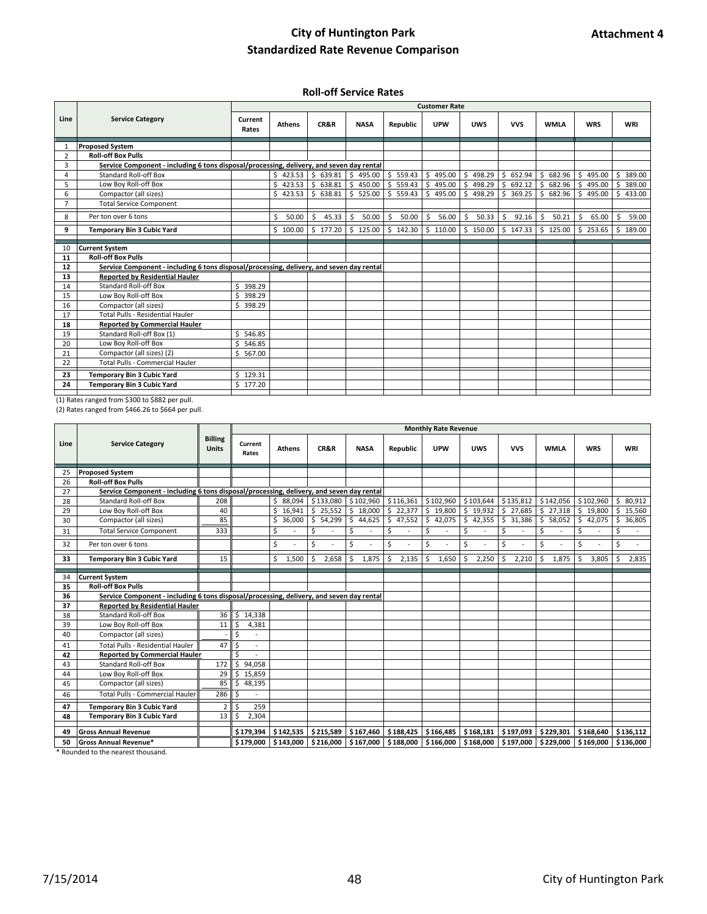#### **Roll-off Service Rates**

|                |                                                                                          | <b>Customer Rate</b> |               |                    |             |             |               |                         |                       |              |              |                        |  |  |
|----------------|------------------------------------------------------------------------------------------|----------------------|---------------|--------------------|-------------|-------------|---------------|-------------------------|-----------------------|--------------|--------------|------------------------|--|--|
| Line           | <b>Service Category</b>                                                                  |                      | <b>Athens</b> | CR&R               | <b>NASA</b> | Republic    | <b>UPW</b>    | <b>UWS</b>              | <b>VVS</b>            | <b>WMLA</b>  | <b>WRS</b>   | <b>WRI</b>             |  |  |
| 1              | <b>Proposed System</b>                                                                   |                      |               |                    |             |             |               |                         |                       |              |              |                        |  |  |
| $\overline{2}$ | <b>Roll-off Box Pulls</b>                                                                |                      |               |                    |             |             |               |                         |                       |              |              |                        |  |  |
| 3              | Service Component - including 6 tons disposal/processing, delivery, and seven day rental |                      |               |                    |             |             |               |                         |                       |              |              |                        |  |  |
| 4              | Standard Roll-off Box                                                                    |                      | \$423.53      | \$639.81           | \$495.00    | \$559.43    | 495.00<br>\$. | Ŝ.<br>498.29            | \$652.94              | 682.96<br>Ś. | 495.00<br>Ś. | Ś.<br>389.00           |  |  |
| 5              | Low Boy Roll-off Box                                                                     |                      | Š.<br>423.53  | $$638.81$ \$450.00 |             | \$559.43    | Ŝ.<br>495.00  | $\frac{1}{5}$<br>498.29 | 5692.12               | \$682.96     | \$495.00     | Ŝ.<br>389.00           |  |  |
| 6              | Compactor (all sizes)                                                                    |                      | Ś.<br>423.53  | \$638.81           | \$525.00    | \$559.43    | Ŝ.<br>495.00  | Ŝ.<br>498.29            | \$369.25              | 682.96<br>Ś. | \$495.00     | Ś<br>433.00            |  |  |
| $\overline{7}$ | <b>Total Service Component</b>                                                           |                      |               |                    |             |             |               |                         |                       |              |              |                        |  |  |
| 8              | Per ton over 6 tons                                                                      |                      | Ś<br>50.00    | Ŝ.<br>45.33        | Ŝ.<br>50.00 | 50.00<br>Ś. | Ś<br>56.00    | <sup>\$</sup><br>50.33  | <sup>S</sup><br>92.16 | Ś.<br>50.21  | Ś<br>65.00   | <sup>\$</sup><br>59.00 |  |  |
| 9              | <b>Temporary Bin 3 Cubic Yard</b>                                                        |                      | \$100.00      | \$177.20           | \$125.00    | \$142.30    | \$110.00      | \$150.00                | \$147.33              | \$125.00     | \$253.65     | Ŝ.<br>189.00           |  |  |
|                |                                                                                          |                      |               |                    |             |             |               |                         |                       |              |              |                        |  |  |
| 10             | <b>Current System</b>                                                                    |                      |               |                    |             |             |               |                         |                       |              |              |                        |  |  |
| 11             | <b>Roll-off Box Pulls</b>                                                                |                      |               |                    |             |             |               |                         |                       |              |              |                        |  |  |
| 12             | Service Component - including 6 tons disposal/processing, delivery, and seven day rental |                      |               |                    |             |             |               |                         |                       |              |              |                        |  |  |
| 13             | <b>Reported by Residential Hauler</b>                                                    |                      |               |                    |             |             |               |                         |                       |              |              |                        |  |  |
| 14             | <b>Standard Roll-off Box</b>                                                             | Ś.<br>398.29         |               |                    |             |             |               |                         |                       |              |              |                        |  |  |
| 15             | Low Boy Roll-off Box                                                                     | Ś<br>398.29          |               |                    |             |             |               |                         |                       |              |              |                        |  |  |
| 16             | Compactor (all sizes)                                                                    | \$398.29             |               |                    |             |             |               |                         |                       |              |              |                        |  |  |
| 17             | <b>Total Pulls - Residential Hauler</b>                                                  |                      |               |                    |             |             |               |                         |                       |              |              |                        |  |  |
| 18             | <b>Reported by Commercial Hauler</b>                                                     |                      |               |                    |             |             |               |                         |                       |              |              |                        |  |  |
| 19             | Standard Roll-off Box (1)                                                                | ς.<br>546.85         |               |                    |             |             |               |                         |                       |              |              |                        |  |  |
| 20             | Low Boy Roll-off Box                                                                     | 546.85               |               |                    |             |             |               |                         |                       |              |              |                        |  |  |
| 21             | Compactor (all sizes) (2)                                                                | \$567.00             |               |                    |             |             |               |                         |                       |              |              |                        |  |  |
| 22             | <b>Total Pulls - Commercial Hauler</b>                                                   |                      |               |                    |             |             |               |                         |                       |              |              |                        |  |  |
| 23             | <b>Temporary Bin 3 Cubic Yard</b>                                                        | Ś.<br>129.31         |               |                    |             |             |               |                         |                       |              |              |                        |  |  |
| 24             | <b>Temporary Bin 3 Cubic Yard</b>                                                        | \$177.20             |               |                    |             |             |               |                         |                       |              |              |                        |  |  |
|                | $(4)$ B $(1)$ $(2)$ $(3)$ $(4)$ $(5)$ $(6)$ $(7)$ $(8)$ $(8)$ $(1)$ $(1)$ $(1)$          |                      |               |                    |             |             |               |                         |                       |              |              |                        |  |  |

(1) Rates ranged from \$300 to \$882 per pull.

(2) Rates ranged from \$466.26 to \$664 per pull.

| <b>Billing</b><br><b>Service Category</b><br>Line<br>Current<br>CR&R<br><b>Units</b><br><b>UPW</b><br><b>Athens</b><br><b>NASA</b><br>Republic<br><b>UWS</b><br>Rates<br><b>Proposed System</b><br>25<br><b>Roll-off Box Pulls</b><br>26 | <b>VVS</b><br><b>WMLA</b> | <b>WRS</b>          | <b>WRI</b>   |
|------------------------------------------------------------------------------------------------------------------------------------------------------------------------------------------------------------------------------------------|---------------------------|---------------------|--------------|
|                                                                                                                                                                                                                                          |                           |                     |              |
|                                                                                                                                                                                                                                          |                           |                     |              |
|                                                                                                                                                                                                                                          |                           |                     |              |
| Service Component - including 6 tons disposal/processing, delivery, and seven day rental<br>27                                                                                                                                           |                           |                     |              |
| \$ 88,094<br>\$133,080 \$102,960<br><b>Standard Roll-off Box</b><br>\$116,361<br>208<br>\$102.960<br>\$103,644<br>28                                                                                                                     | \$135,812<br>\$142,056    | \$102,960           | \$80.912     |
| \$<br>\$19,800<br>\$19,932<br>Low Boy Roll-off Box<br>40<br>\$25,552<br>\$18,000<br>\$22,377<br>16,941<br>29                                                                                                                             | \$27,685<br>\$27,318      | \$19,800            | \$15,560     |
| \$<br>\$44,625<br>\$42,075<br>\$42,355<br>30<br>85<br>36,000<br>\$54,299<br>\$47,552<br>Compactor (all sizes)                                                                                                                            | \$31,386<br>\$58,052      | \$42,075            | \$<br>36,805 |
| Ś<br>\$<br>Ś<br>Ś<br><b>Total Service Component</b><br>Ś<br>Ś<br>31<br>333                                                                                                                                                               | Ś<br>Ś                    | Ś                   | Ś            |
| Ś<br>Ś<br>Ś<br>Ś<br>Ś<br>Ś<br>Per ton over 6 tons<br>32                                                                                                                                                                                  | Ś<br>\$                   | Ś                   | Ś            |
| Ś<br>\$<br>Ŝ.<br>15<br>1,500<br>2,658<br>Ś.<br>1,875<br>Ś<br>2,135<br>Ś<br>1,650<br>2,250<br><b>Temporary Bin 3 Cubic Yard</b><br>33                                                                                                     | 2,210<br>Ś.<br>Ŝ.         | 1,875<br>3,805<br>Ŝ | Ŝ.<br>2,835  |
|                                                                                                                                                                                                                                          |                           |                     |              |
| <b>Current System</b><br>34                                                                                                                                                                                                              |                           |                     |              |
| <b>Roll-off Box Pulls</b><br>35                                                                                                                                                                                                          |                           |                     |              |
| Service Component - including 6 tons disposal/processing, delivery, and seven day rental<br>36                                                                                                                                           |                           |                     |              |
| <b>Reported by Residential Hauler</b><br>37<br>36<br><b>Standard Roll-off Box</b><br>14,338<br>Ś.                                                                                                                                        |                           |                     |              |
| 38<br>Low Boy Roll-off Box<br>11<br>4,381<br>39                                                                                                                                                                                          |                           |                     |              |
| Ś<br>Compactor (all sizes)<br>40                                                                                                                                                                                                         |                           |                     |              |
| <b>Total Pulls - Residential Hauler</b><br>Ś<br>$\sim$                                                                                                                                                                                   |                           |                     |              |
| 47<br>41<br><b>Reported by Commercial Hauler</b><br>42                                                                                                                                                                                   |                           |                     |              |
| <b>Standard Roll-off Box</b><br>172<br>94,058<br>43<br>Ś                                                                                                                                                                                 |                           |                     |              |
| 29<br>15,859<br>Low Boy Roll-off Box<br>44                                                                                                                                                                                               |                           |                     |              |
| 85<br>48,195<br>Compactor (all sizes)<br>45                                                                                                                                                                                              |                           |                     |              |
| <b>Total Pulls - Commercial Hauler</b><br>286<br>46                                                                                                                                                                                      |                           |                     |              |
| 47<br><b>Temporary Bin 3 Cubic Yard</b><br>$\overline{2}$<br>259                                                                                                                                                                         |                           |                     |              |
| 2,304<br>13<br><b>Temporary Bin 3 Cubic Yard</b><br>Ś<br>48                                                                                                                                                                              |                           |                     |              |
|                                                                                                                                                                                                                                          |                           |                     |              |
| $$188,425$ $$166,485$<br>\$168.181<br><b>Gross Annual Revenue</b><br>$$179.394$ $$142.535$<br>\$215,589 \$167,460<br>49                                                                                                                  | \$197.093<br>\$229.301    | \$168,640           | \$136.112    |
| \$188,000 \$166,000<br><b>Gross Annual Revenue*</b><br>\$179,000 \$143,000<br>$$216,000$ $$167,000$<br>\$168,000<br>50<br>Rounded to the negrect thousand                                                                                | \$197,000<br>\$229,000    | \$169,000           | \$136,000    |

unded to the nearest thousand.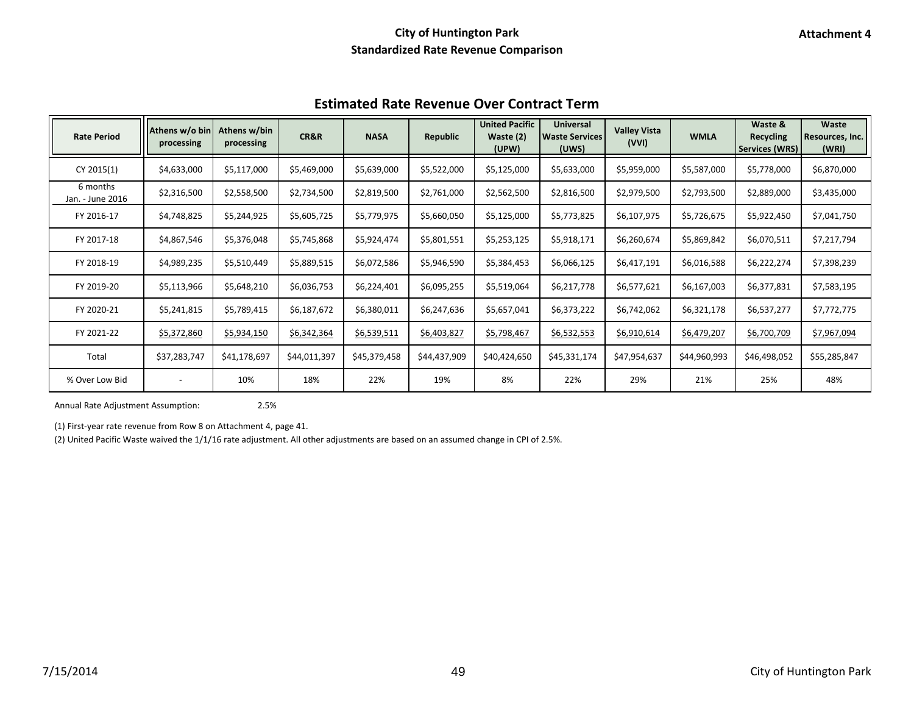| <b>Estimated Rate Revenue Over Contract Term</b> |  |
|--------------------------------------------------|--|
|--------------------------------------------------|--|

| <b>Rate Period</b>           | Athens w/o bin<br>processing | Athens w/bin<br>processing | CR&R         | <b>NASA</b>  | Republic     | <b>United Pacific</b><br>Waste (2)<br>(UPW) | <b>Universal</b><br><b>Waste Services</b><br>(UWS) | <b>Valley Vista</b><br>(VVI) | <b>WMLA</b>  | Waste &<br><b>Recycling</b><br><b>Services (WRS)</b> | Waste<br>Resources, Inc.<br>(WRI) |
|------------------------------|------------------------------|----------------------------|--------------|--------------|--------------|---------------------------------------------|----------------------------------------------------|------------------------------|--------------|------------------------------------------------------|-----------------------------------|
| CY 2015(1)                   | \$4,633,000                  | \$5,117,000                | \$5,469,000  | \$5,639,000  | \$5,522,000  | \$5,125,000                                 | \$5,633,000                                        | \$5,959,000                  | \$5,587,000  | \$5,778,000                                          | \$6,870,000                       |
| 6 months<br>Jan. - June 2016 | \$2,316,500                  | \$2,558,500                | \$2,734,500  | \$2,819,500  | \$2,761,000  | \$2,562,500                                 | \$2,816,500                                        | \$2,979,500                  | \$2,793,500  | \$2,889,000                                          | \$3,435,000                       |
| FY 2016-17                   | \$4,748,825                  | \$5,244,925                | \$5,605,725  | \$5,779,975  | \$5,660,050  | \$5,125,000                                 | \$5,773,825                                        | \$6,107,975                  | \$5,726,675  | \$5,922,450                                          | \$7,041,750                       |
| FY 2017-18                   | \$4,867,546                  | \$5,376,048                | \$5,745,868  | \$5,924,474  | \$5,801,551  | \$5,253,125                                 | \$5,918,171                                        | \$6,260,674                  | \$5,869,842  | \$6,070,511                                          | \$7,217,794                       |
| FY 2018-19                   | \$4,989,235                  | \$5,510,449                | \$5,889,515  | \$6,072,586  | \$5,946,590  | \$5,384,453                                 | \$6,066,125                                        | \$6,417,191                  | \$6,016,588  | \$6,222,274                                          | \$7,398,239                       |
| FY 2019-20                   | \$5,113,966                  | \$5,648,210                | \$6,036,753  | \$6,224,401  | \$6,095,255  | \$5,519,064                                 | \$6,217,778                                        | \$6,577,621                  | \$6,167,003  | \$6,377,831                                          | \$7,583,195                       |
| FY 2020-21                   | \$5,241,815                  | \$5,789,415                | \$6,187,672  | \$6,380,011  | \$6,247,636  | \$5,657,041                                 | \$6,373,222                                        | \$6,742,062                  | \$6,321,178  | \$6,537,277                                          | \$7,772,775                       |
| FY 2021-22                   | \$5,372,860                  | \$5,934,150                | \$6,342,364  | \$6,539,511  | \$6,403,827  | \$5,798,467                                 | \$6,532,553                                        | \$6,910,614                  | \$6,479,207  | \$6,700,709                                          | \$7,967,094                       |
| Total                        | \$37,283,747                 | \$41,178,697               | \$44,011,397 | \$45,379,458 | \$44,437,909 | \$40,424,650                                | \$45,331,174                                       | \$47,954,637                 | \$44,960,993 | \$46,498,052                                         | \$55,285,847                      |
| % Over Low Bid               |                              | 10%                        | 18%          | 22%          | 19%          | 8%                                          | 22%                                                | 29%                          | 21%          | 25%                                                  | 48%                               |

Annual Rate Adjustment Assumption: 2.5%

(1) First-year rate revenue from Row 8 on Attachment 4, page 41.

(2) United Pacific Waste waived the 1/1/16 rate adjustment. All other adjustments are based on an assumed change in CPI of 2.5%.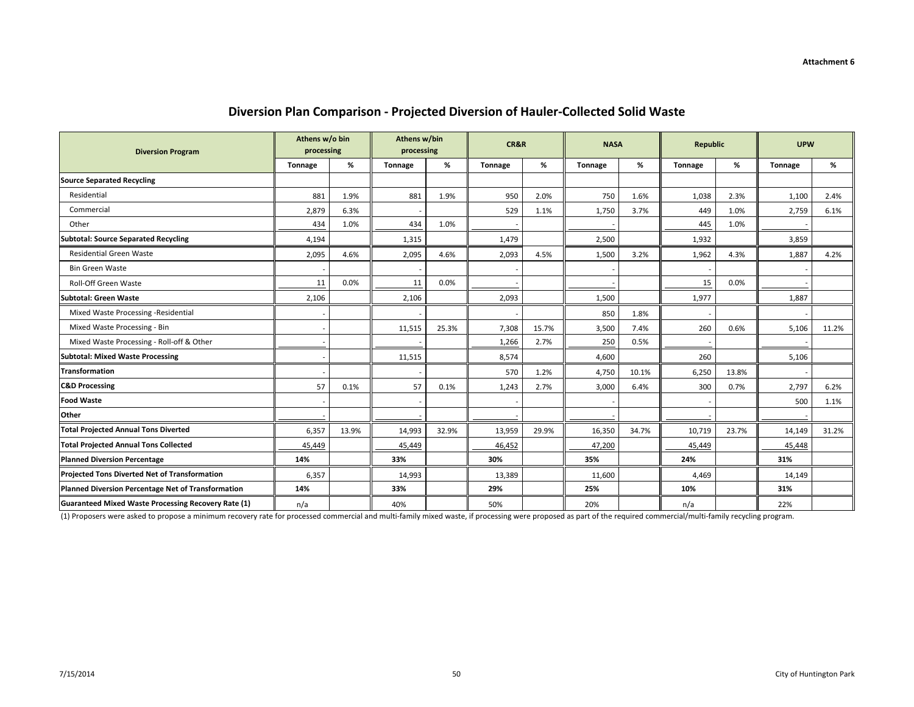| <b>Diversion Program</b>                            | Athens w/o bin<br>processing |       | Athens w/bin<br>processing |       | CR&R    |       | <b>NASA</b>    |       | <b>Republic</b> |       | <b>UPW</b>     |       |
|-----------------------------------------------------|------------------------------|-------|----------------------------|-------|---------|-------|----------------|-------|-----------------|-------|----------------|-------|
|                                                     | <b>Tonnage</b>               | %     | <b>Tonnage</b>             | %     | Tonnage | %     | <b>Tonnage</b> | %     | <b>Tonnage</b>  | %     | <b>Tonnage</b> | %     |
| <b>Source Separated Recycling</b>                   |                              |       |                            |       |         |       |                |       |                 |       |                |       |
| Residential                                         | 881                          | 1.9%  | 881                        | 1.9%  | 950     | 2.0%  | 750            | 1.6%  | 1,038           | 2.3%  | 1,100          | 2.4%  |
| Commercial                                          | 2,879                        | 6.3%  |                            |       | 529     | 1.1%  | 1,750          | 3.7%  | 449             | 1.0%  | 2,759          | 6.1%  |
| Other                                               | 434                          | 1.0%  | 434                        | 1.0%  |         |       |                |       | 445             | 1.0%  |                |       |
| <b>Subtotal: Source Separated Recycling</b>         | 4,194                        |       | 1,315                      |       | 1,479   |       | 2,500          |       | 1,932           |       | 3,859          |       |
| <b>Residential Green Waste</b>                      | 2,095                        | 4.6%  | 2,095                      | 4.6%  | 2,093   | 4.5%  | 1,500          | 3.2%  | 1,962           | 4.3%  | 1,887          | 4.2%  |
| <b>Bin Green Waste</b>                              |                              |       |                            |       |         |       |                |       |                 |       |                |       |
| Roll-Off Green Waste                                | 11                           | 0.0%  | 11                         | 0.0%  |         |       |                |       | 15              | 0.0%  |                |       |
| Subtotal: Green Waste                               | 2,106                        |       | 2,106                      |       | 2,093   |       | 1,500          |       | 1,977           |       | 1,887          |       |
| Mixed Waste Processing -Residential                 |                              |       |                            |       |         |       | 850            | 1.8%  |                 |       |                |       |
| Mixed Waste Processing - Bin                        |                              |       | 11,515                     | 25.3% | 7,308   | 15.7% | 3,500          | 7.4%  | 260             | 0.6%  | 5,106          | 11.2% |
| Mixed Waste Processing - Roll-off & Other           |                              |       |                            |       | 1,266   | 2.7%  | 250            | 0.5%  |                 |       |                |       |
| Subtotal: Mixed Waste Processing                    |                              |       | 11,515                     |       | 8,574   |       | 4,600          |       | 260             |       | 5,106          |       |
| <b>Transformation</b>                               |                              |       |                            |       | 570     | 1.2%  | 4,750          | 10.1% | 6,250           | 13.8% |                |       |
| <b>C&amp;D Processing</b>                           | 57                           | 0.1%  | 57                         | 0.1%  | 1,243   | 2.7%  | 3,000          | 6.4%  | 300             | 0.7%  | 2,797          | 6.2%  |
| <b>Food Waste</b>                                   |                              |       |                            |       |         |       |                |       |                 |       | 500            | 1.1%  |
| Other                                               |                              |       |                            |       |         |       |                |       |                 |       |                |       |
| <b>Total Projected Annual Tons Diverted</b>         | 6,357                        | 13.9% | 14,993                     | 32.9% | 13,959  | 29.9% | 16,350         | 34.7% | 10,719          | 23.7% | 14,149         | 31.2% |
| <b>Total Projected Annual Tons Collected</b>        | 45,449                       |       | 45,449                     |       | 46,452  |       | 47,200         |       | 45,449          |       | 45,448         |       |
| <b>Planned Diversion Percentage</b>                 | 14%                          |       | 33%                        |       | 30%     |       | 35%            |       | 24%             |       | 31%            |       |
| Projected Tons Diverted Net of Transformation       | 6,357                        |       | 14,993                     |       | 13,389  |       | 11,600         |       | 4,469           |       | 14,149         |       |
| Planned Diversion Percentage Net of Transformation  | 14%                          |       | 33%                        |       | 29%     |       | 25%            |       | 10%             |       | 31%            |       |
| Guaranteed Mixed Waste Processing Recovery Rate (1) | n/a                          |       | 40%                        |       | 50%     |       | 20%            |       | n/a             |       | 22%            |       |

### **Diversion Plan Comparison - Projected Diversion of Hauler-Collected Solid Waste**

(1) Proposers were asked to propose a minimum recovery rate for processed commercial and multi-family mixed waste, if processing were proposed as part of the required commercial/multi-family recycling program.